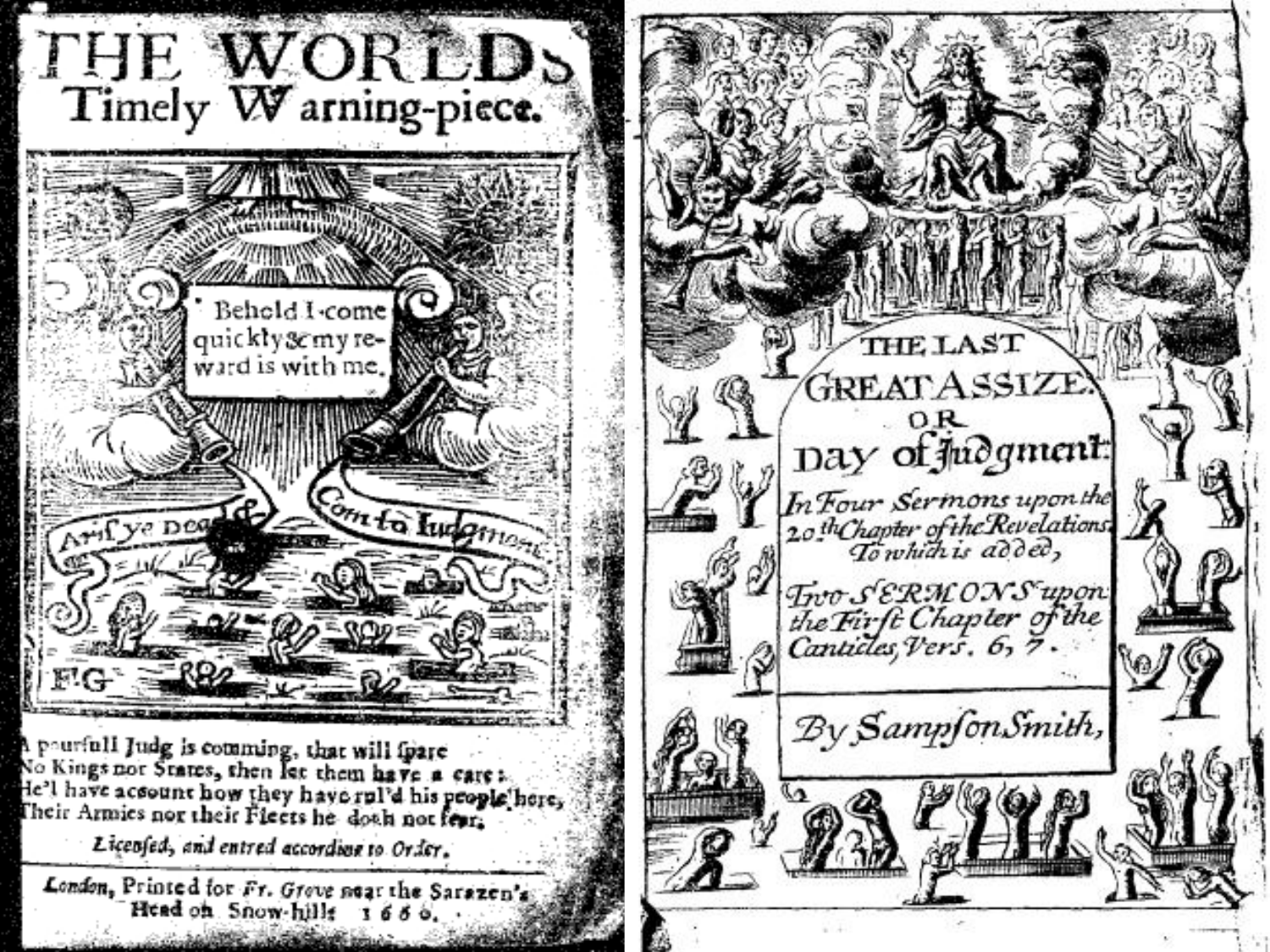

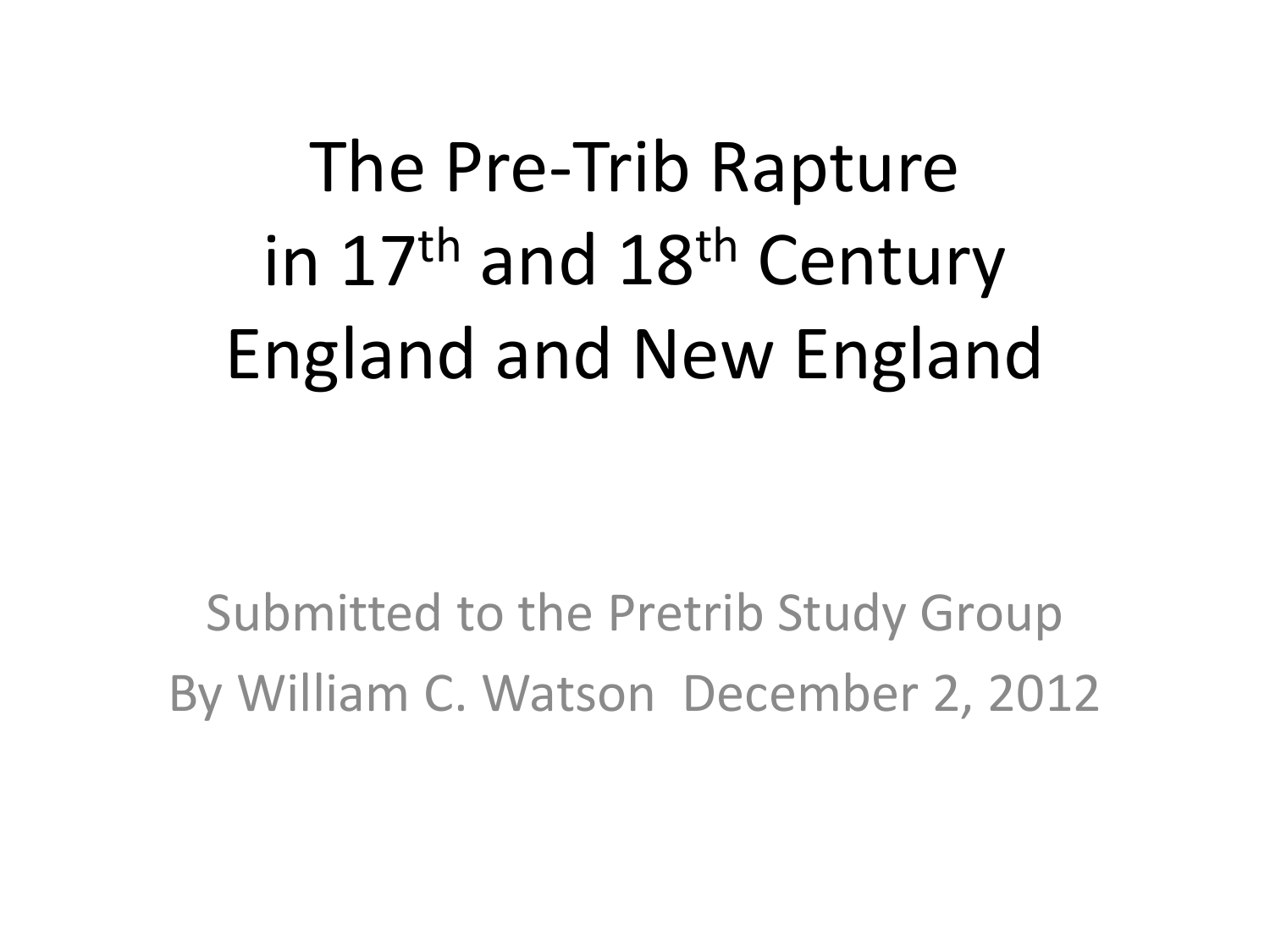# The Pre-Trib Rapture in 17<sup>th</sup> and 18<sup>th</sup> Century England and New England

Submitted to the Pretrib Study Group By William C. Watson December 2, 2012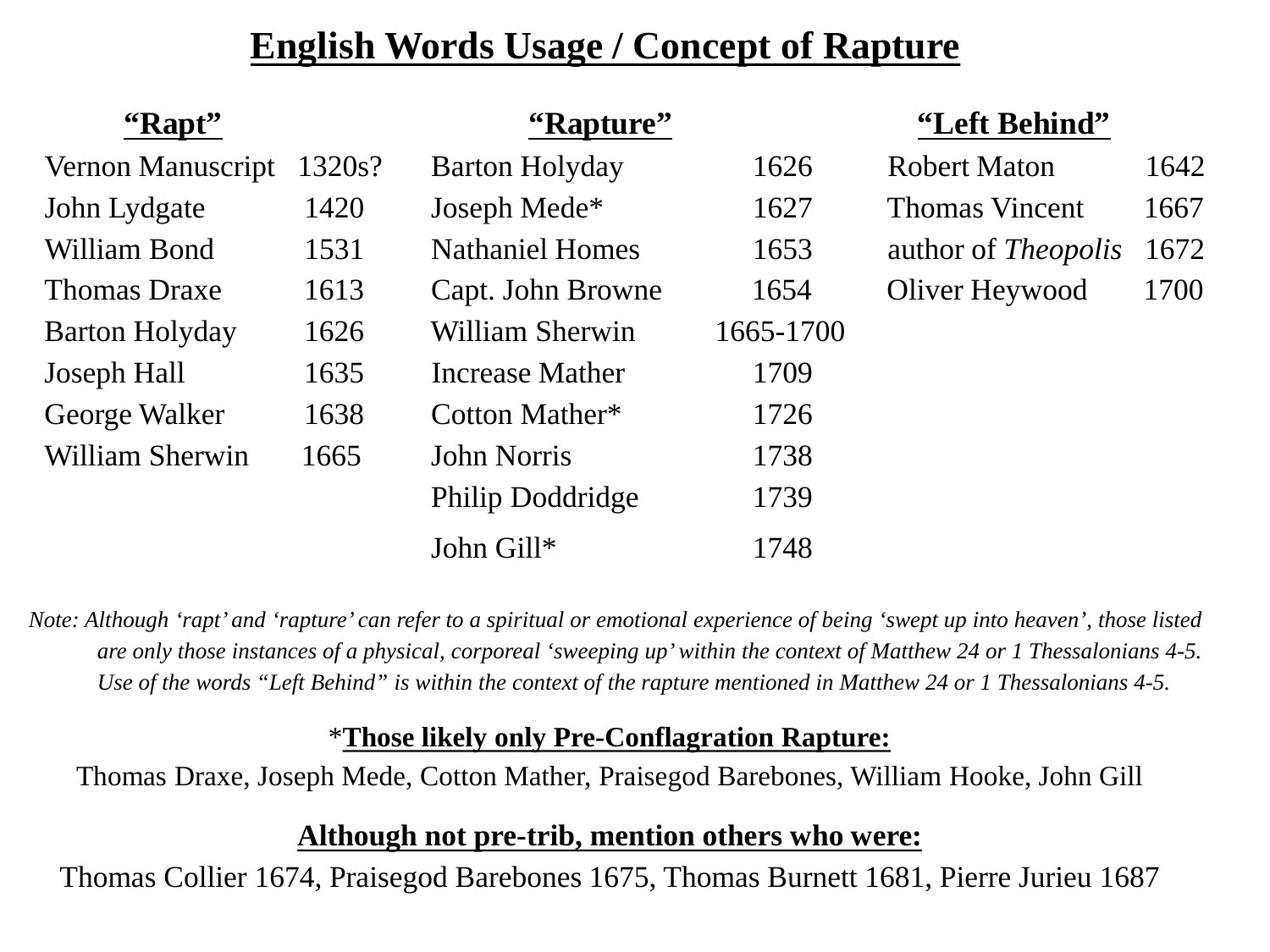#### **English Words Usage / Concept of Rapture**

| "Rapt"                |        | "Rapture"                |           | "Left Behind"              |      |
|-----------------------|--------|--------------------------|-----------|----------------------------|------|
| Vernon Manuscript     | 1320s? | <b>Barton Holyday</b>    | 1626      | <b>Robert Maton</b>        | 1642 |
| John Lydgate          | 1420   | Joseph Mede <sup>*</sup> | 1627      | <b>Thomas Vincent</b>      | 1667 |
| William Bond          | 1531   | <b>Nathaniel Homes</b>   | 1653      | author of <i>Theopolis</i> | 1672 |
| <b>Thomas Draxe</b>   | 1613   | Capt. John Browne        | 1654      | Oliver Heywood             | 1700 |
| <b>Barton Holyday</b> | 1626   | William Sherwin          | 1665-1700 |                            |      |
| Joseph Hall           | 1635   | Increase Mather          | 1709      |                            |      |
| George Walker         | 1638   | Cotton Mather*           | 1726      |                            |      |
| William Sherwin       | 1665   | <b>John Norris</b>       | 1738      |                            |      |
|                       |        | Philip Doddridge         | 1739      |                            |      |
|                       |        | John Gill*               | 1748      |                            |      |

*Note: Although 'rapt' and 'rapture' can refer to a spiritual or emotional experience of being 'swept up into heaven', those listed are only those instances of a physical, corporeal 'sweeping up' within the context of Matthew 24 or 1 Thessalonians 4-5. Use of the words "Left Behind" is within the context of the rapture mentioned in Matthew 24 or 1 Thessalonians 4-5.*

#### \***Those likely only Pre-Conflagration Rapture:**

Thomas Draxe, Joseph Mede, Cotton Mather, Praisegod Barebones, William Hooke, John Gill

#### **Although not pre-trib, mention others who were:**

Thomas Collier 1674, Praisegod Barebones 1675, Thomas Burnett 1681, Pierre Jurieu 1687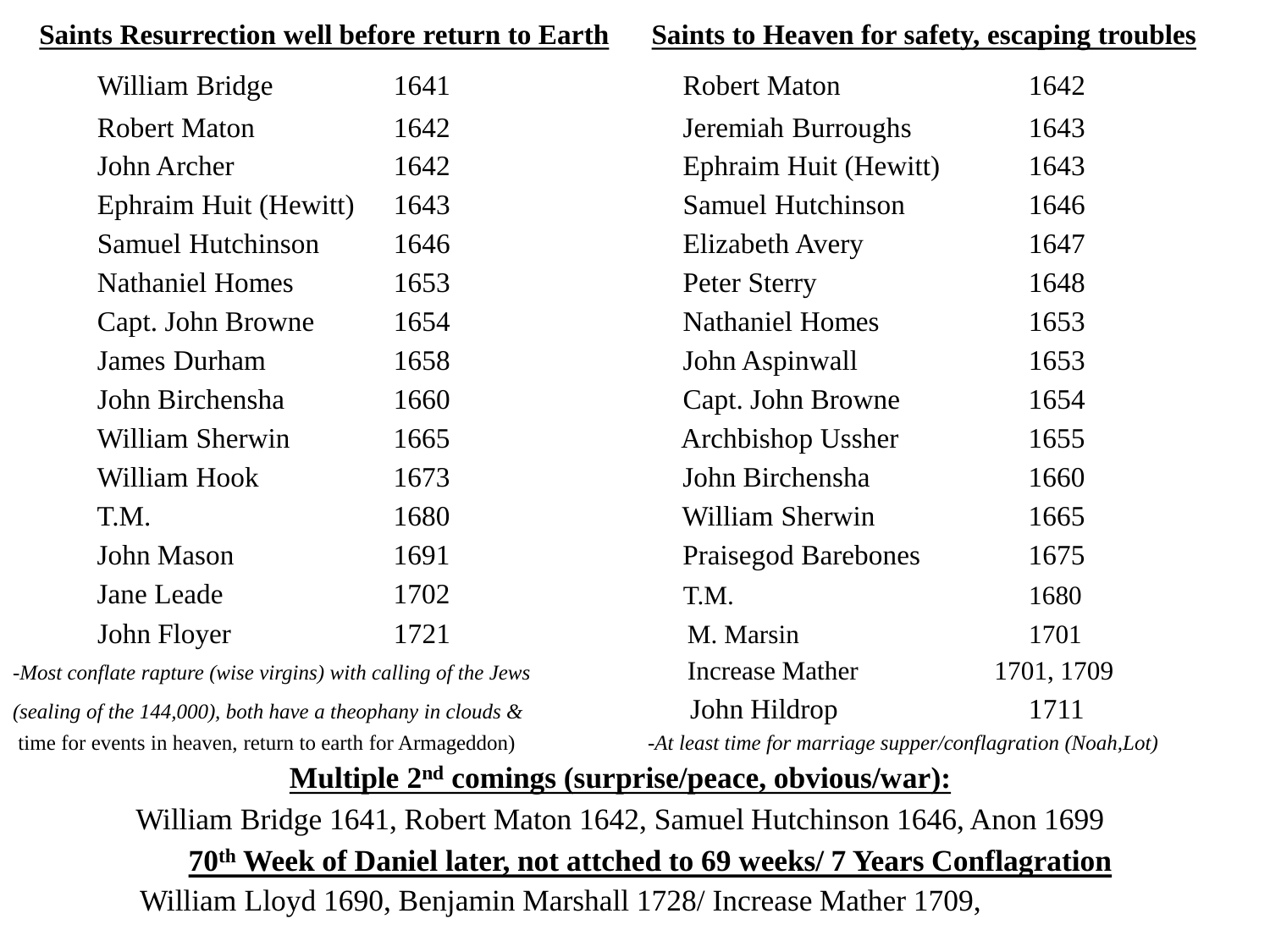| <b>Saints Resurrection well before return to Earth</b>         |      | Saints to Heaven for safety, escaping troubles              |            |  |
|----------------------------------------------------------------|------|-------------------------------------------------------------|------------|--|
| William Bridge                                                 | 1641 | <b>Robert Maton</b>                                         | 1642       |  |
| <b>Robert Maton</b>                                            | 1642 | Jeremiah Burroughs                                          | 1643       |  |
| John Archer                                                    | 1642 | Ephraim Huit (Hewitt)                                       | 1643       |  |
| Ephraim Huit (Hewitt)                                          | 1643 | <b>Samuel Hutchinson</b>                                    | 1646       |  |
| <b>Samuel Hutchinson</b>                                       | 1646 | Elizabeth Avery                                             | 1647       |  |
| <b>Nathaniel Homes</b>                                         | 1653 | Peter Sterry                                                | 1648       |  |
| Capt. John Browne                                              | 1654 | <b>Nathaniel Homes</b>                                      | 1653       |  |
| <b>James Durham</b>                                            | 1658 | John Aspinwall                                              | 1653       |  |
| John Birchensha                                                | 1660 | Capt. John Browne                                           | 1654       |  |
| William Sherwin                                                | 1665 | Archbishop Ussher                                           | 1655       |  |
| William Hook                                                   | 1673 | John Birchensha                                             | 1660       |  |
| T.M.                                                           | 1680 | <b>William Sherwin</b>                                      | 1665       |  |
| John Mason                                                     | 1691 | <b>Praisegod Barebones</b>                                  | 1675       |  |
| Jane Leade                                                     | 1702 | T.M.                                                        | 1680       |  |
| John Floyer                                                    | 1721 | M. Marsin                                                   | 1701       |  |
| -Most conflate rapture (wise virgins) with calling of the Jews |      | <b>Increase Mather</b>                                      | 1701, 1709 |  |
| (sealing of the 144,000), both have a theophany in clouds $\&$ |      | John Hildrop                                                | 1711       |  |
| time for events in heaven, return to earth for Armageddon)     |      | -At least time for marriage supper/conflagration (Noah,Lot) |            |  |

#### **Multiple 2nd comings (surprise/peace, obvious/war):**

William Bridge 1641, Robert Maton 1642, Samuel Hutchinson 1646, Anon 1699 **70th Week of Daniel later, not attched to 69 weeks/ 7 Years Conflagration** William Lloyd 1690, Benjamin Marshall 1728/ Increase Mather 1709,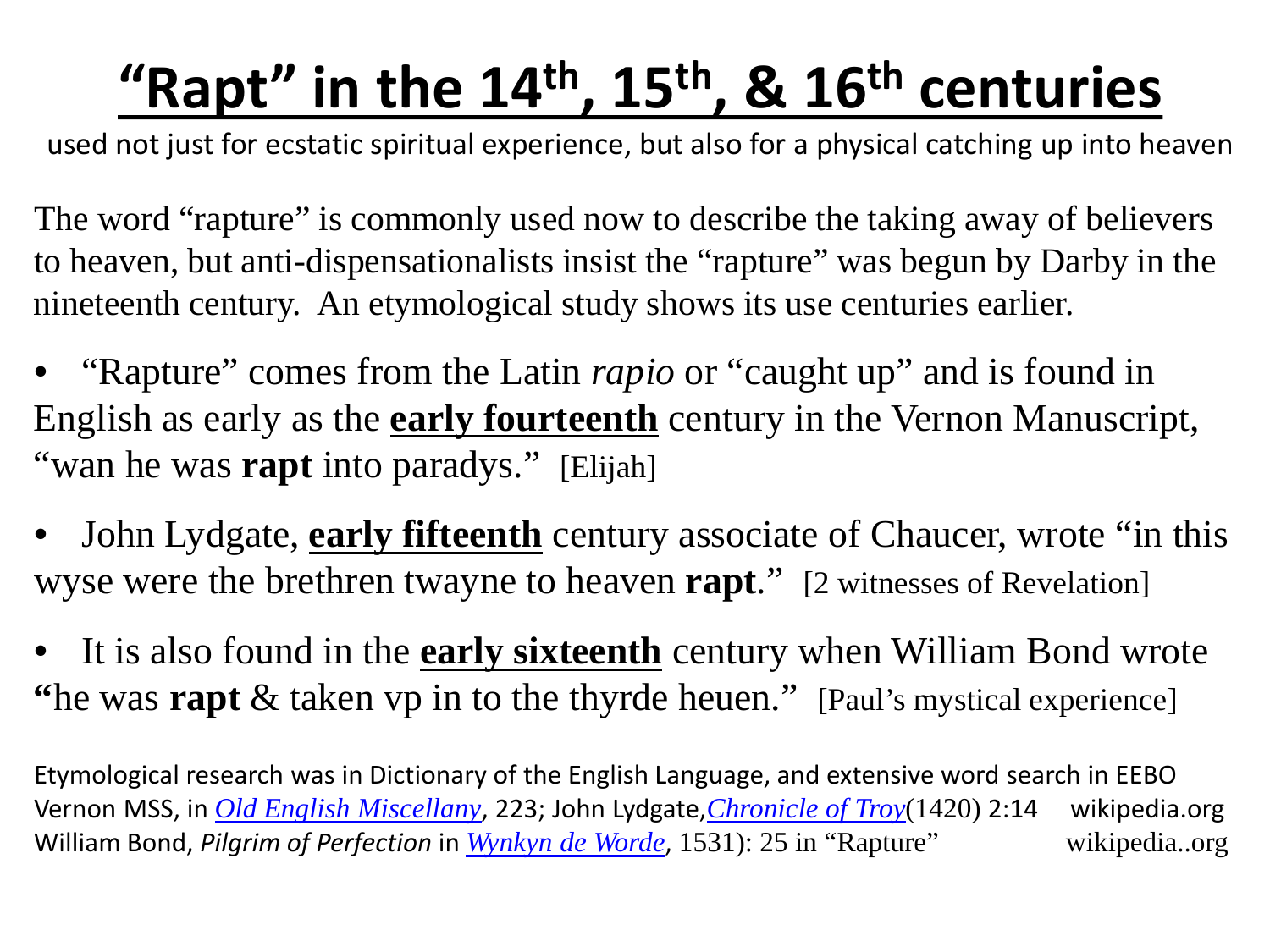# **"Rapt" in the 14th, 15th, & 16th centuries**

used not just for ecstatic spiritual experience, but also for a physical catching up into heaven

The word "rapture" is commonly used now to describe the taking away of believers to heaven, but anti-dispensationalists insist the "rapture" was begun by Darby in the nineteenth century. An etymological study shows its use centuries earlier.

• "Rapture" comes from the Latin *rapio* or "caught up" and is found in English as early as the **early fourteenth** century in the Vernon Manuscript, "wan he was **rapt** into paradys." [Elijah]

• John Lydgate, **early fifteenth** century associate of Chaucer, wrote "in this wyse were the brethren twayne to heaven **rapt**." [2 witnesses of Revelation]

It is also found in the **early sixteenth** century when William Bond wrote **"**he was **rapt** & taken vp in to the thyrde heuen." [Paul's mystical experience]

Etymological research was in Dictionary of the English Language, and extensive word search in EEBO Vernon MSS, in *[Old English Miscellany](http://books.google.com.au/books?id=jR9tGAh29jEC)*, 223; John Lydgate,*[Chronicle](http://www.archive.org/details/lydgatestroyno9702lydguoft) of Troy*(1420) 2:14 wikipedia.org William Bond, *Pilgrim of Perfection* in *Wynkyn [de Worde](http://en.wikipedia.org/wiki/Wynkyn_de_Worde)*, 1531): 25 in "Rapture" wikipedia..org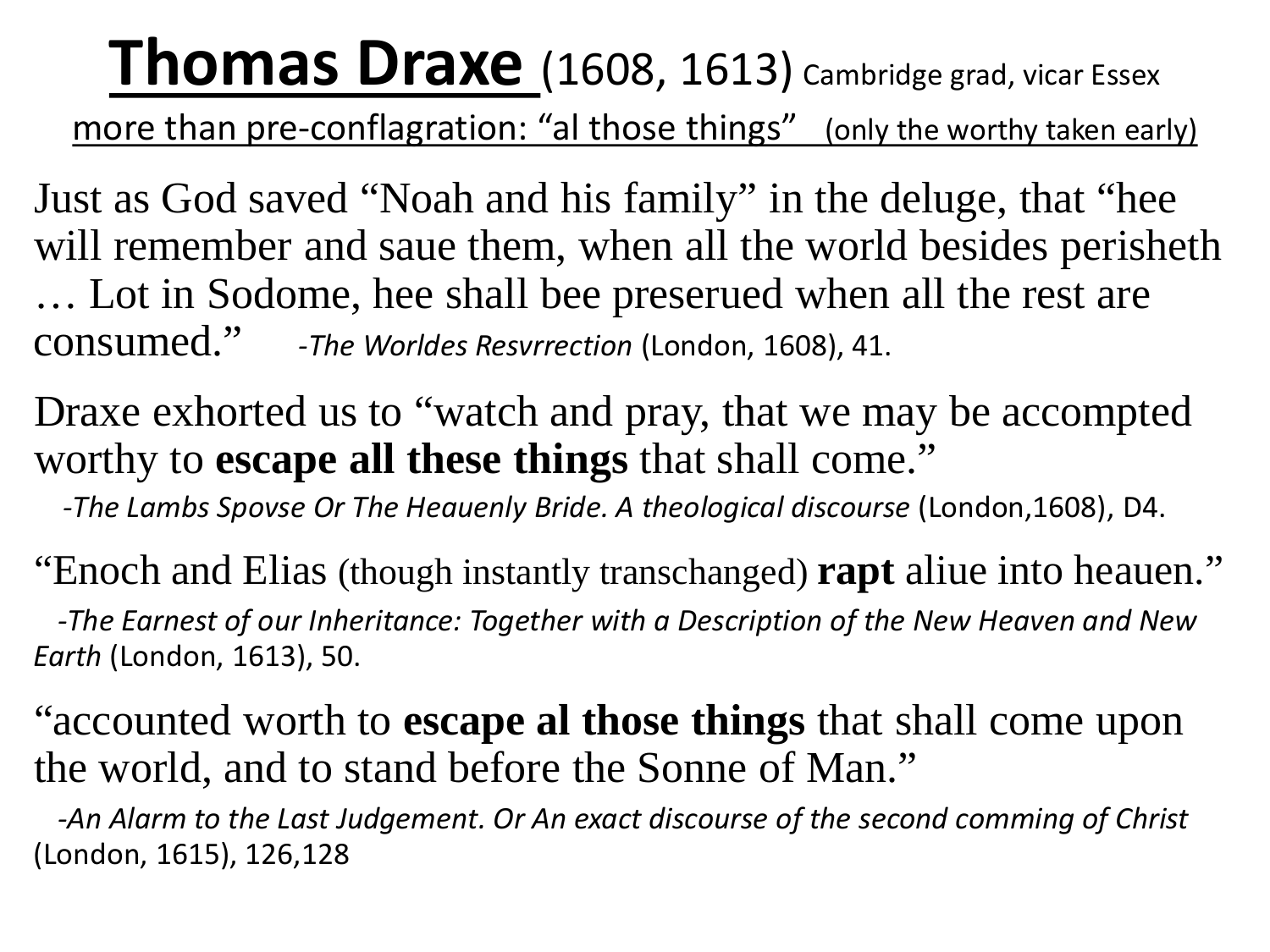**Thomas Draxe** (1608, 1613) Cambridge grad, vicar Essex

more than pre-conflagration: "al those things" (only the worthy taken early)

Just as God saved "Noah and his family" in the deluge, that "hee will remember and saue them, when all the world besides perisheth … Lot in Sodome, hee shall bee preserued when all the rest are consumed." *-The Worldes Resvrrection* (London, 1608), 41.

Draxe exhorted us to "watch and pray, that we may be accompted worthy to **escape all these things** that shall come."

*-The Lambs Spovse Or The Heauenly Bride. A theological discourse* (London,1608), D4.

"Enoch and Elias (though instantly transchanged) **rapt** aliue into heauen." *-The Earnest of our Inheritance: Together with a Description of the New Heaven and New Earth* (London, 1613), 50.

"accounted worth to **escape al those things** that shall come upon the world, and to stand before the Sonne of Man."

*-An Alarm to the Last Judgement. Or An exact discourse of the second comming of Christ*  (London, 1615), 126,128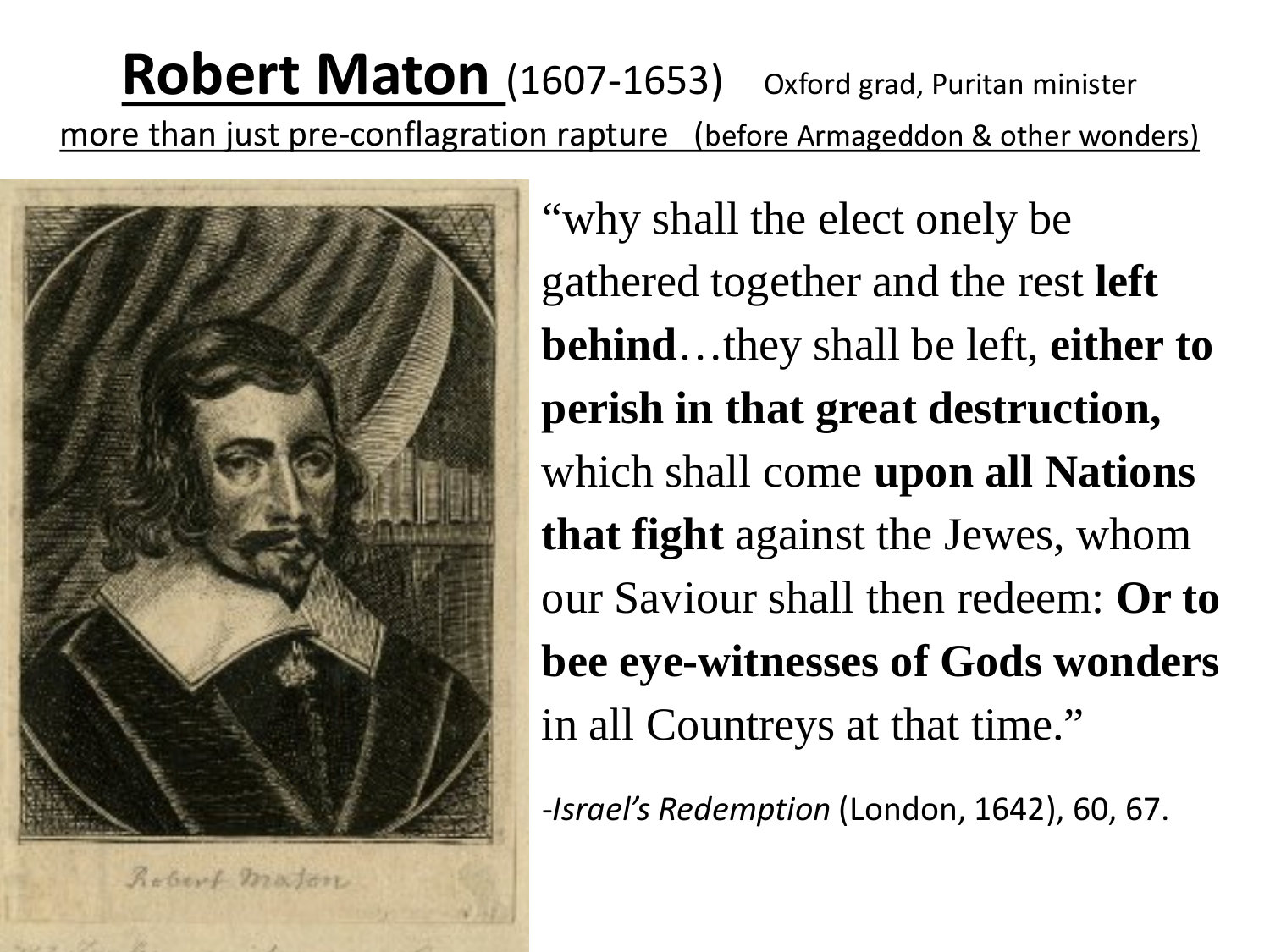**Robert Maton** (1607-1653) Oxford grad, Puritan minister more than just pre-conflagration rapture (before Armageddon & other wonders)



"why shall the elect onely be gathered together and the rest **left behind**…they shall be left, **either to perish in that great destruction,**  which shall come **upon all Nations that fight** against the Jewes, whom our Saviour shall then redeem: **Or to bee eye-witnesses of Gods wonders**  in all Countreys at that time."

-*Israel's Redemption* (London, 1642), 60, 67.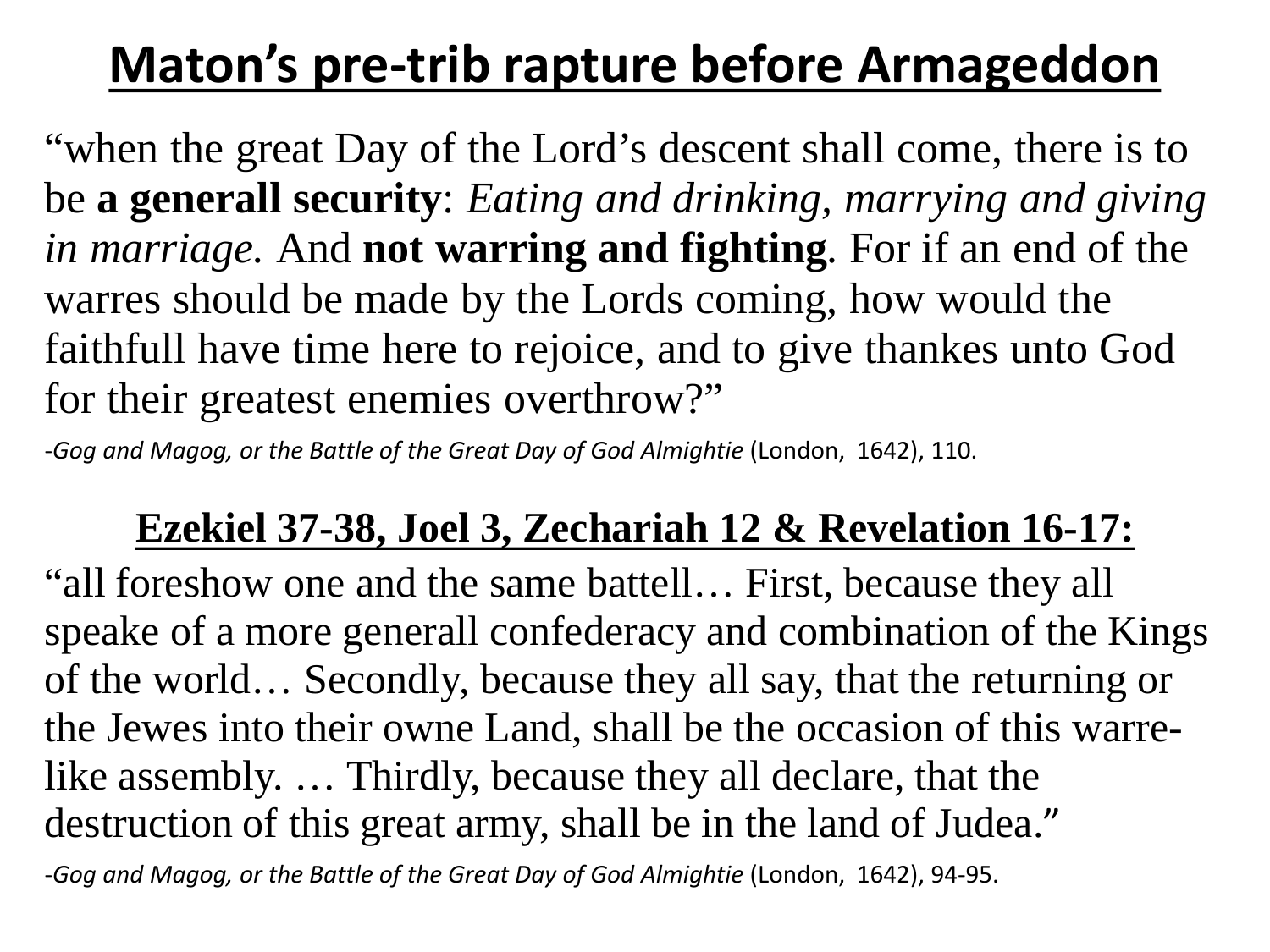### **Maton's pre-trib rapture before Armageddon**

"when the great Day of the Lord's descent shall come, there is to be **a generall security**: *Eating and drinking, marrying and giving in marriage.* And **not warring and fighting**. For if an end of the warres should be made by the Lords coming, how would the faithfull have time here to rejoice, and to give thankes unto God for their greatest enemies overthrow?"

-*Gog and Magog, or the Battle of the Great Day of God Almightie* (London, 1642), 110.

#### **Ezekiel 37-38, Joel 3, Zechariah 12 & Revelation 16-17:**

"all foreshow one and the same battell… First, because they all speake of a more generall confederacy and combination of the Kings of the world… Secondly, because they all say, that the returning or the Jewes into their owne Land, shall be the occasion of this warrelike assembly. … Thirdly, because they all declare, that the destruction of this great army, shall be in the land of Judea." -*Gog and Magog, or the Battle of the Great Day of God Almightie* (London, 1642), 94-95.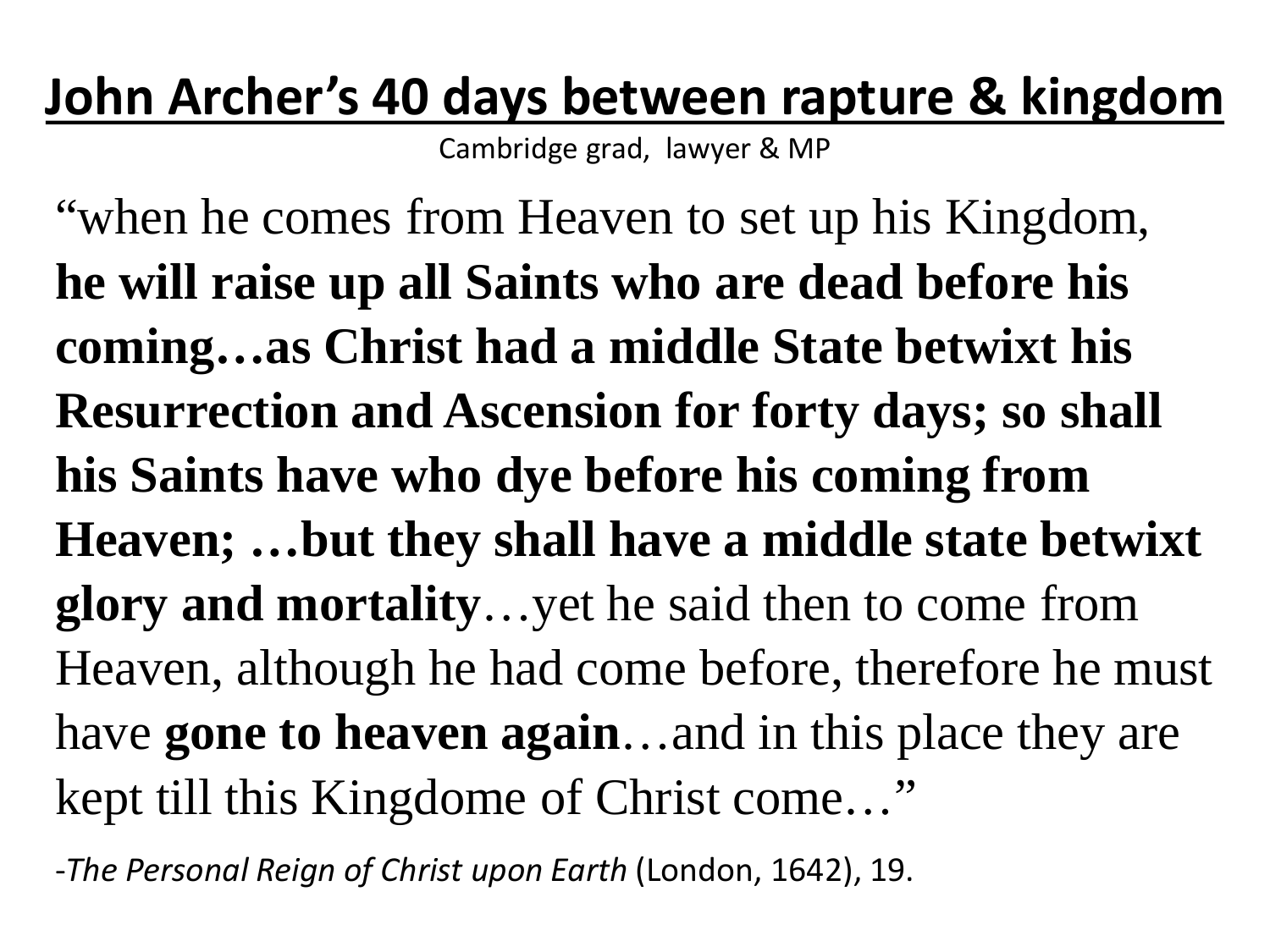### **John Archer's 40 days between rapture & kingdom**

Cambridge grad, lawyer & MP

"when he comes from Heaven to set up his Kingdom, **he will raise up all Saints who are dead before his coming…as Christ had a middle State betwixt his Resurrection and Ascension for forty days; so shall his Saints have who dye before his coming from Heaven; …but they shall have a middle state betwixt glory and mortality**…yet he said then to come from Heaven, although he had come before, therefore he must have **gone to heaven again**…and in this place they are kept till this Kingdome of Christ come…"

-*The Personal Reign of Christ upon Earth* (London, 1642), 19.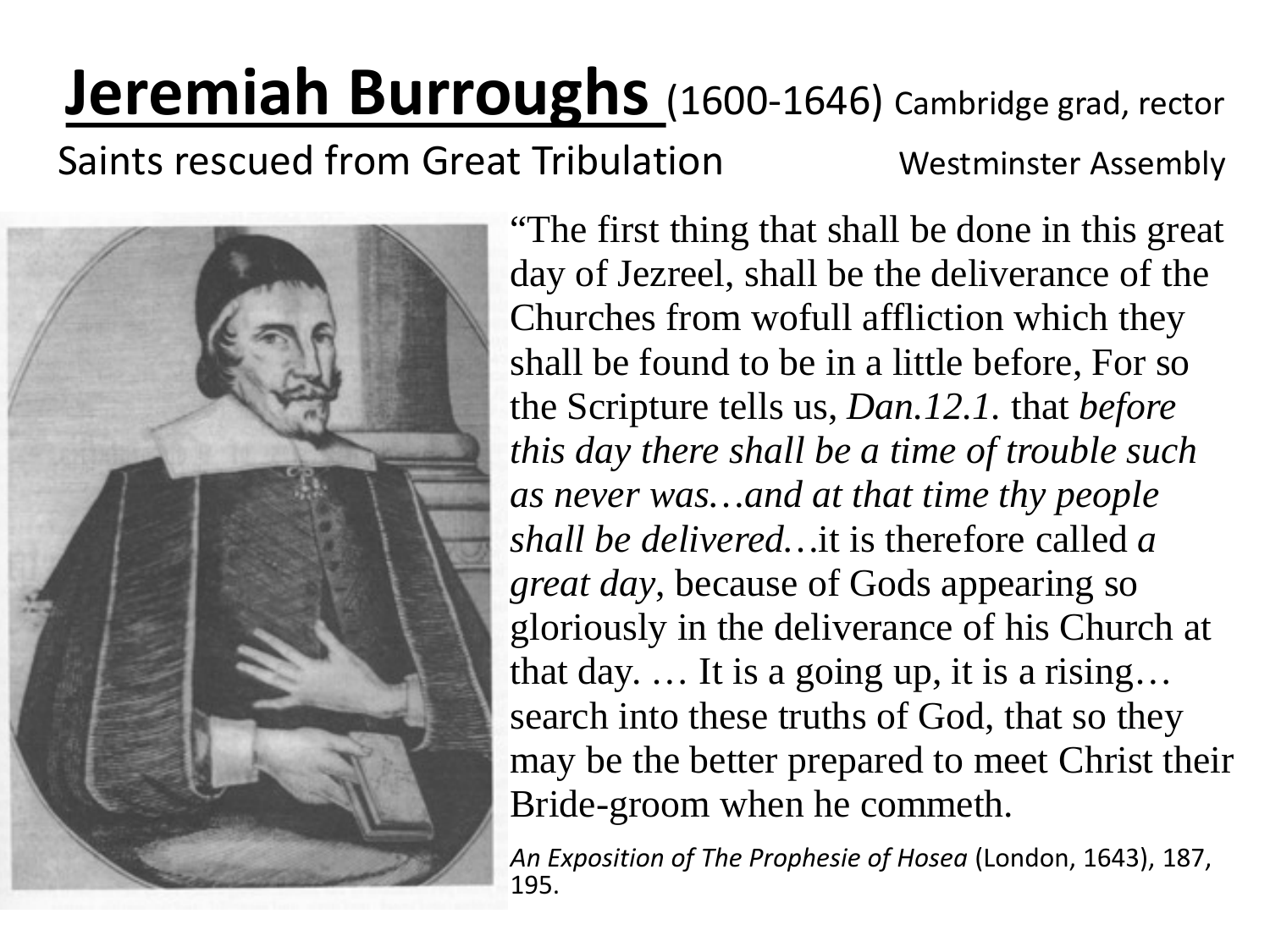# **Jeremiah Burroughs** (1600-1646) Cambridge grad, rector

Saints rescued from Great Tribulation Westminster Assembly



"The first thing that shall be done in this great day of Jezreel, shall be the deliverance of the Churches from wofull affliction which they shall be found to be in a little before, For so the Scripture tells us, *Dan.12.1.* that *before this day there shall be a time of trouble such as never was…and at that time thy people shall be delivered…*it is therefore called *a great day*, because of Gods appearing so gloriously in the deliverance of his Church at that day. … It is a going up, it is a rising… search into these truths of God, that so they may be the better prepared to meet Christ their Bride-groom when he commeth.

*An Exposition of The Prophesie of Hosea* (London, 1643), 187, 195.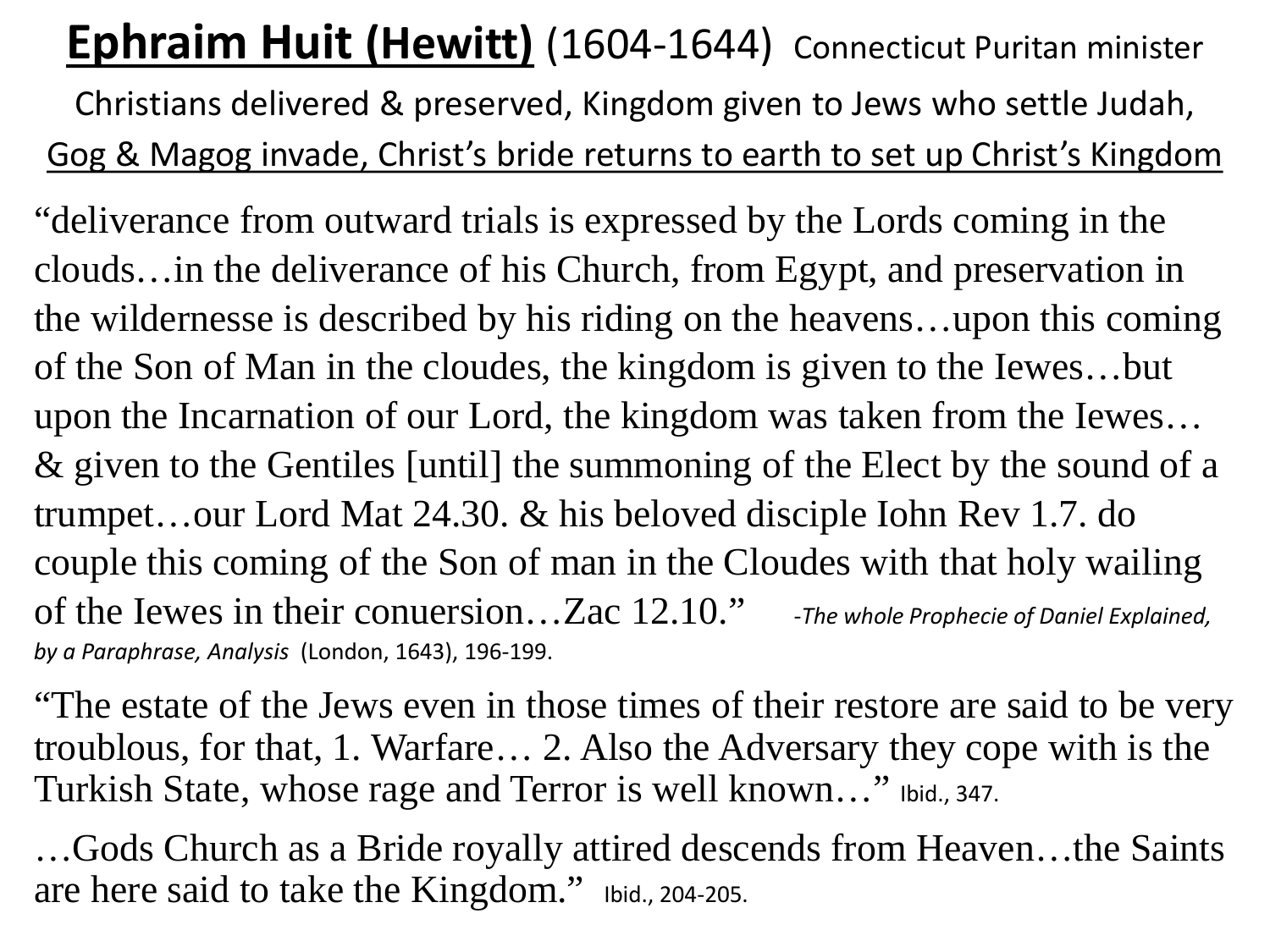#### **Ephraim Huit (Hewitt)** (1604-1644) Connecticut Puritan minister Christians delivered & preserved, Kingdom given to Jews who settle Judah,

Gog & Magog invade, Christ's bride returns to earth to set up Christ's Kingdom

"deliverance from outward trials is expressed by the Lords coming in the clouds…in the deliverance of his Church, from Egypt, and preservation in the wildernesse is described by his riding on the heavens…upon this coming of the Son of Man in the cloudes, the kingdom is given to the Iewes…but upon the Incarnation of our Lord, the kingdom was taken from the Iewes… & given to the Gentiles [until] the summoning of the Elect by the sound of a trumpet…our Lord Mat 24.30. & his beloved disciple Iohn Rev 1.7. do couple this coming of the Son of man in the Cloudes with that holy wailing of the Iewes in their conuersion…Zac 12.10." -*The whole Prophecie of Daniel Explained, by a Paraphrase, Analysis* (London, 1643), 196-199.

"The estate of the Jews even in those times of their restore are said to be very troublous, for that, 1. Warfare… 2. Also the Adversary they cope with is the Turkish State, whose rage and Terror is well known…" Ibid., 347.

…Gods Church as a Bride royally attired descends from Heaven…the Saints are here said to take the Kingdom." Ibid., 204-205.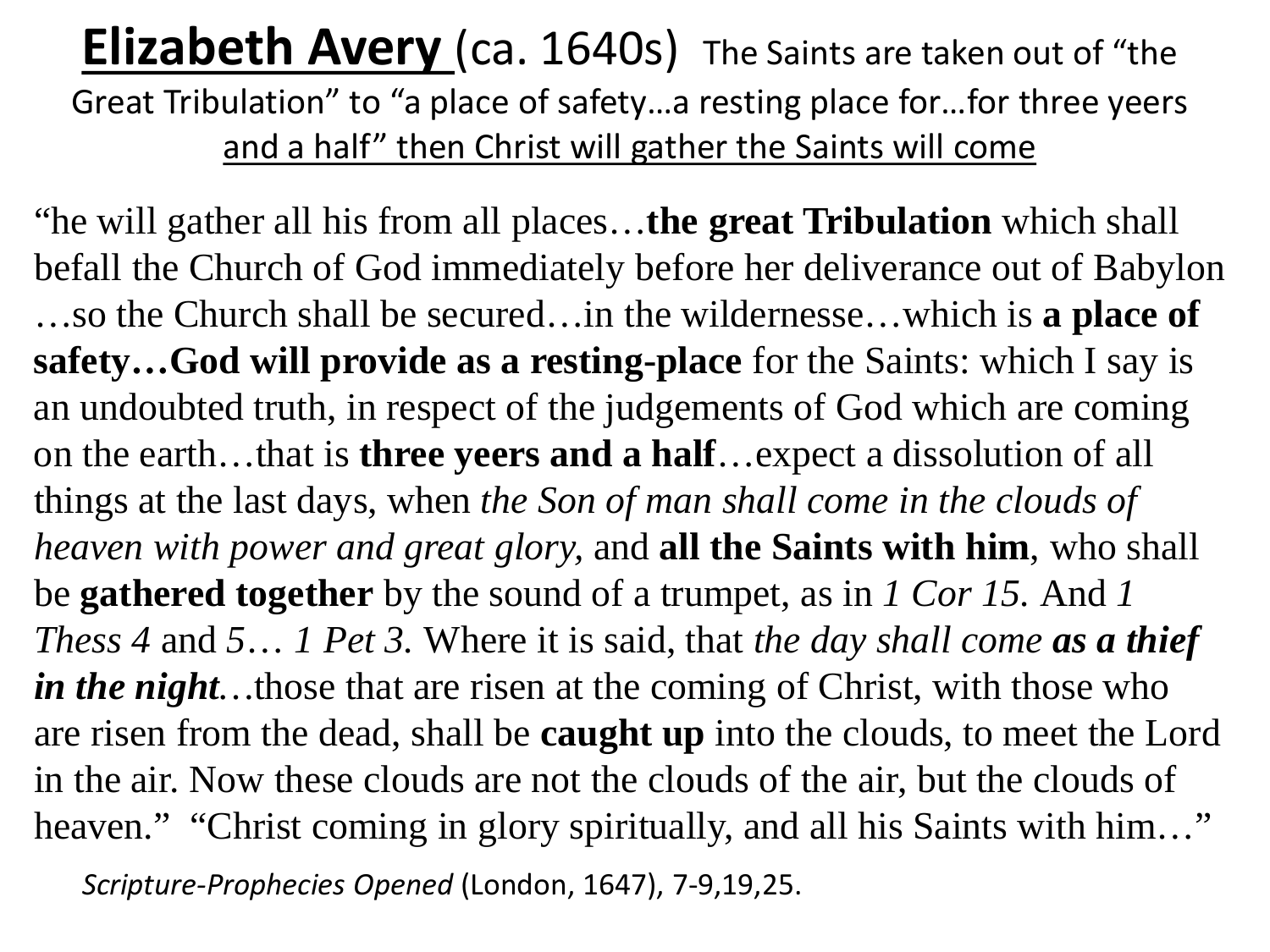#### **Elizabeth Avery** (ca. 1640s) The Saints are taken out of "the Great Tribulation" to "a place of safety…a resting place for…for three yeers and a half" then Christ will gather the Saints will come

"he will gather all his from all places…**the great Tribulation** which shall befall the Church of God immediately before her deliverance out of Babylon …so the Church shall be secured…in the wildernesse…which is **a place of safety…God will provide as a resting-place** for the Saints: which I say is an undoubted truth, in respect of the judgements of God which are coming on the earth…that is **three yeers and a half**…expect a dissolution of all things at the last days, when *the Son of man shall come in the clouds of heaven with power and great glory,* and **all the Saints with him**, who shall be **gathered together** by the sound of a trumpet, as in *1 Cor 15.* And *1 Thess 4* and *5*… *1 Pet 3.* Where it is said, that *the day shall come as a thief in the night*... those that are risen at the coming of Christ, with those who are risen from the dead, shall be **caught up** into the clouds, to meet the Lord in the air. Now these clouds are not the clouds of the air, but the clouds of heaven." "Christ coming in glory spiritually, and all his Saints with him..." *Scripture-Prophecies Opened* (London, 1647), 7-9,19,25.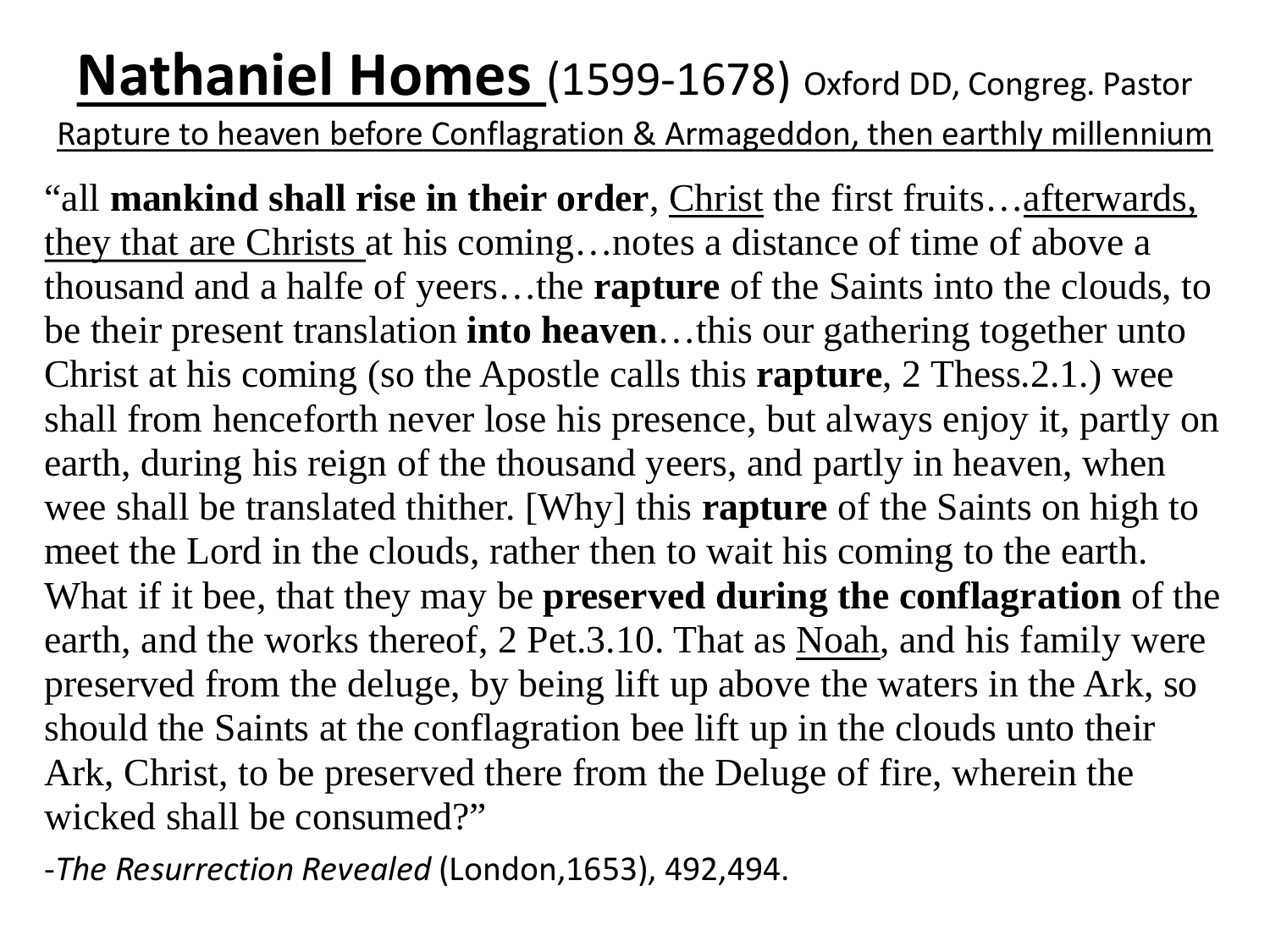### **Nathaniel Homes** (1599-1678) Oxford DD, Congreg. Pastor

Rapture to heaven before Conflagration & Armageddon, then earthly millennium

"all **mankind shall rise in their order**, Christ the first fruits…afterwards, they that are Christs at his coming…notes a distance of time of above a thousand and a halfe of yeers…the **rapture** of the Saints into the clouds, to be their present translation **into heaven**…this our gathering together unto Christ at his coming (so the Apostle calls this **rapture**, 2 Thess.2.1.) wee shall from henceforth never lose his presence, but always enjoy it, partly on earth, during his reign of the thousand yeers, and partly in heaven, when wee shall be translated thither. [Why] this **rapture** of the Saints on high to meet the Lord in the clouds, rather then to wait his coming to the earth. What if it bee, that they may be **preserved during the conflagration** of the earth, and the works thereof, 2 Pet.3.10. That as Noah, and his family were preserved from the deluge, by being lift up above the waters in the Ark, so should the Saints at the conflagration bee lift up in the clouds unto their Ark, Christ, to be preserved there from the Deluge of fire, wherein the wicked shall be consumed?"

-*The Resurrection Revealed* (London,1653), 492,494.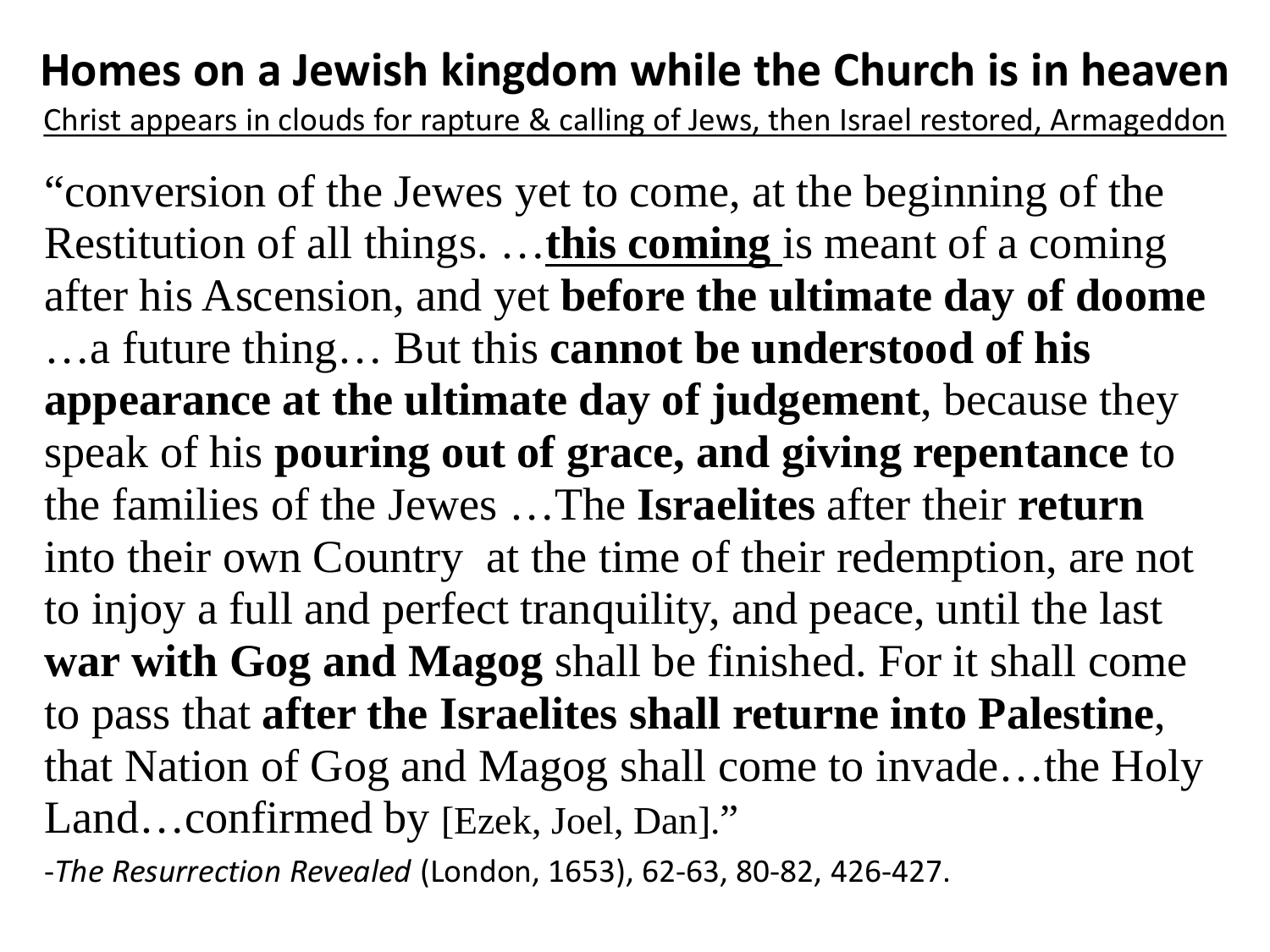#### **Homes on a Jewish kingdom while the Church is in heaven**

Christ appears in clouds for rapture & calling of Jews, then Israel restored, Armageddon

"conversion of the Jewes yet to come, at the beginning of the Restitution of all things. …**this coming** is meant of a coming after his Ascension, and yet **before the ultimate day of doome** …a future thing… But this **cannot be understood of his appearance at the ultimate day of judgement**, because they speak of his **pouring out of grace, and giving repentance** to the families of the Jewes …The **Israelites** after their **return** into their own Country at the time of their redemption, are not to injoy a full and perfect tranquility, and peace, until the last **war with Gog and Magog** shall be finished. For it shall come to pass that **after the Israelites shall returne into Palestine**, that Nation of Gog and Magog shall come to invade…the Holy Land…confirmed by [Ezek, Joel, Dan]."

-*The Resurrection Revealed* (London, 1653), 62-63, 80-82, 426-427.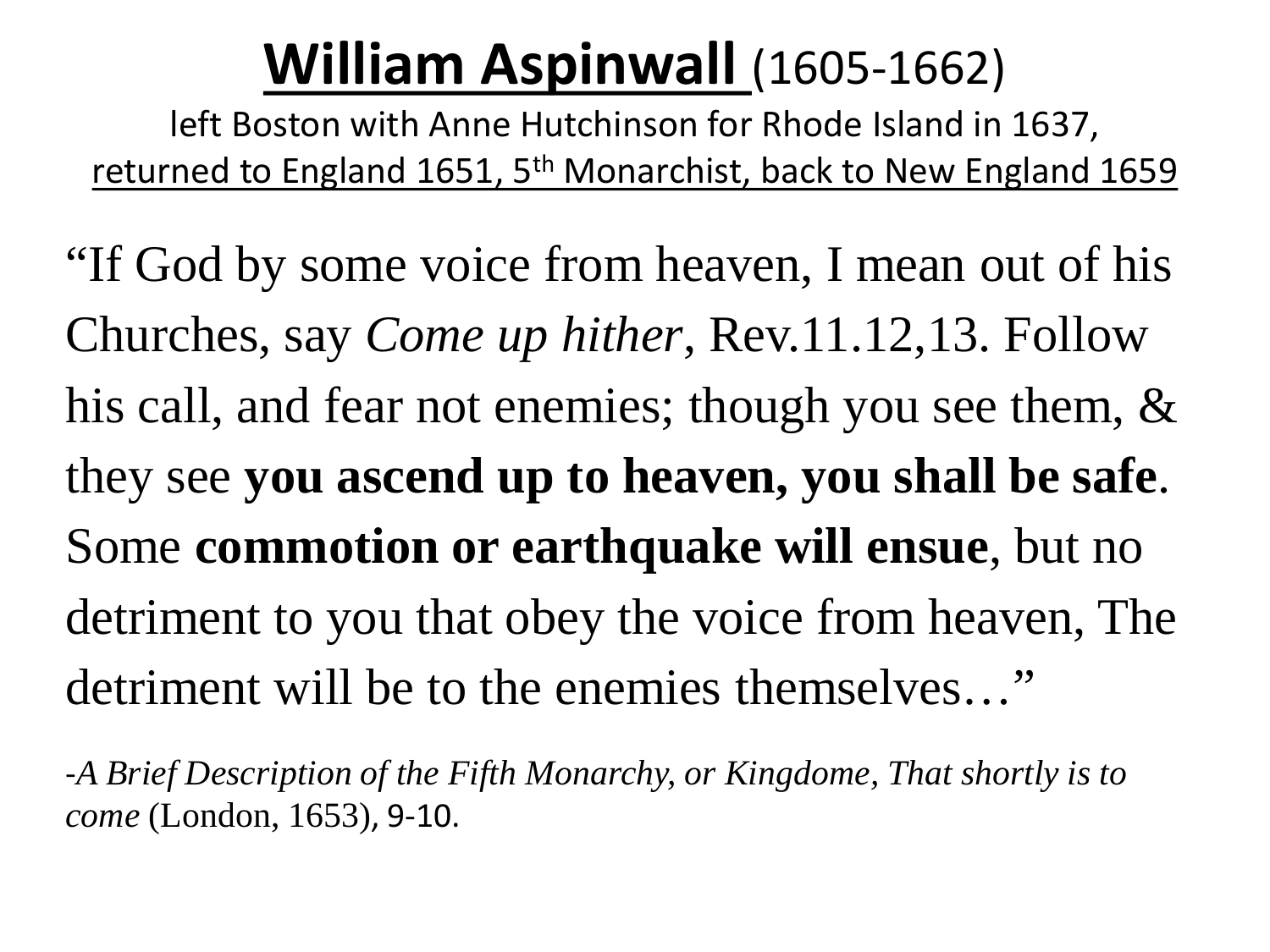### **William Aspinwall** (1605-1662)

left Boston with Anne Hutchinson for Rhode Island in 1637, returned to England 1651, 5<sup>th</sup> Monarchist, back to New England 1659

"If God by some voice from heaven, I mean out of his Churches, say *Come up hither*, Rev.11.12,13. Follow his call, and fear not enemies; though you see them, & they see **you ascend up to heaven, you shall be safe**. Some **commotion or earthquake will ensue**, but no detriment to you that obey the voice from heaven, The detriment will be to the enemies themselves…"

-*A Brief Description of the Fifth Monarchy, or Kingdome, That shortly is to come* (London, 1653), 9-10.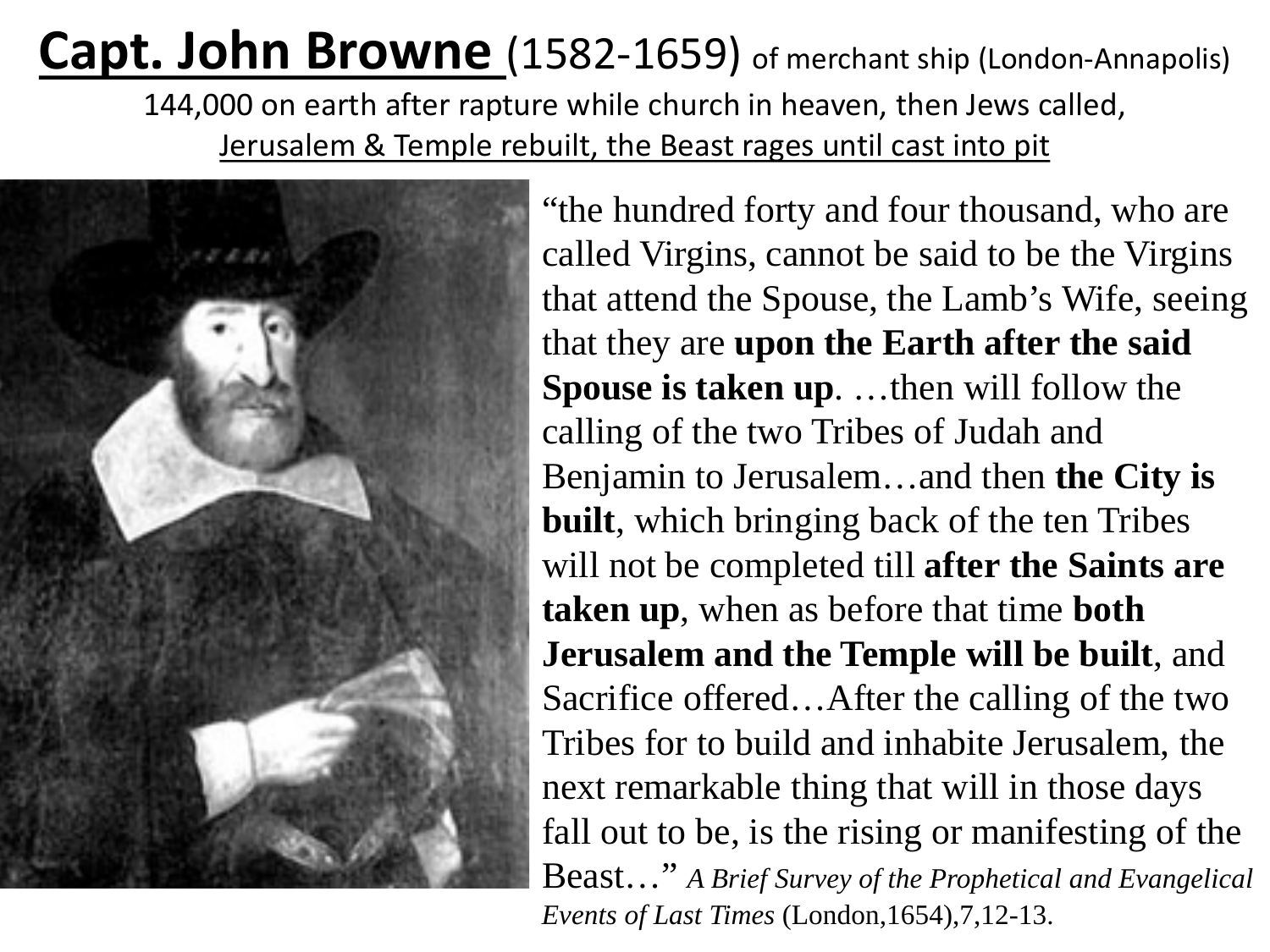#### **Capt. John Browne** (1582-1659) of merchant ship (London-Annapolis) 144,000 on earth after rapture while church in heaven, then Jews called, Jerusalem & Temple rebuilt, the Beast rages until cast into pit



"the hundred forty and four thousand, who are called Virgins, cannot be said to be the Virgins that attend the Spouse, the Lamb's Wife, seeing that they are **upon the Earth after the said Spouse is taken up**. …then will follow the calling of the two Tribes of Judah and Benjamin to Jerusalem…and then **the City is built**, which bringing back of the ten Tribes will not be completed till **after the Saints are taken up**, when as before that time **both Jerusalem and the Temple will be built**, and Sacrifice offered…After the calling of the two Tribes for to build and inhabite Jerusalem, the next remarkable thing that will in those days fall out to be, is the rising or manifesting of the Beast…" *A Brief Survey of the Prophetical and Evangelical Events of Last Times* (London,1654),7,12-13.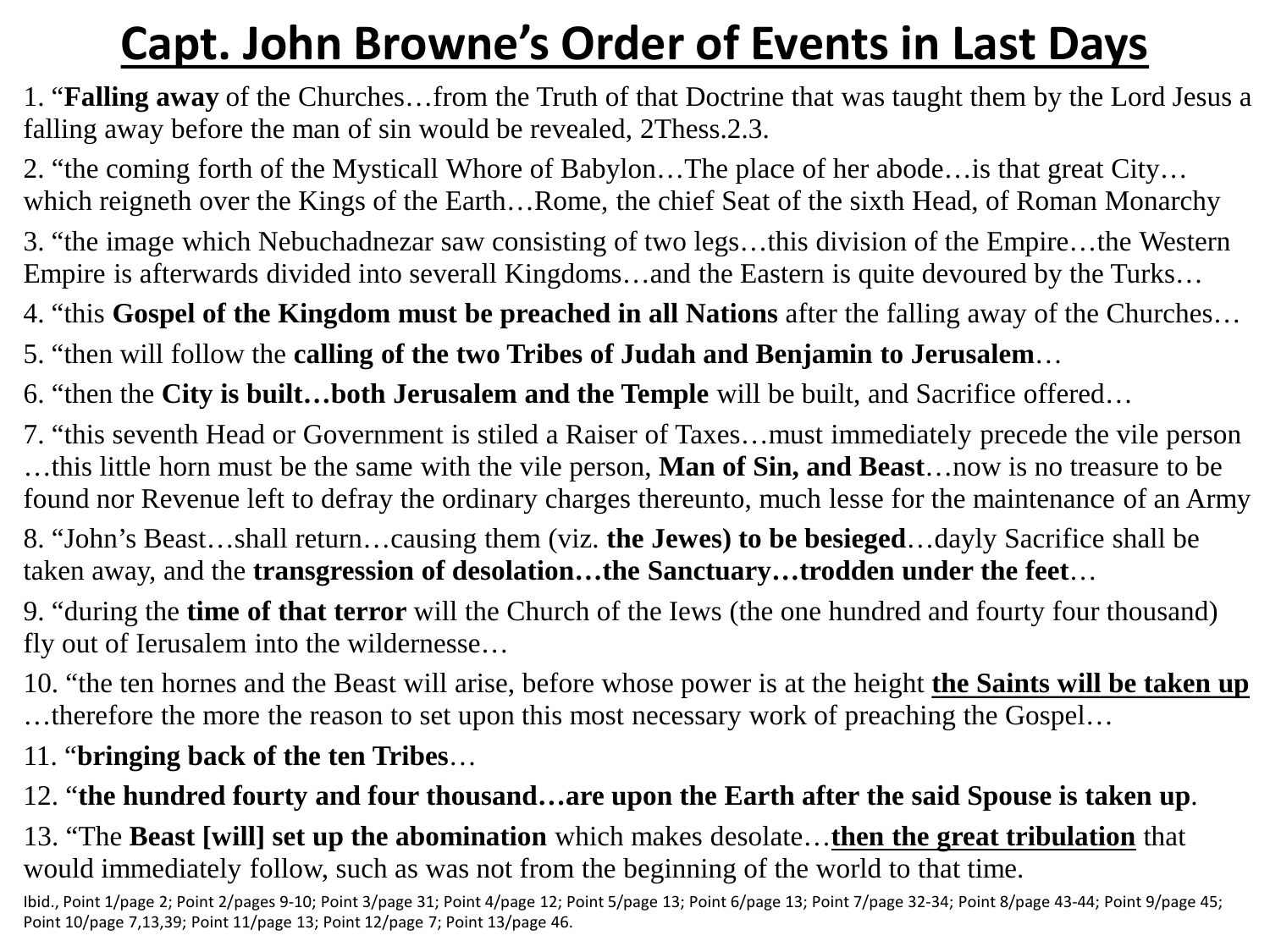#### **Capt. John Browne's Order of Events in Last Days**

1. "**Falling away** of the Churches…from the Truth of that Doctrine that was taught them by the Lord Jesus a falling away before the man of sin would be revealed, 2Thess.2.3.

2. "the coming forth of the Mysticall Whore of Babylon…The place of her abode…is that great City… which reigneth over the Kings of the Earth…Rome, the chief Seat of the sixth Head, of Roman Monarchy

3. "the image which Nebuchadnezar saw consisting of two legs…this division of the Empire…the Western Empire is afterwards divided into severall Kingdoms…and the Eastern is quite devoured by the Turks…

4. "this **Gospel of the Kingdom must be preached in all Nations** after the falling away of the Churches…

5. "then will follow the **calling of the two Tribes of Judah and Benjamin to Jerusalem**…

6. "then the **City is built…both Jerusalem and the Temple** will be built, and Sacrifice offered…

7. "this seventh Head or Government is stiled a Raiser of Taxes…must immediately precede the vile person …this little horn must be the same with the vile person, **Man of Sin, and Beast**…now is no treasure to be found nor Revenue left to defray the ordinary charges thereunto, much lesse for the maintenance of an Army

8. "John's Beast…shall return…causing them (viz. **the Jewes) to be besieged**…dayly Sacrifice shall be taken away, and the **transgression of desolation…the Sanctuary…trodden under the feet**…

9. "during the **time of that terror** will the Church of the Iews (the one hundred and fourty four thousand) fly out of Ierusalem into the wildernesse…

10. "the ten hornes and the Beast will arise, before whose power is at the height **the Saints will be taken up**  …therefore the more the reason to set upon this most necessary work of preaching the Gospel…

11. "**bringing back of the ten Tribes**…

12. "**the hundred fourty and four thousand…are upon the Earth after the said Spouse is taken up**.

13. "The **Beast [will] set up the abomination** which makes desolate…**then the great tribulation** that would immediately follow, such as was not from the beginning of the world to that time.

Ibid., Point 1/page 2; Point 2/pages 9-10; Point 3/page 31; Point 4/page 12; Point 5/page 13; Point 6/page 13; Point 7/page 32-34; Point 8/page 43-44; Point 9/page 45; Point 10/page 7,13,39; Point 11/page 13; Point 12/page 7; Point 13/page 46.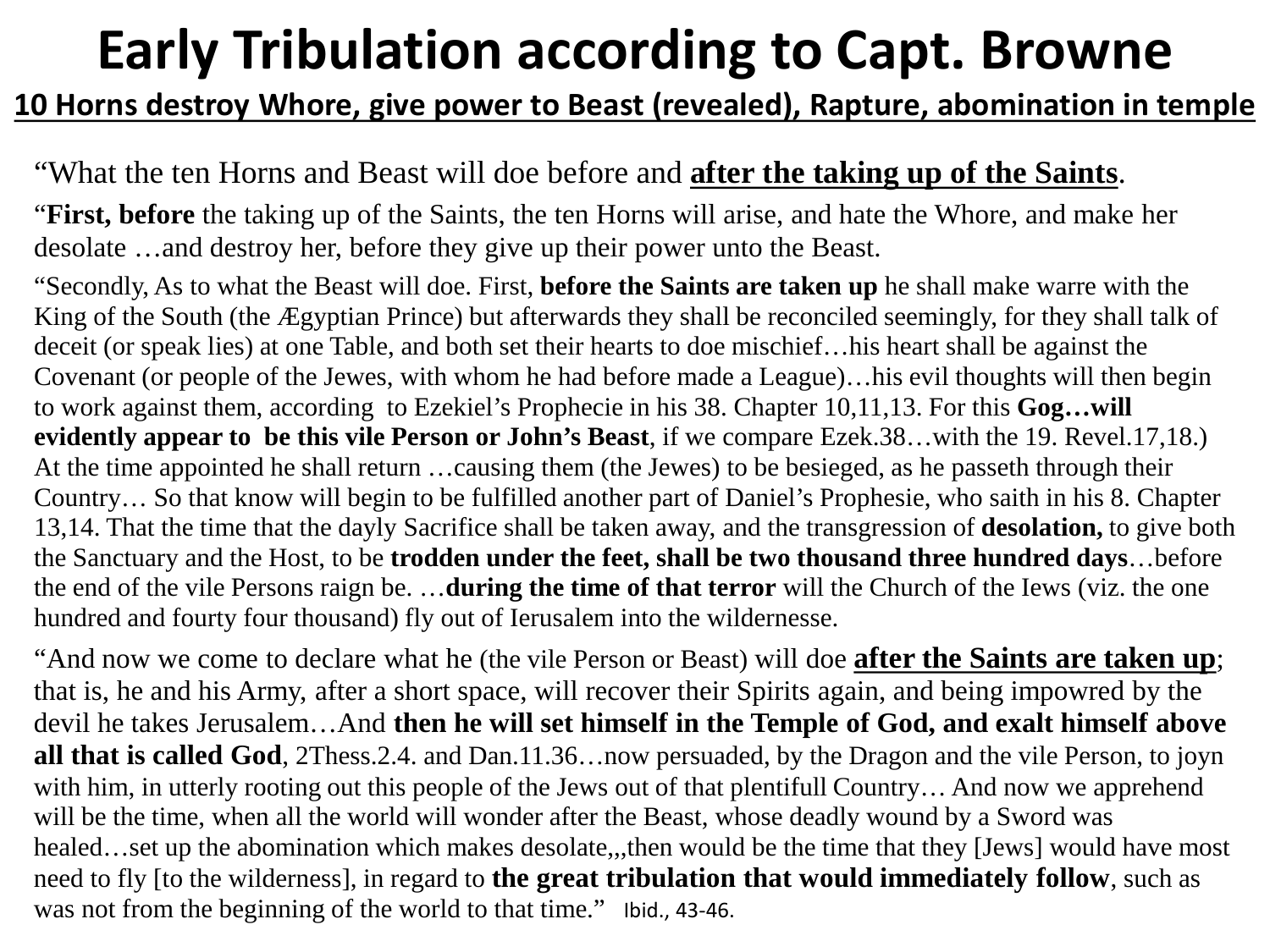### **Early Tribulation according to Capt. Browne**

#### **10 Horns destroy Whore, give power to Beast (revealed), Rapture, abomination in temple**

#### "What the ten Horns and Beast will doe before and **after the taking up of the Saints**.

"**First, before** the taking up of the Saints, the ten Horns will arise, and hate the Whore, and make her desolate …and destroy her, before they give up their power unto the Beast.

"Secondly, As to what the Beast will doe. First, **before the Saints are taken up** he shall make warre with the King of the South (the Ægyptian Prince) but afterwards they shall be reconciled seemingly, for they shall talk of deceit (or speak lies) at one Table, and both set their hearts to doe mischief…his heart shall be against the Covenant (or people of the Jewes, with whom he had before made a League)…his evil thoughts will then begin to work against them, according to Ezekiel's Prophecie in his 38. Chapter 10,11,13. For this **Gog…will evidently appear to be this vile Person or John's Beast**, if we compare Ezek.38…with the 19. Revel.17,18.) At the time appointed he shall return …causing them (the Jewes) to be besieged, as he passeth through their Country… So that know will begin to be fulfilled another part of Daniel's Prophesie, who saith in his 8. Chapter 13,14. That the time that the dayly Sacrifice shall be taken away, and the transgression of **desolation,** to give both the Sanctuary and the Host, to be **trodden under the feet, shall be two thousand three hundred days**…before the end of the vile Persons raign be. …**during the time of that terror** will the Church of the Iews (viz. the one hundred and fourty four thousand) fly out of Ierusalem into the wildernesse.

"And now we come to declare what he (the vile Person or Beast) will doe **after the Saints are taken up**; that is, he and his Army, after a short space, will recover their Spirits again, and being impowred by the devil he takes Jerusalem…And **then he will set himself in the Temple of God, and exalt himself above all that is called God**, 2Thess.2.4. and Dan.11.36…now persuaded, by the Dragon and the vile Person, to joyn with him, in utterly rooting out this people of the Jews out of that plentifull Country... And now we apprehend will be the time, when all the world will wonder after the Beast, whose deadly wound by a Sword was healed…set up the abomination which makes desolate,,,then would be the time that they [Jews] would have most need to fly [to the wilderness], in regard to **the great tribulation that would immediately follow**, such as was not from the beginning of the world to that time." Ibid., 43-46.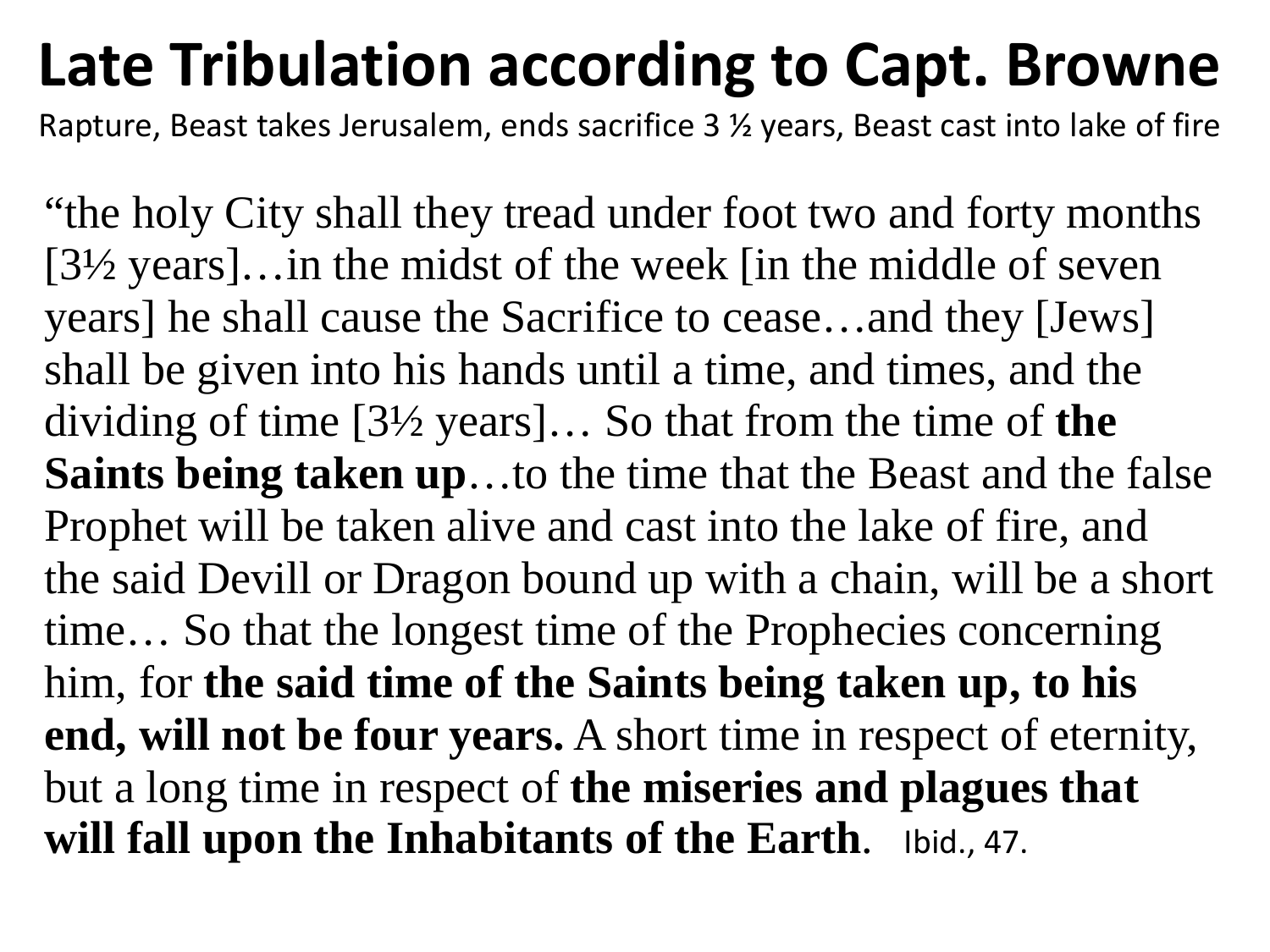## **Late Tribulation according to Capt. Browne**

Rapture, Beast takes Jerusalem, ends sacrifice 3 ½ years, Beast cast into lake of fire

"the holy City shall they tread under foot two and forty months [3½ years]…in the midst of the week [in the middle of seven years] he shall cause the Sacrifice to cease…and they [Jews] shall be given into his hands until a time, and times, and the dividing of time [3½ years]… So that from the time of **the Saints being taken up**…to the time that the Beast and the false Prophet will be taken alive and cast into the lake of fire, and the said Devill or Dragon bound up with a chain, will be a short time… So that the longest time of the Prophecies concerning him, for **the said time of the Saints being taken up, to his end, will not be four years.** A short time in respect of eternity, but a long time in respect of **the miseries and plagues that will fall upon the Inhabitants of the Earth**. Ibid., 47.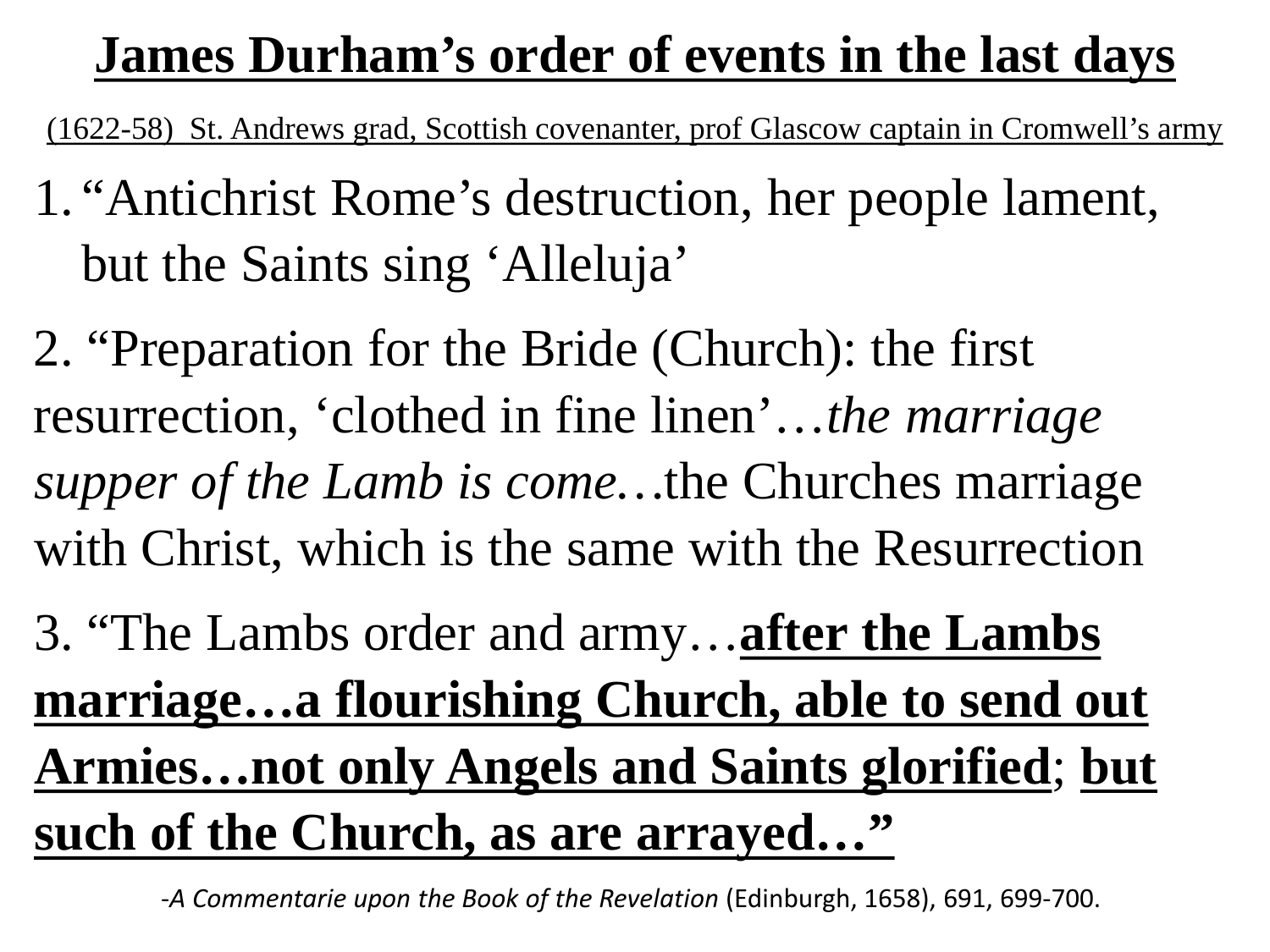### **James Durham's order of events in the last days**

(1622-58) St. Andrews grad, Scottish covenanter, prof Glascow captain in Cromwell's army

- 1. "Antichrist Rome's destruction, her people lament, but the Saints sing 'Alleluja'
- 2. "Preparation for the Bride (Church): the first resurrection, 'clothed in fine linen'…*the marriage supper of the Lamb is come…*the Churches marriage with Christ, which is the same with the Resurrection
- 3. "The Lambs order and army…**after the Lambs marriage…a flourishing Church, able to send out Armies…not only Angels and Saints glorified**; **but such of the Church, as are arrayed…"**

-*A Commentarie upon the Book of the Revelation* (Edinburgh, 1658), 691, 699-700.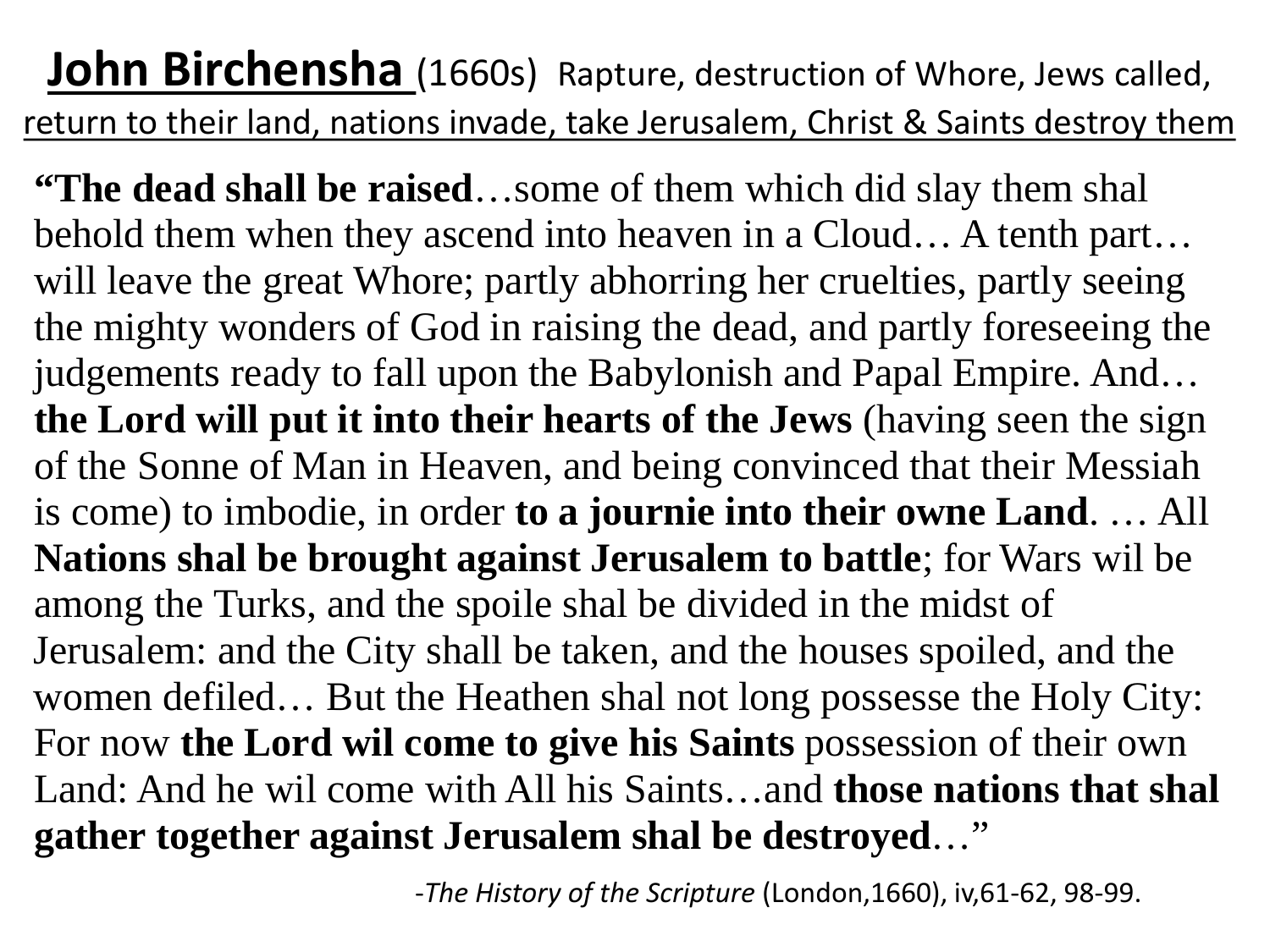**John Birchensha** (1660s) Rapture, destruction of Whore, Jews called, return to their land, nations invade, take Jerusalem, Christ & Saints destroy them

**"The dead shall be raised**…some of them which did slay them shal behold them when they ascend into heaven in a Cloud… A tenth part… will leave the great Whore; partly abhorring her cruelties, partly seeing the mighty wonders of God in raising the dead, and partly foreseeing the judgements ready to fall upon the Babylonish and Papal Empire. And… **the Lord will put it into their hearts of the Jews** (having seen the sign of the Sonne of Man in Heaven, and being convinced that their Messiah is come) to imbodie, in order **to a journie into their owne Land**. … All **Nations shal be brought against Jerusalem to battle**; for Wars wil be among the Turks, and the spoile shal be divided in the midst of Jerusalem: and the City shall be taken, and the houses spoiled, and the women defiled… But the Heathen shal not long possesse the Holy City: For now **the Lord wil come to give his Saints** possession of their own Land: And he wil come with All his Saints…and **those nations that shal gather together against Jerusalem shal be destroyed**…"

-*The History of the Scripture* (London,1660), iv,61-62, 98-99.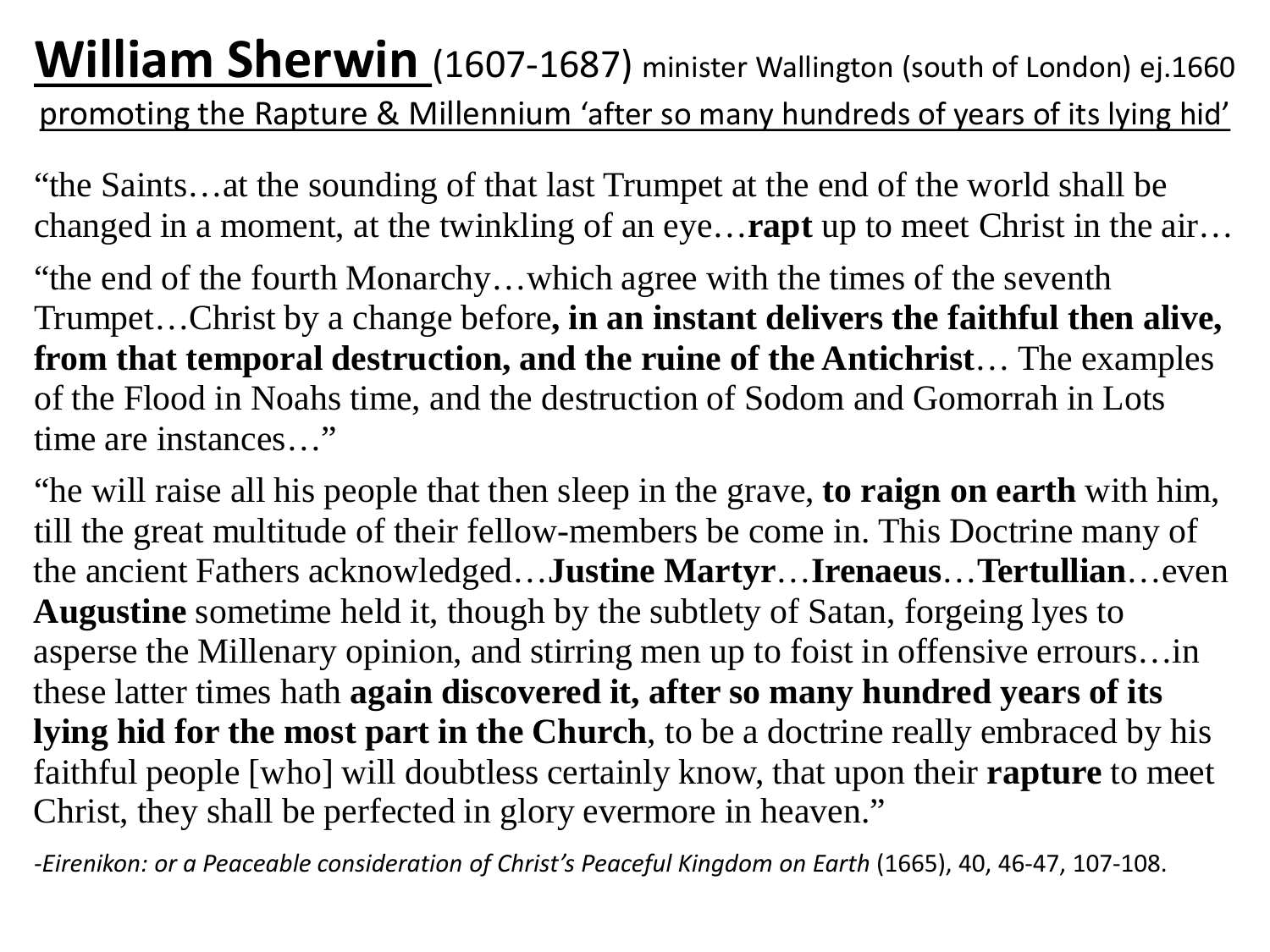#### **William Sherwin** (1607-1687) minister Wallington (south of London) ej.1660 promoting the Rapture & Millennium 'after so many hundreds of years of its lying hid'

"the Saints…at the sounding of that last Trumpet at the end of the world shall be changed in a moment, at the twinkling of an eye…**rapt** up to meet Christ in the air…

"the end of the fourth Monarchy…which agree with the times of the seventh Trumpet…Christ by a change before**, in an instant delivers the faithful then alive, from that temporal destruction, and the ruine of the Antichrist**… The examples of the Flood in Noahs time, and the destruction of Sodom and Gomorrah in Lots time are instances…"

"he will raise all his people that then sleep in the grave, **to raign on earth** with him, till the great multitude of their fellow-members be come in. This Doctrine many of the ancient Fathers acknowledged…**Justine Martyr**…**Irenaeus**…**Tertullian**…even **Augustine** sometime held it, though by the subtlety of Satan, forgeing lyes to asperse the Millenary opinion, and stirring men up to foist in offensive errours…in these latter times hath **again discovered it, after so many hundred years of its lying hid for the most part in the Church**, to be a doctrine really embraced by his faithful people [who] will doubtless certainly know, that upon their **rapture** to meet Christ, they shall be perfected in glory evermore in heaven."

*-Eirenikon: or a Peaceable consideration of Christ's Peaceful Kingdom on Earth* (1665), 40, 46-47, 107-108.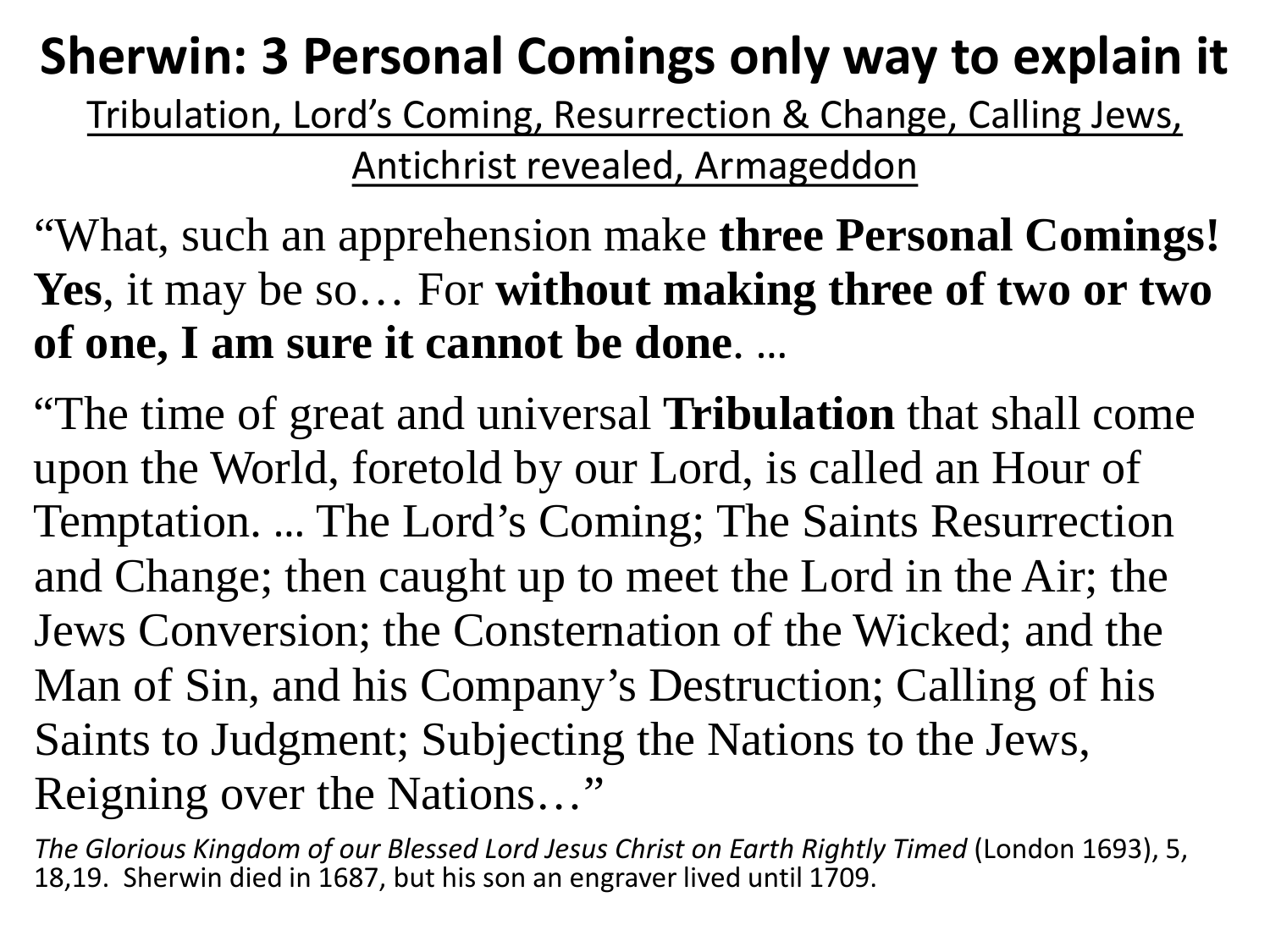### **Sherwin: 3 Personal Comings only way to explain it**

Tribulation, Lord's Coming, Resurrection & Change, Calling Jews, Antichrist revealed, Armageddon

#### "What, such an apprehension make **three Personal Comings! Yes**, it may be so… For **without making three of two or two of one, I am sure it cannot be done**. …

"The time of great and universal **Tribulation** that shall come upon the World, foretold by our Lord, is called an Hour of Temptation. … The Lord's Coming; The Saints Resurrection and Change; then caught up to meet the Lord in the Air; the Jews Conversion; the Consternation of the Wicked; and the Man of Sin, and his Company's Destruction; Calling of his Saints to Judgment; Subjecting the Nations to the Jews, Reigning over the Nations…"

*The Glorious Kingdom of our Blessed Lord Jesus Christ on Earth Rightly Timed* (London 1693), 5, 18,19. Sherwin died in 1687, but his son an engraver lived until 1709.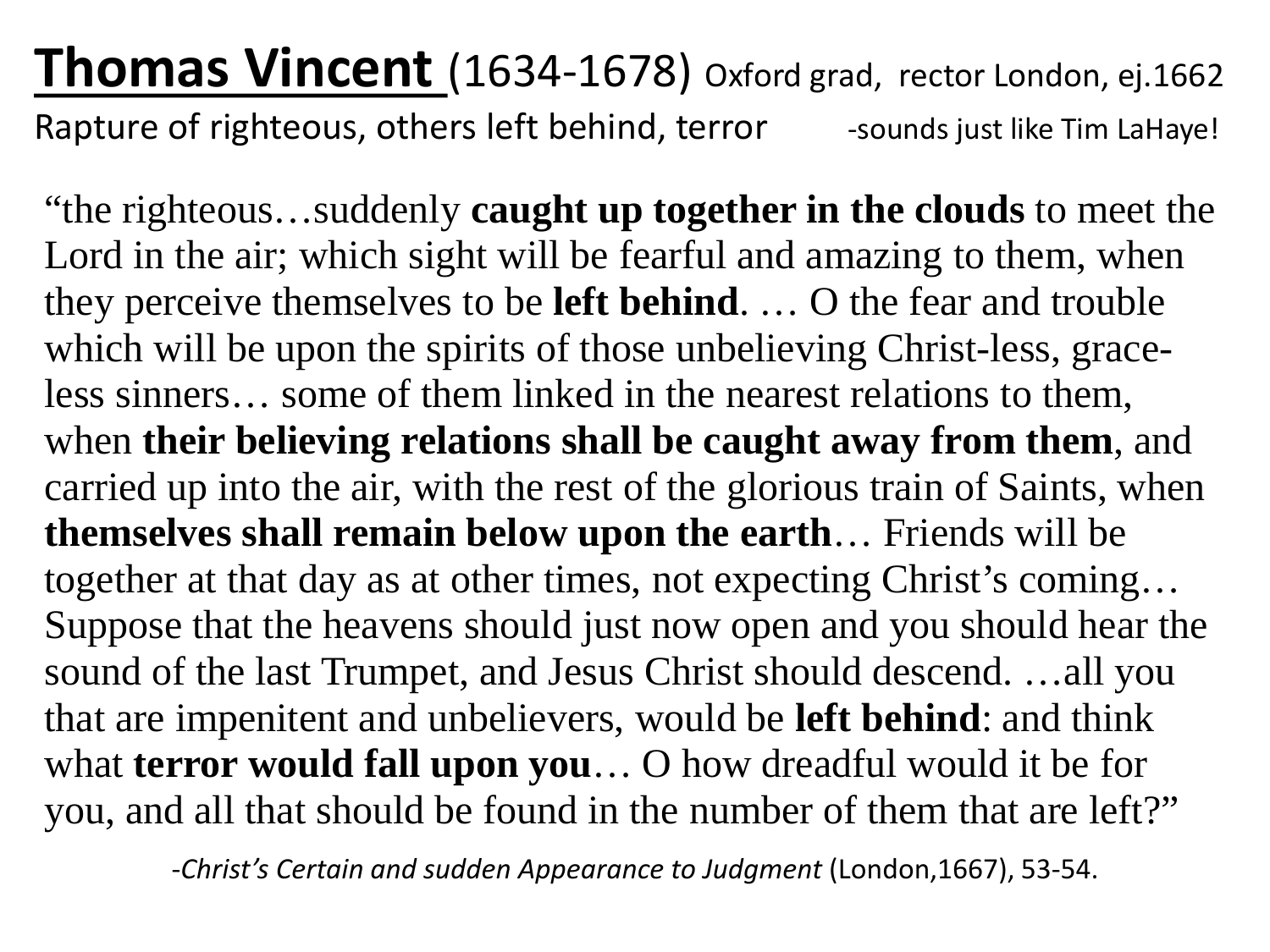**Thomas Vincent** (1634-1678) Oxford grad, rector London, ej.1662 Rapture of righteous, others left behind, terror sounds just like Tim LaHaye!

"the righteous…suddenly **caught up together in the clouds** to meet the Lord in the air; which sight will be fearful and amazing to them, when they perceive themselves to be **left behind**. … O the fear and trouble which will be upon the spirits of those unbelieving Christ-less, graceless sinners… some of them linked in the nearest relations to them, when **their believing relations shall be caught away from them**, and carried up into the air, with the rest of the glorious train of Saints, when **themselves shall remain below upon the earth**… Friends will be together at that day as at other times, not expecting Christ's coming… Suppose that the heavens should just now open and you should hear the sound of the last Trumpet, and Jesus Christ should descend. …all you that are impenitent and unbelievers, would be **left behind**: and think what **terror would fall upon you**… O how dreadful would it be for you, and all that should be found in the number of them that are left?"

-*Christ's Certain and sudden Appearance to Judgment* (London,1667), 53-54.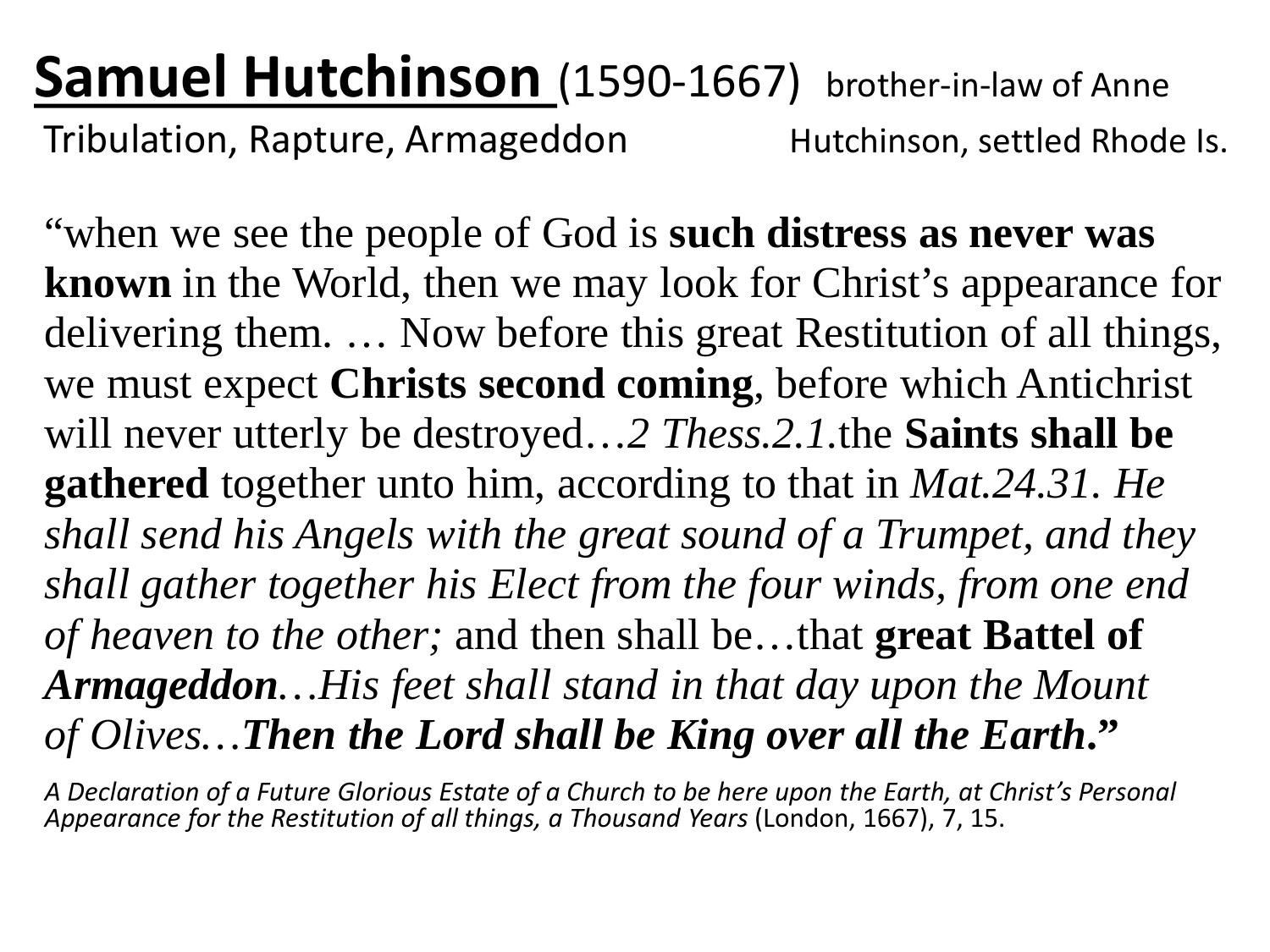### **Samuel Hutchinson** (1590-1667) brother-in-law of Anne

Tribulation, Rapture, Armageddon Futchinson, settled Rhode Is.

"when we see the people of God is **such distress as never was known** in the World, then we may look for Christ's appearance for delivering them. … Now before this great Restitution of all things, we must expect **Christs second coming**, before which Antichrist will never utterly be destroyed…*2 Thess.2.1.*the **Saints shall be gathered** together unto him, according to that in *Mat.24.31. He shall send his Angels with the great sound of a Trumpet, and they shall gather together his Elect from the four winds, from one end of heaven to the other;* and then shall be…that **great Battel of**  *Armageddon…His feet shall stand in that day upon the Mount of Olives…Then the Lord shall be King over all the Earth***."**

*A Declaration of a Future Glorious Estate of a Church to be here upon the Earth, at Christ's Personal Appearance for the Restitution of all things, a Thousand Years* (London, 1667), 7, 15.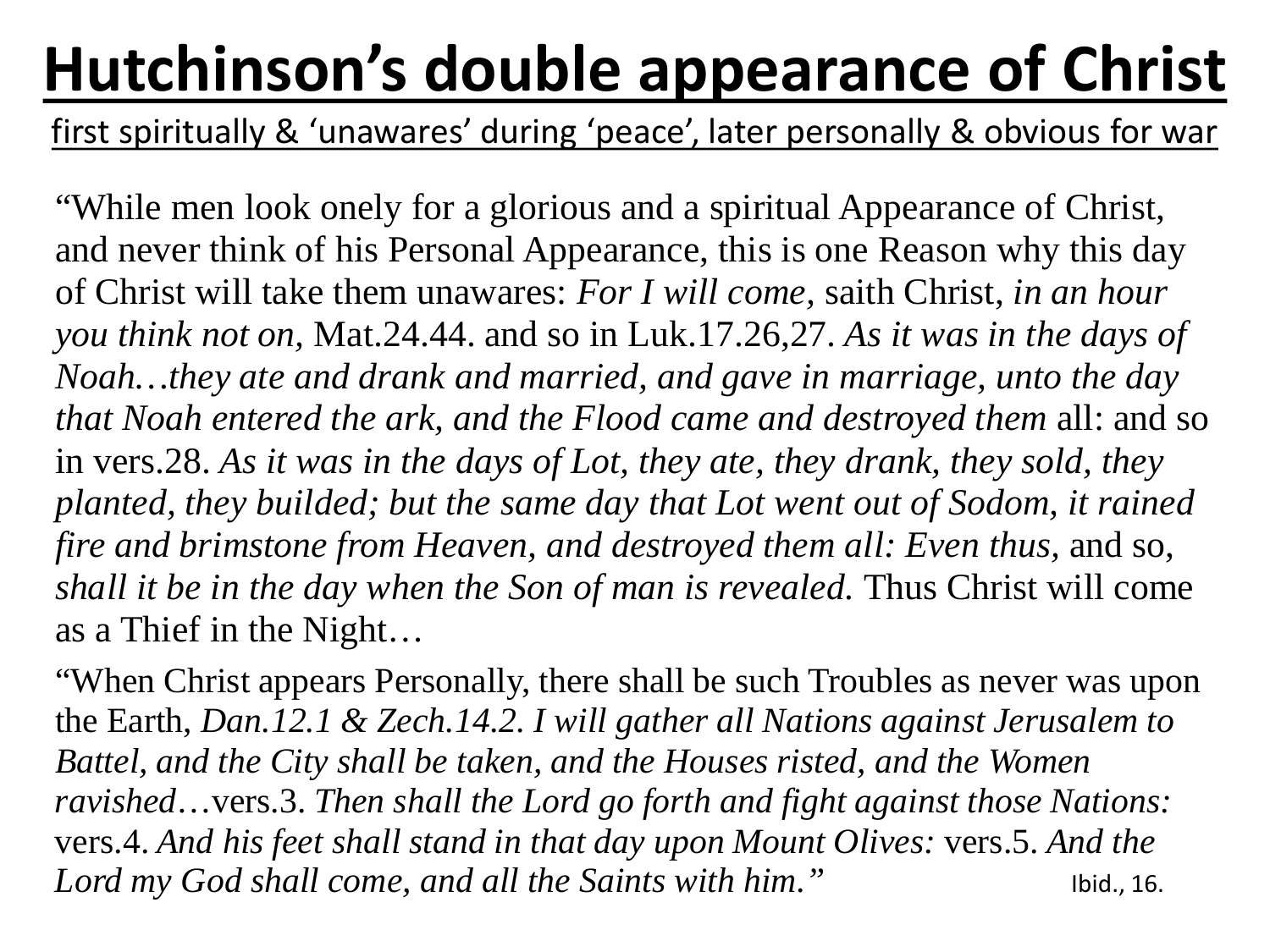# **Hutchinson's double appearance of Christ**

first spiritually & 'unawares' during 'peace', later personally & obvious for war

"While men look onely for a glorious and a spiritual Appearance of Christ, and never think of his Personal Appearance, this is one Reason why this day of Christ will take them unawares: *For I will come,* saith Christ, *in an hour you think not on,* Mat.24.44. and so in Luk.17.26,27. *As it was in the days of Noah…they ate and drank and married, and gave in marriage, unto the day that Noah entered the ark, and the Flood came and destroyed them* all: and so in vers.28. *As it was in the days of Lot, they ate, they drank, they sold, they planted, they builded; but the same day that Lot went out of Sodom, it rained fire and brimstone from Heaven, and destroyed them all: Even thus,* and so, *shall it be in the day when the Son of man is revealed.* Thus Christ will come as a Thief in the Night…

"When Christ appears Personally, there shall be such Troubles as never was upon the Earth, *Dan.12.1 & Zech.14.2. I will gather all Nations against Jerusalem to Battel, and the City shall be taken, and the Houses risted, and the Women ravished*…vers.3. *Then shall the Lord go forth and fight against those Nations:*  vers.4. *And his feet shall stand in that day upon Mount Olives:* vers.5. *And the*  Lord my God shall come, and all the Saints with him." 
Ibid., 16.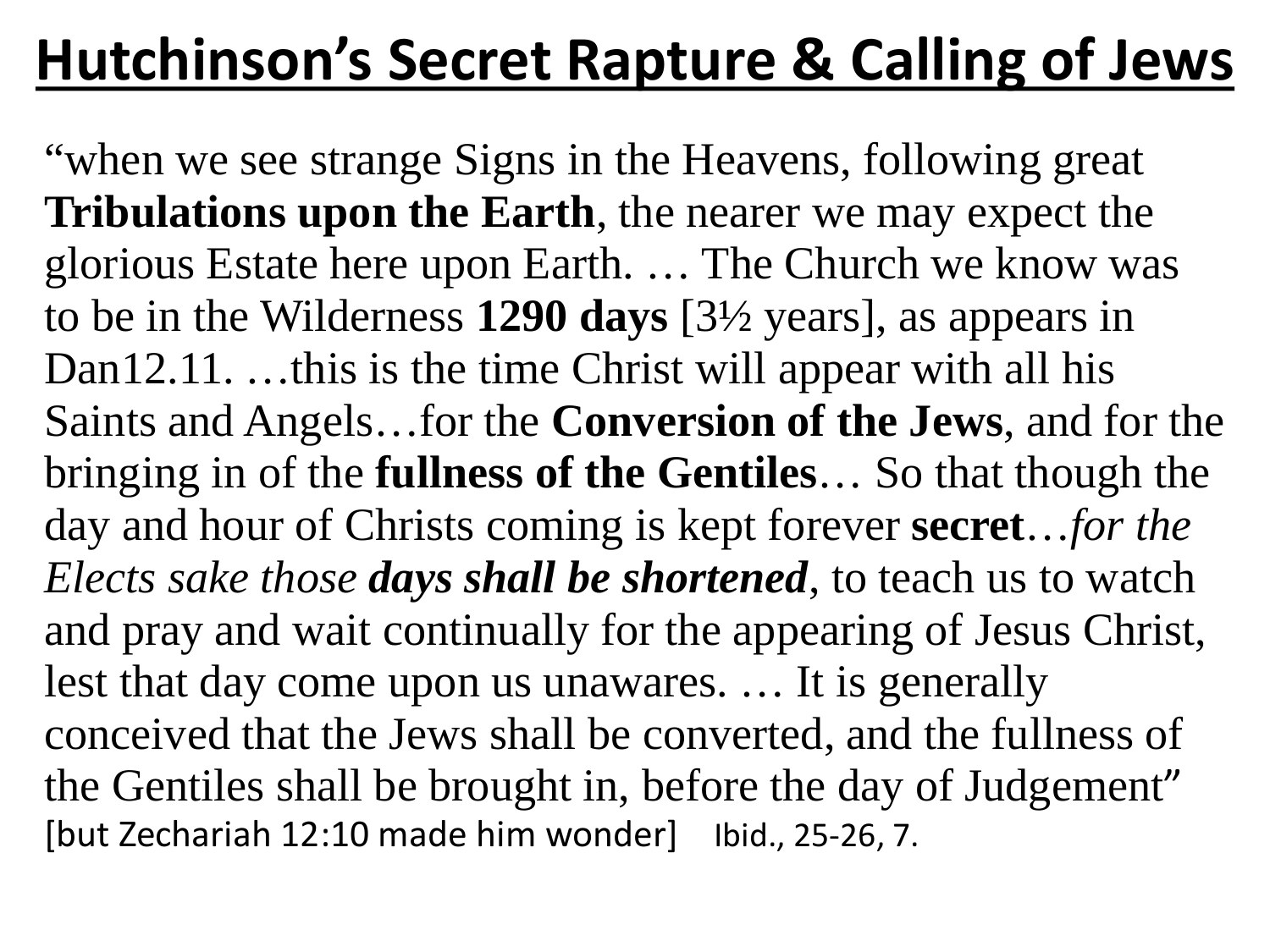### **Hutchinson's Secret Rapture & Calling of Jews**

"when we see strange Signs in the Heavens, following great **Tribulations upon the Earth**, the nearer we may expect the glorious Estate here upon Earth. … The Church we know was to be in the Wilderness **1290 days** [3½ years], as appears in Dan12.11. …this is the time Christ will appear with all his Saints and Angels…for the **Conversion of the Jews**, and for the bringing in of the **fullness of the Gentiles**… So that though the day and hour of Christs coming is kept forever **secret**…*for the Elects sake those days shall be shortened*, to teach us to watch and pray and wait continually for the appearing of Jesus Christ, lest that day come upon us unawares. … It is generally conceived that the Jews shall be converted, and the fullness of the Gentiles shall be brought in, before the day of Judgement" [but Zechariah 12:10 made him wonder] Ibid., 25-26, 7.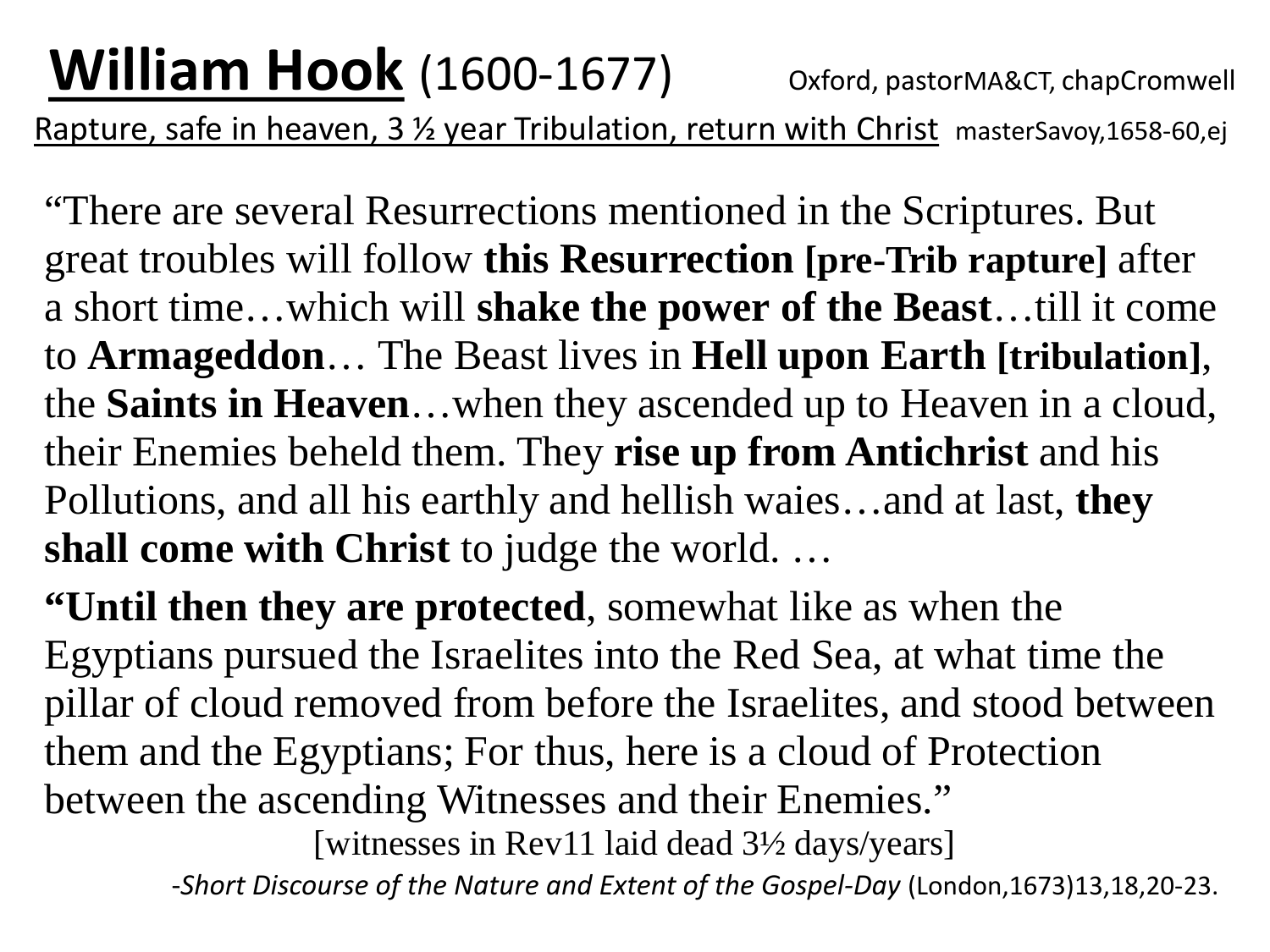"There are several Resurrections mentioned in the Scriptures. But great troubles will follow **this Resurrection [pre-Trib rapture]** after a short time…which will **shake the power of the Beast**…till it come to **Armageddon**… The Beast lives in **Hell upon Earth [tribulation]**, the **Saints in Heaven**…when they ascended up to Heaven in a cloud, their Enemies beheld them. They **rise up from Antichrist** and his Pollutions, and all his earthly and hellish waies…and at last, **they shall come with Christ** to judge the world. …

**"Until then they are protected**, somewhat like as when the Egyptians pursued the Israelites into the Red Sea, at what time the pillar of cloud removed from before the Israelites, and stood between them and the Egyptians; For thus, here is a cloud of Protection between the ascending Witnesses and their Enemies."

[witnesses in Rev11 laid dead 3½ days/years]

-*Short Discourse of the Nature and Extent of the Gospel-Day* (London,1673)13,18,20-23.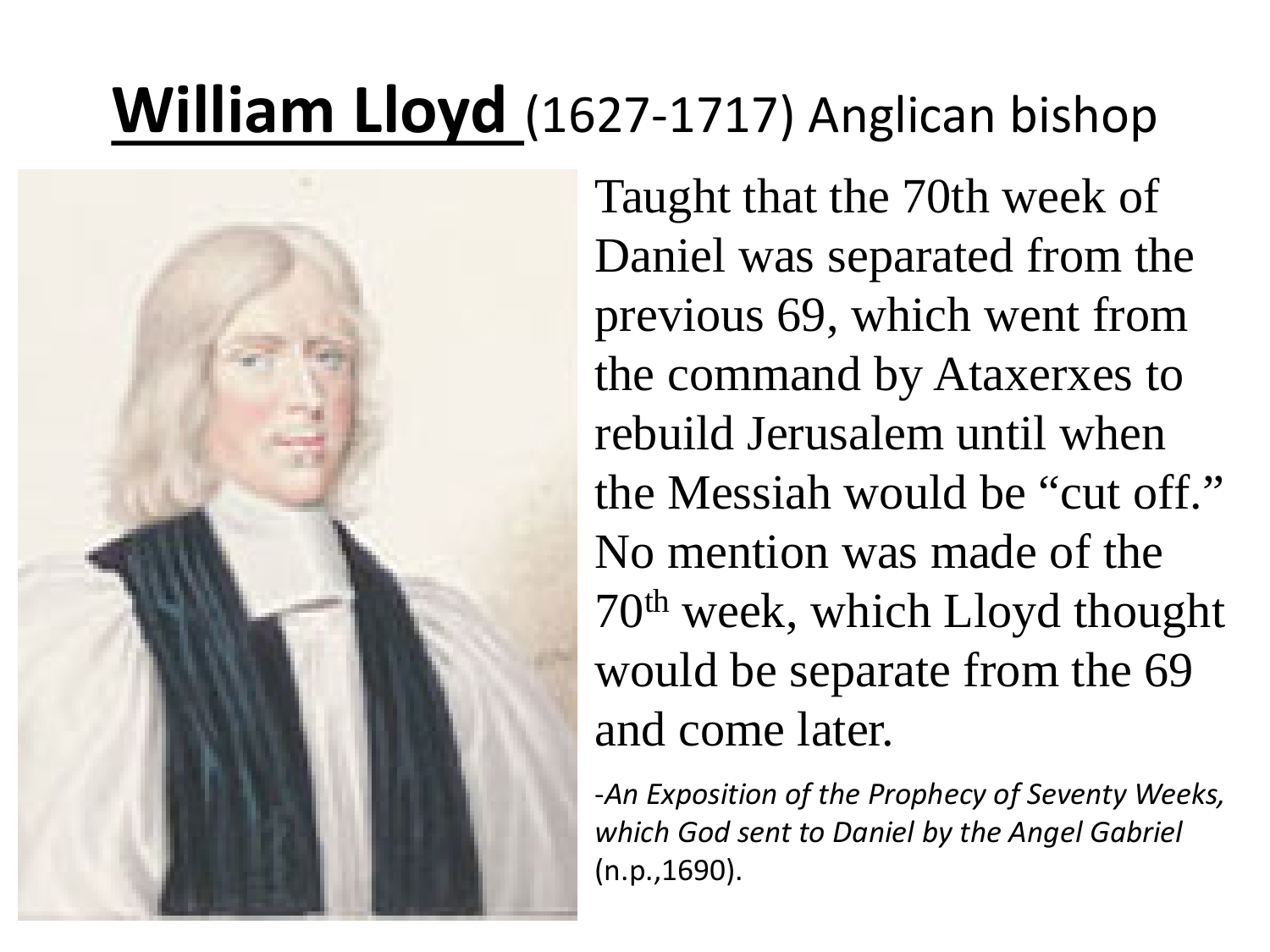## **William Lloyd** (1627-1717) Anglican bishop



Taught that the 70th week of Daniel was separated from the previous 69, which went from the command by Ataxerxes to rebuild Jerusalem until when the Messiah would be "cut off." No mention was made of the 70th week, which Lloyd thought would be separate from the 69 and come later.

-*An Exposition of the Prophecy of Seventy Weeks, which God sent to Daniel by the Angel Gabriel* (n.p.,1690).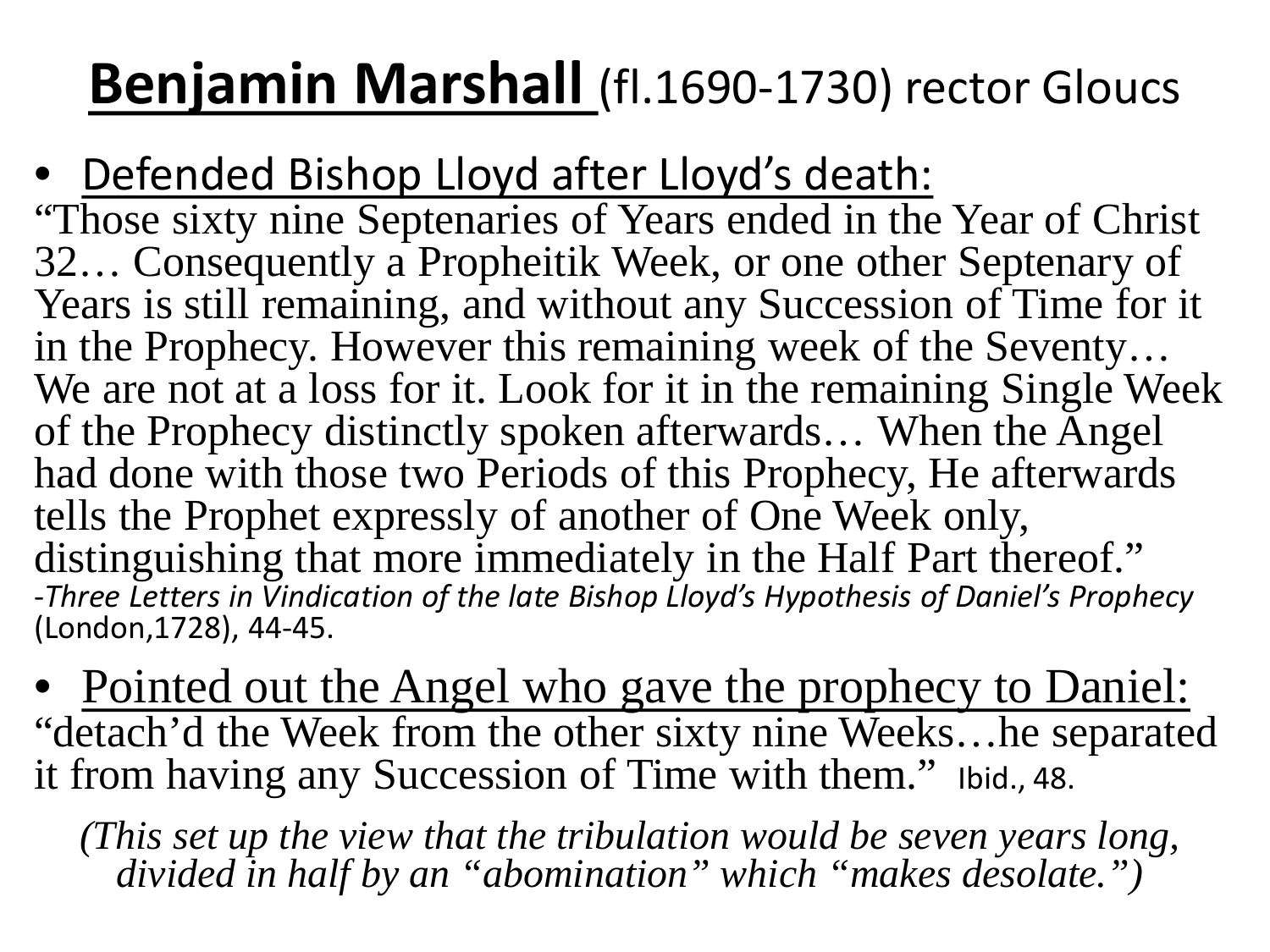### **Benjamin Marshall** (fl.1690-1730) rector Gloucs

- Defended Bishop Lloyd after Lloyd's death:
- "Those sixty nine Septenaries of Years ended in the Year of Christ 32… Consequently a Propheitik Week, or one other Septenary of Years is still remaining, and without any Succession of Time for it in the Prophecy. However this remaining week of the Seventy… We are not at a loss for it. Look for it in the remaining Single Week of the Prophecy distinctly spoken afterwards… When the Angel had done with those two Periods of this Prophecy, He afterwards tells the Prophet expressly of another of One Week only, distinguishing that more immediately in the Half Part thereof." -Three Letters in Vindication of the late Bishop Lloyd's Hypothesis of Daniel's Prophecy (London,1728), 44-45.
- Pointed out the Angel who gave the prophecy to Daniel: "detach'd the Week from the other sixty nine Weeks…he separated it from having any Succession of Time with them." Ibid., 48.

*(This set up the view that the tribulation would be seven years long, divided in half by an "abomination" which "makes desolate.")*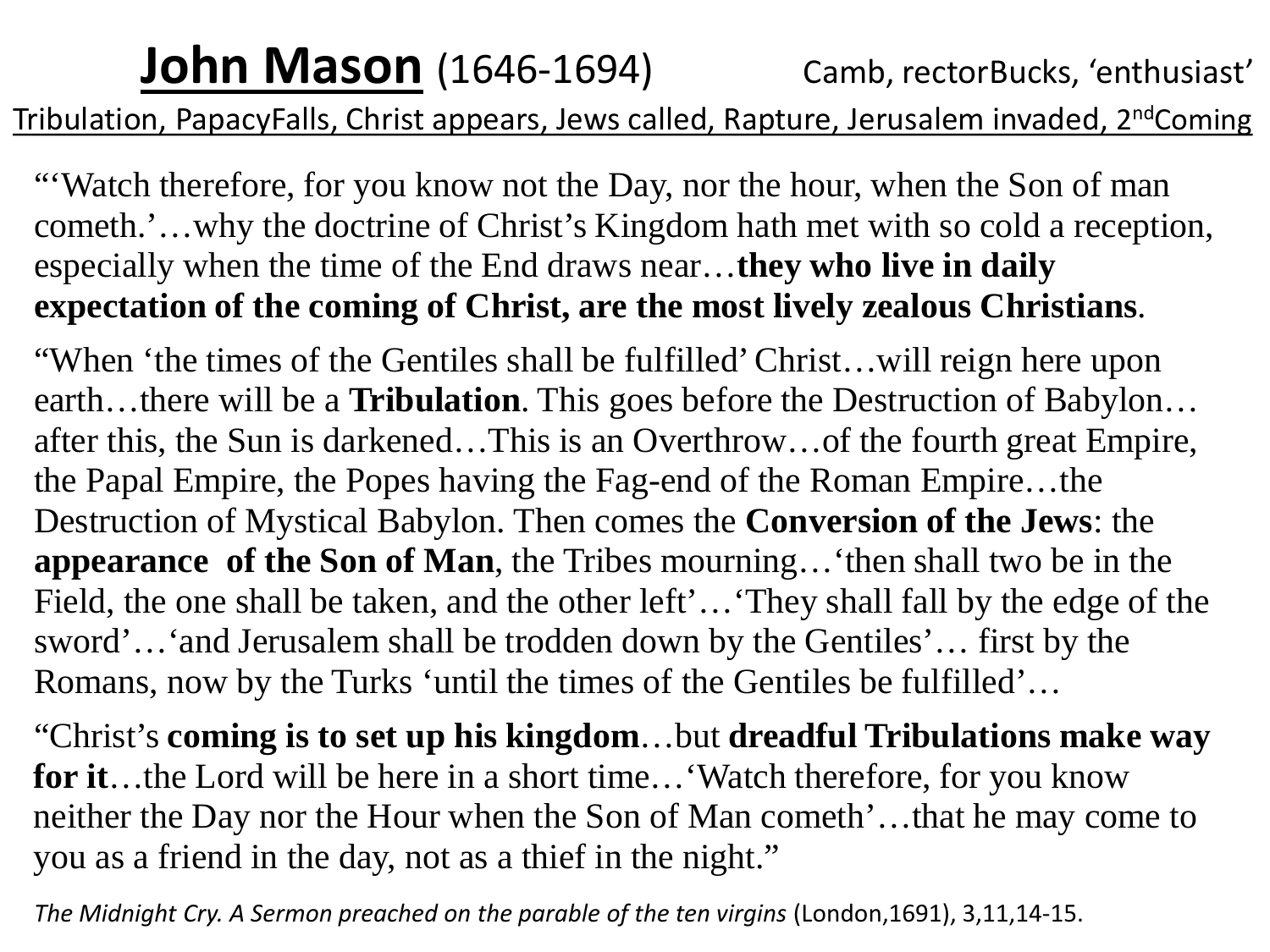#### **John Mason** (1646-1694) Camb, rectorBucks, 'enthusiast' Tribulation, PapacyFalls, Christ appears, Jews called, Rapture, Jerusalem invaded, 2<sup>nd</sup>Coming

"'Watch therefore, for you know not the Day, nor the hour, when the Son of man cometh.'…why the doctrine of Christ's Kingdom hath met with so cold a reception, especially when the time of the End draws near…**they who live in daily expectation of the coming of Christ, are the most lively zealous Christians**.

"When 'the times of the Gentiles shall be fulfilled' Christ…will reign here upon earth…there will be a **Tribulation**. This goes before the Destruction of Babylon… after this, the Sun is darkened…This is an Overthrow…of the fourth great Empire, the Papal Empire, the Popes having the Fag-end of the Roman Empire…the Destruction of Mystical Babylon. Then comes the **Conversion of the Jews**: the **appearance of the Son of Man**, the Tribes mourning…'then shall two be in the Field, the one shall be taken, and the other left'…'They shall fall by the edge of the sword'…'and Jerusalem shall be trodden down by the Gentiles'… first by the Romans, now by the Turks 'until the times of the Gentiles be fulfilled'…

"Christ's **coming is to set up his kingdom**…but **dreadful Tribulations make way for it**…the Lord will be here in a short time…'Watch therefore, for you know neither the Day nor the Hour when the Son of Man cometh'…that he may come to you as a friend in the day, not as a thief in the night."

*The Midnight Cry. A Sermon preached on the parable of the ten virgins* (London,1691), 3,11,14-15.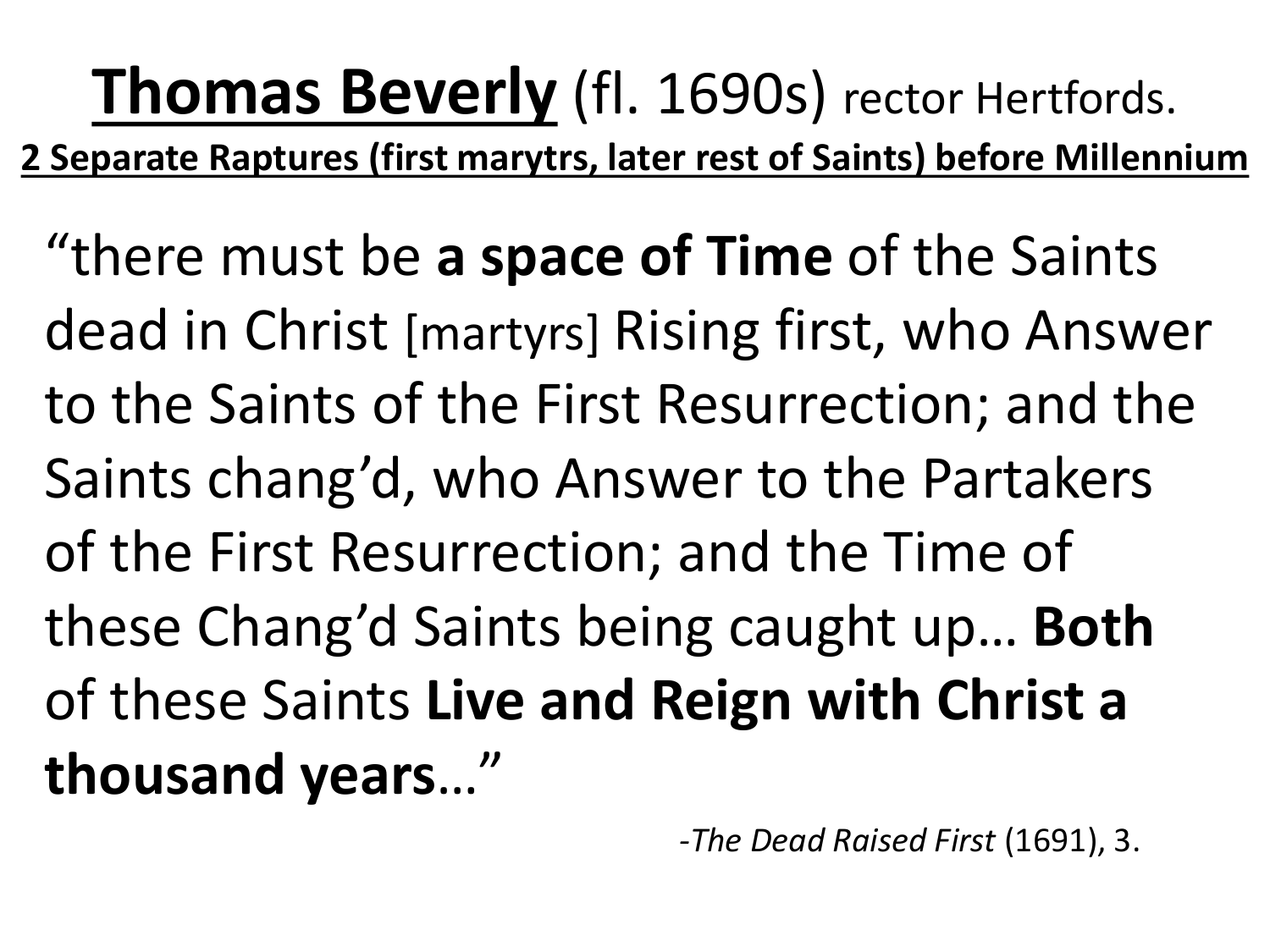**Thomas Beverly** (fl. 1690s) rector Hertfords. **2 Separate Raptures (first marytrs, later rest of Saints) before Millennium** "there must be **a space of Time** of the Saints dead in Christ [martyrs] Rising first, who Answer to the Saints of the First Resurrection; and the Saints chang'd, who Answer to the Partakers of the First Resurrection; and the Time of these Chang'd Saints being caught up… **Both** of these Saints **Live and Reign with Christ a thousand years**…"

*-The Dead Raised First* (1691), 3.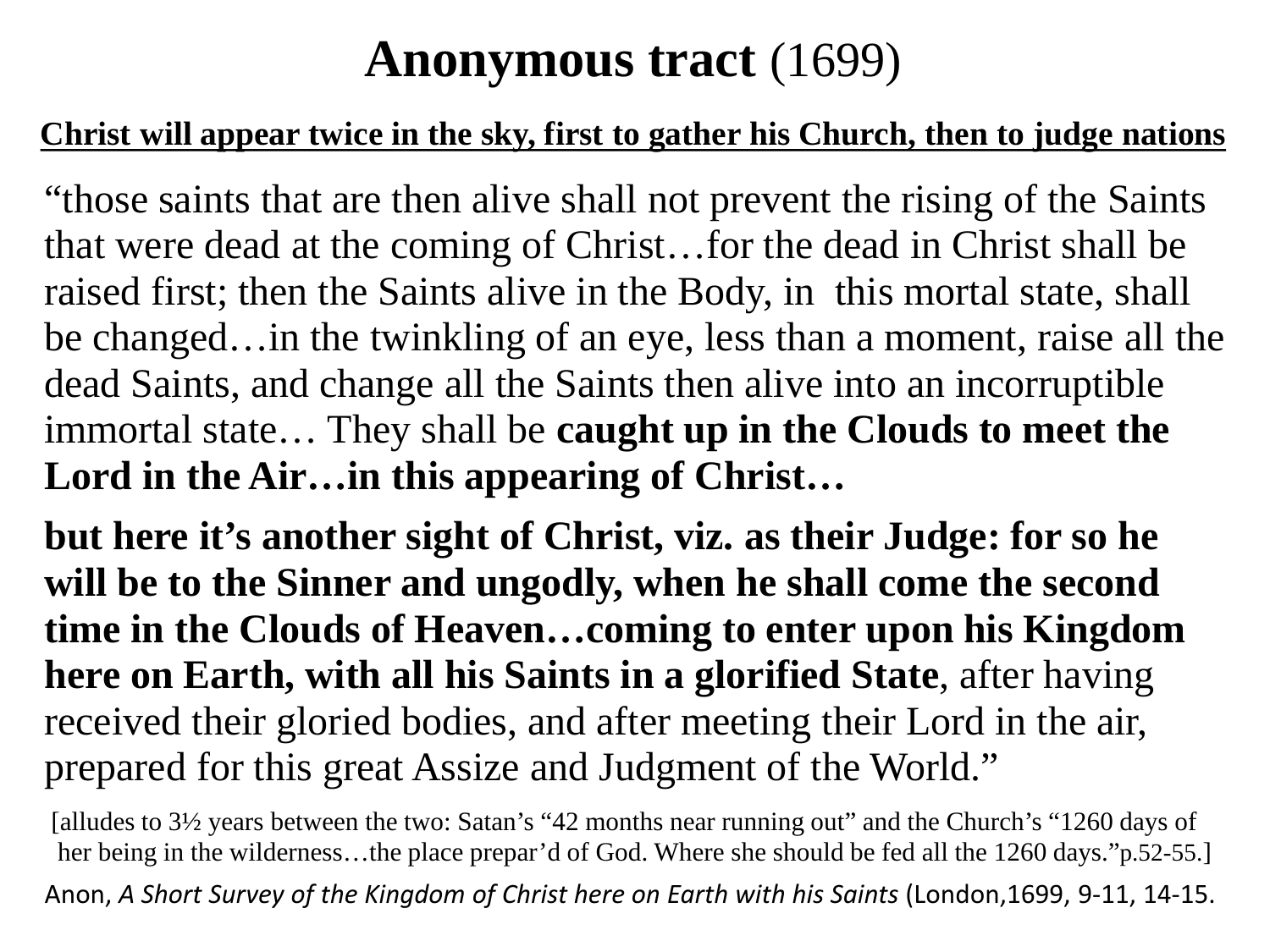#### **Anonymous tract** (1699)

#### **Christ will appear twice in the sky, first to gather his Church, then to judge nations**

"those saints that are then alive shall not prevent the rising of the Saints that were dead at the coming of Christ…for the dead in Christ shall be raised first; then the Saints alive in the Body, in this mortal state, shall be changed…in the twinkling of an eye, less than a moment, raise all the dead Saints, and change all the Saints then alive into an incorruptible immortal state… They shall be **caught up in the Clouds to meet the Lord in the Air…in this appearing of Christ…**

**but here it's another sight of Christ, viz. as their Judge: for so he will be to the Sinner and ungodly, when he shall come the second time in the Clouds of Heaven…coming to enter upon his Kingdom here on Earth, with all his Saints in a glorified State**, after having received their gloried bodies, and after meeting their Lord in the air, prepared for this great Assize and Judgment of the World."

[alludes to 3½ years between the two: Satan's "42 months near running out" and the Church's "1260 days of her being in the wilderness…the place prepar'd of God. Where she should be fed all the 1260 days."p.52-55.] Anon, *A Short Survey of the Kingdom of Christ here on Earth with his Saints* (London,1699, 9-11, 14-15.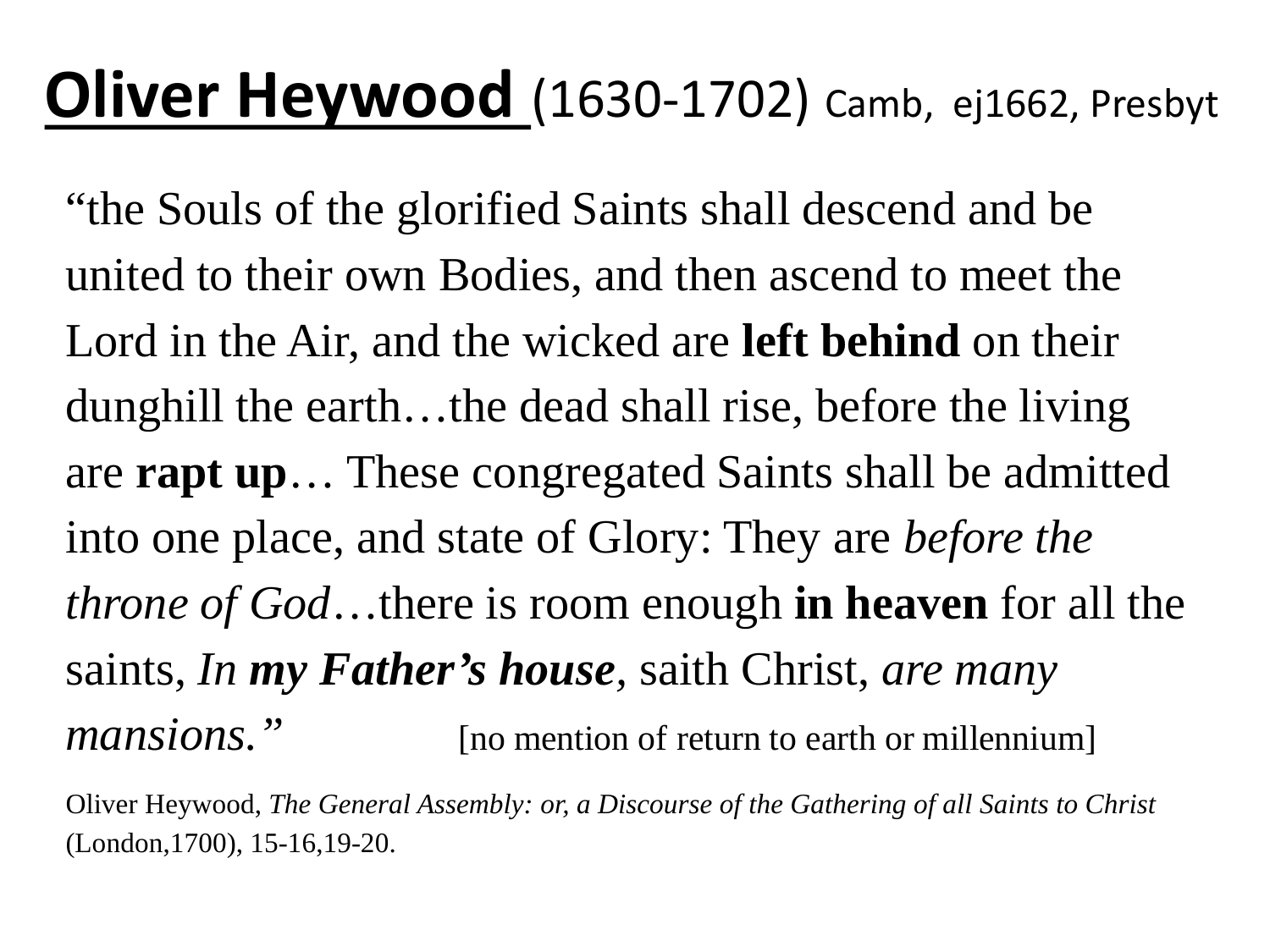### **Oliver Heywood** (1630-1702) Camb, ej1662, Presbyt

"the Souls of the glorified Saints shall descend and be united to their own Bodies, and then ascend to meet the Lord in the Air, and the wicked are **left behind** on their dunghill the earth…the dead shall rise, before the living are **rapt up**… These congregated Saints shall be admitted into one place, and state of Glory: They are *before the throne of God*…there is room enough **in heaven** for all the saints, *In my Father's house,* saith Christ, *are many mansions.*" [no mention of return to earth or millennium]

Oliver Heywood, *The General Assembly: or, a Discourse of the Gathering of all Saints to Christ*  (London,1700), 15-16,19-20.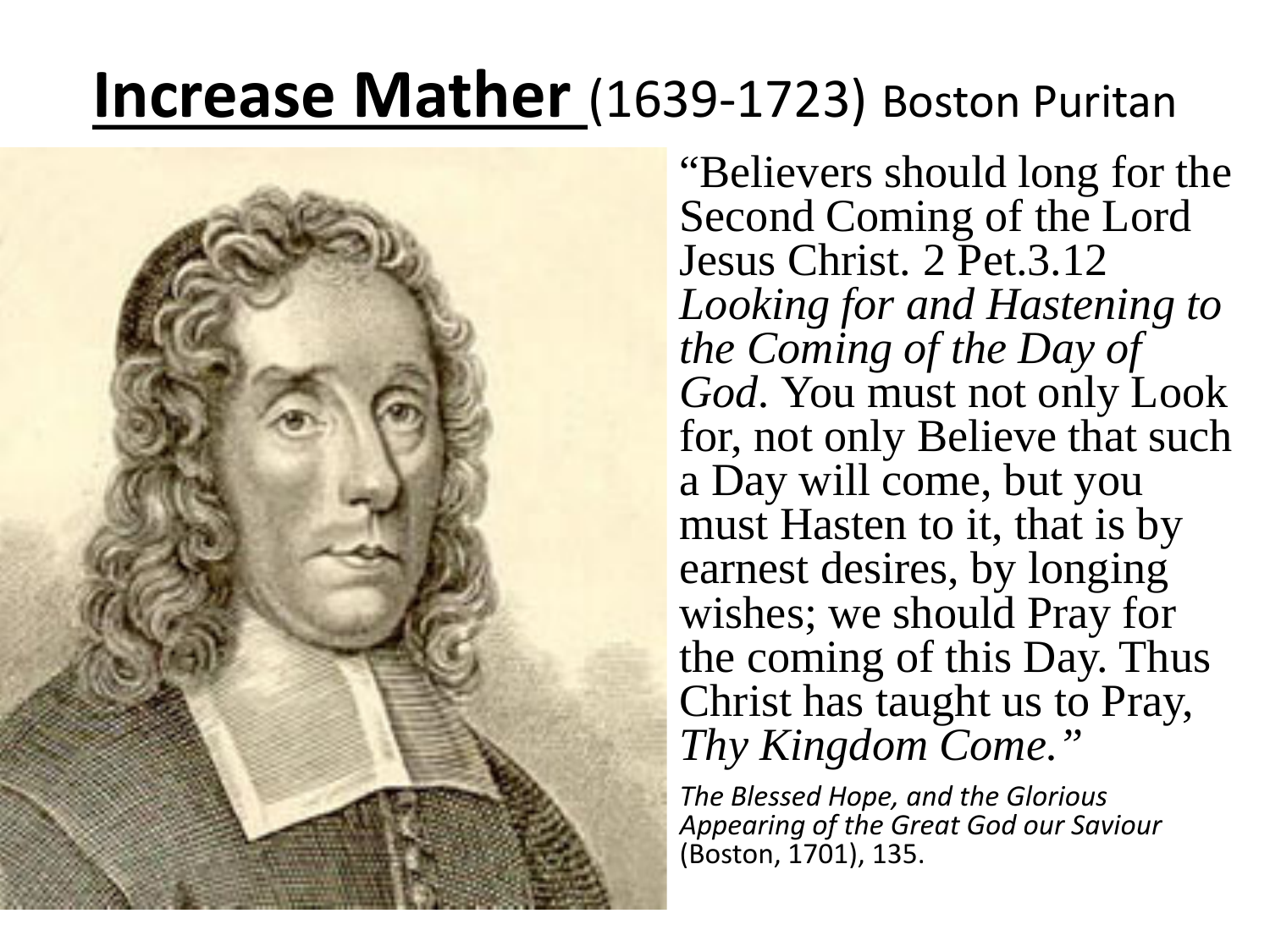### **Increase Mather** (1639-1723) Boston Puritan



"Believers should long for the Second Coming of the Lord Jesus Christ. 2 Pet.3.12 *Looking for and Hastening to the Coming of the Day of God.* You must not only Look for, not only Believe that such a Day will come, but you must Hasten to it, that is by earnest desires, by longing wishes; we should Pray for the coming of this Day. Thus Christ has taught us to Pray, *Thy Kingdom Come."*

*The Blessed Hope, and the Glorious Appearing of the Great God our Saviour* (Boston, 1701), 135.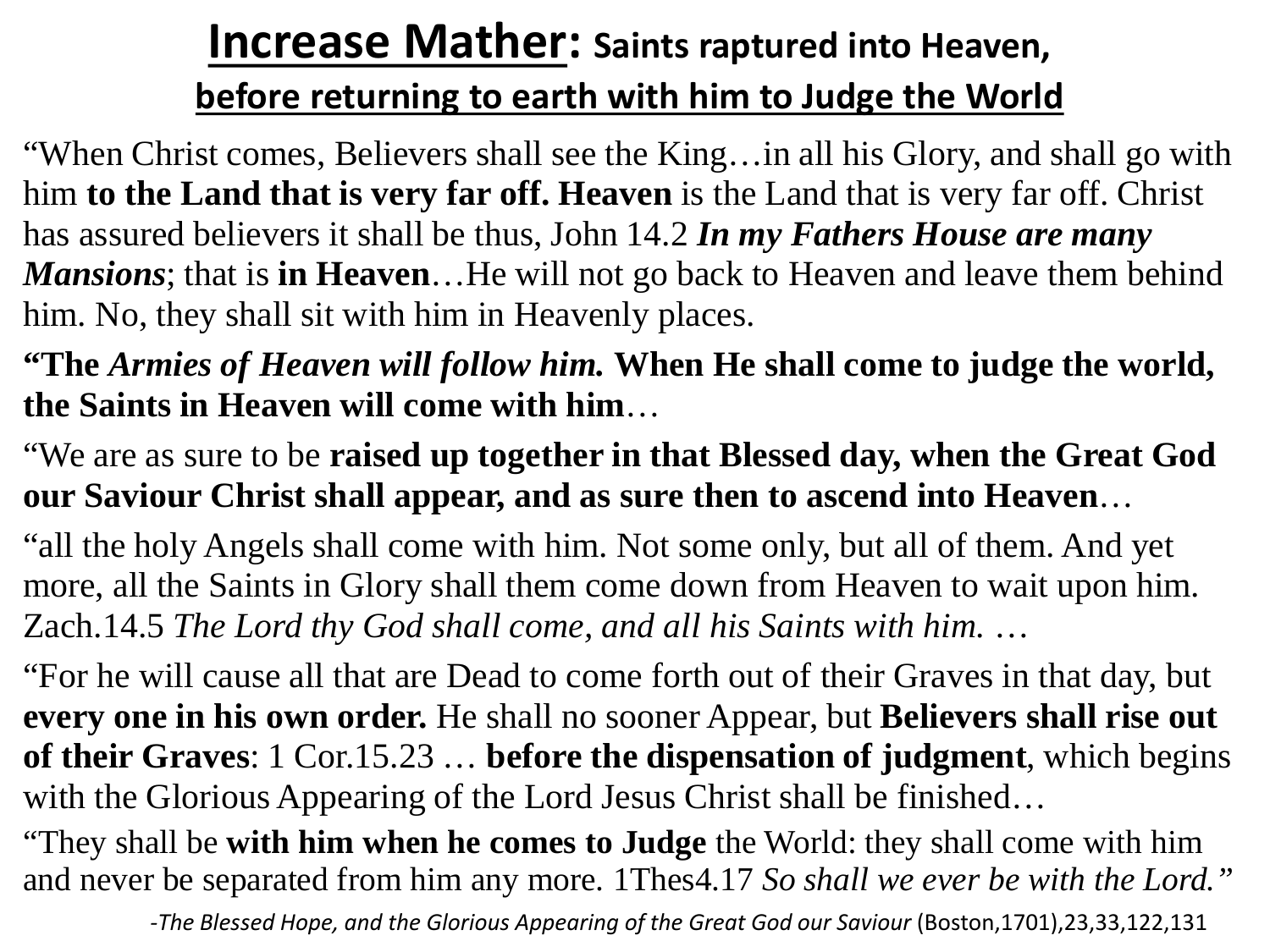#### **Increase Mather: Saints raptured into Heaven, before returning to earth with him to Judge the World**

"When Christ comes, Believers shall see the King…in all his Glory, and shall go with him **to the Land that is very far off. Heaven** is the Land that is very far off. Christ has assured believers it shall be thus, John 14.2 *In my Fathers House are many Mansions*; that is **in Heaven**...He will not go back to Heaven and leave them behind him. No, they shall sit with him in Heavenly places.

**"The** *Armies of Heaven will follow him.* **When He shall come to judge the world, the Saints in Heaven will come with him**…

"We are as sure to be **raised up together in that Blessed day, when the Great God our Saviour Christ shall appear, and as sure then to ascend into Heaven**…

"all the holy Angels shall come with him. Not some only, but all of them. And yet more, all the Saints in Glory shall them come down from Heaven to wait upon him. Zach.14.5 *The Lord thy God shall come, and all his Saints with him.* …

"For he will cause all that are Dead to come forth out of their Graves in that day, but **every one in his own order.** He shall no sooner Appear, but **Believers shall rise out of their Graves**: 1 Cor.15.23 … **before the dispensation of judgment**, which begins with the Glorious Appearing of the Lord Jesus Christ shall be finished...

"They shall be **with him when he comes to Judge** the World: they shall come with him and never be separated from him any more. 1Thes4.17 *So shall we ever be with the Lord."*

*-The Blessed Hope, and the Glorious Appearing of the Great God our Saviour* (Boston,1701),23,33,122,131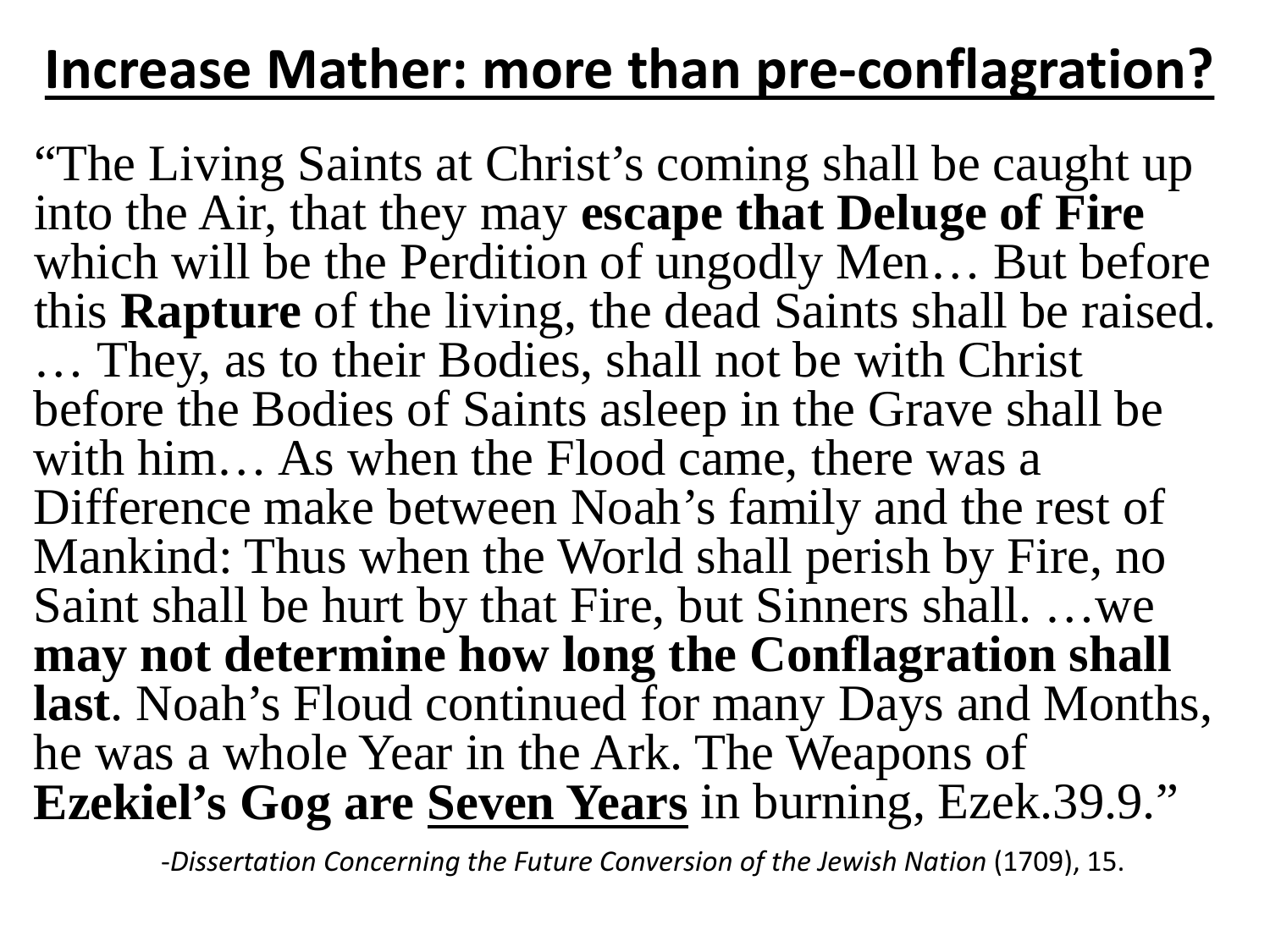### **Increase Mather: more than pre-conflagration?**

"The Living Saints at Christ's coming shall be caught up into the Air, that they may **escape that Deluge of Fire**  which will be the Perdition of ungodly Men... But before this **Rapture** of the living, the dead Saints shall be raised. … They, as to their Bodies, shall not be with Christ before the Bodies of Saints asleep in the Grave shall be with him… As when the Flood came, there was a Difference make between Noah's family and the rest of Mankind: Thus when the World shall perish by Fire, no Saint shall be hurt by that Fire, but Sinners shall. …we **may not determine how long the Conflagration shall last**. Noah's Floud continued for many Days and Months, he was a whole Year in the Ark. The Weapons of **Ezekiel's Gog are Seven Years** in burning, Ezek.39.9."

-Dissertation Concerning the Future Conversion of the Jewish Nation (1709), 15.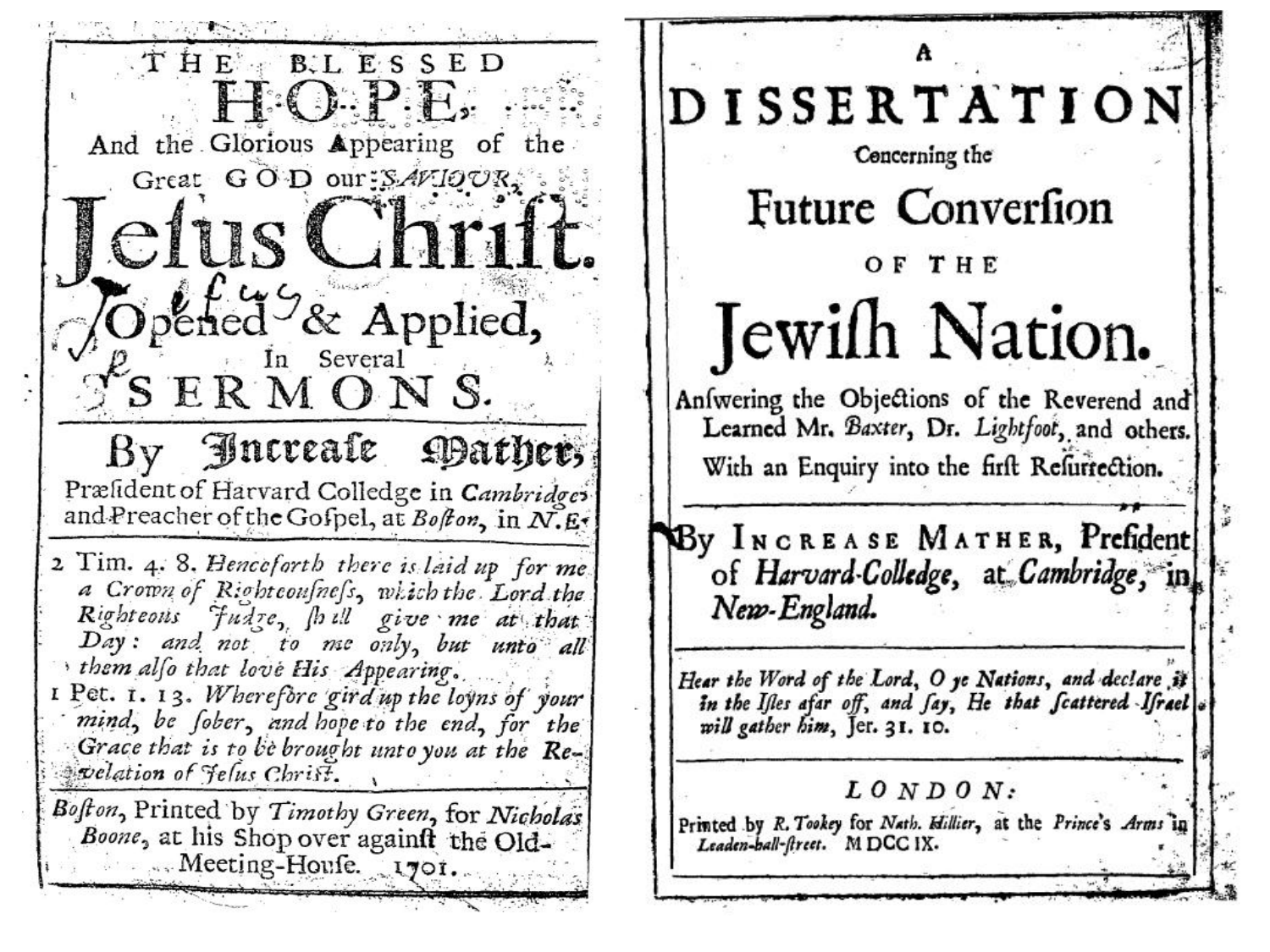THE BLESSED HO.P.E. And the Glorious Appearing of the Great GOD our: SAVIOUR, estus Christ Opened<sup>9</sup>& Applied,  $S^k$ S ERMONS. By Increate Hather, Præfident of Harvard Colledge in Cambridges and Preacher of the Gofpel, at Bofton, in  $N$ . E. 2 Tim. 4. 8. Henceforth there is laid up for me. a Crown of Riohteousness, which the Lord the Righteons Judge, shall give me at that Day: and not to me only, but unto all them also that love His Appearing. I Pet. 1. 13. Wherefore gird up the loyns of your mind, be fober, and hope to the end, for the Grace that is to be brought unto you at the Re-**Prelation of Felus Christ.** Bofton, Printed by Timothy Green, for Nicholas Boone, at his Shop over againft the Old-Meeting-House. 1701.

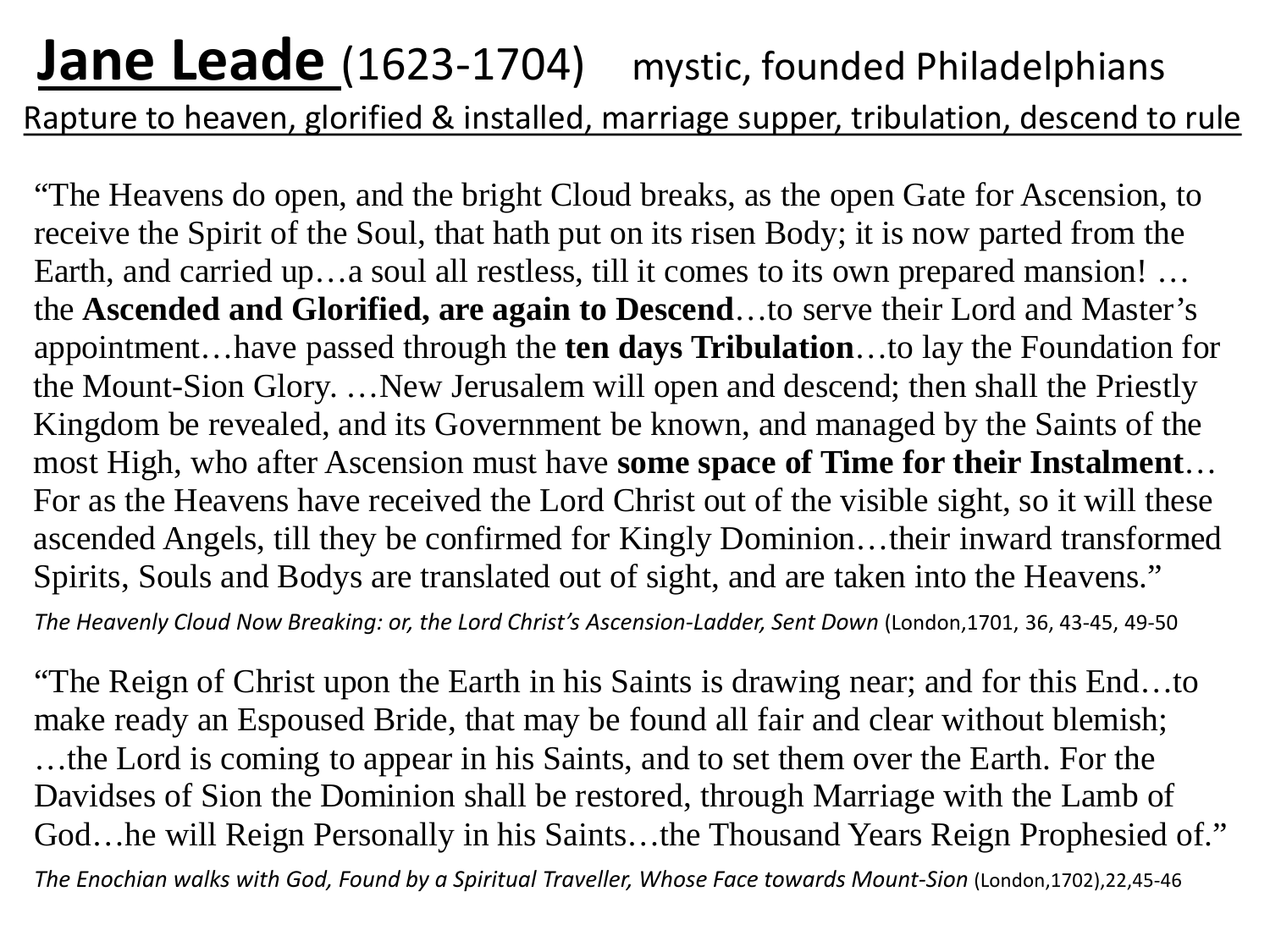#### **Jane Leade** (1623-1704) mystic, founded Philadelphians Rapture to heaven, glorified & installed, marriage supper, tribulation, descend to rule

"The Heavens do open, and the bright Cloud breaks, as the open Gate for Ascension, to receive the Spirit of the Soul, that hath put on its risen Body; it is now parted from the Earth, and carried up…a soul all restless, till it comes to its own prepared mansion! … the **Ascended and Glorified, are again to Descend**…to serve their Lord and Master's appointment…have passed through the **ten days Tribulation**…to lay the Foundation for the Mount-Sion Glory. …New Jerusalem will open and descend; then shall the Priestly Kingdom be revealed, and its Government be known, and managed by the Saints of the most High, who after Ascension must have **some space of Time for their Instalment**… For as the Heavens have received the Lord Christ out of the visible sight, so it will these ascended Angels, till they be confirmed for Kingly Dominion…their inward transformed Spirits, Souls and Bodys are translated out of sight, and are taken into the Heavens."

*The Heavenly Cloud Now Breaking: or, the Lord Christ's Ascension-Ladder, Sent Down* (London,1701, 36, 43-45, 49-50

"The Reign of Christ upon the Earth in his Saints is drawing near; and for this End…to make ready an Espoused Bride, that may be found all fair and clear without blemish; …the Lord is coming to appear in his Saints, and to set them over the Earth. For the Davidses of Sion the Dominion shall be restored, through Marriage with the Lamb of God…he will Reign Personally in his Saints…the Thousand Years Reign Prophesied of." *The Enochian walks with God, Found by a Spiritual Traveller, Whose Face towards Mount-Sion* (London,1702),22,45-46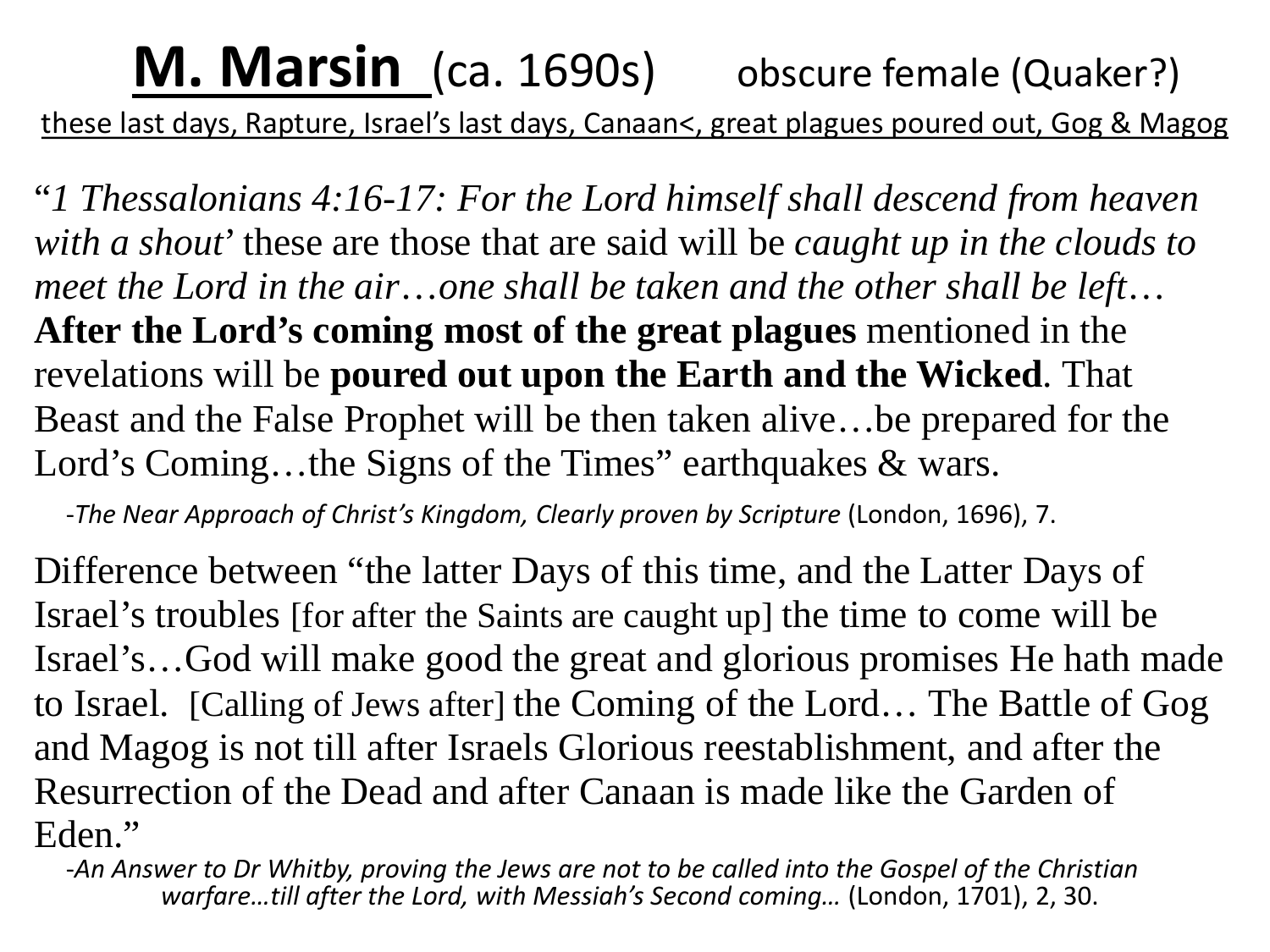#### **M. Marsin** (ca. 1690s) obscure female (Quaker?) these last days, Rapture, Israel's last days, Canaan<, great plagues poured out, Gog & Magog

"*1 Thessalonians 4:16-17: For the Lord himself shall descend from heaven with a shout*' these are those that are said will be *caught up in the clouds to meet the Lord in the air*…*one shall be taken and the other shall be left*… **After the Lord's coming most of the great plagues** mentioned in the revelations will be **poured out upon the Earth and the Wicked**. That Beast and the False Prophet will be then taken alive…be prepared for the Lord's Coming...the Signs of the Times" earthquakes & wars.

-*The Near Approach of Christ's Kingdom, Clearly proven by Scripture* (London, 1696), 7.

Difference between "the latter Days of this time, and the Latter Days of Israel's troubles [for after the Saints are caught up] the time to come will be Israel's…God will make good the great and glorious promises He hath made to Israel. [Calling of Jews after] the Coming of the Lord… The Battle of Gog and Magog is not till after Israels Glorious reestablishment, and after the Resurrection of the Dead and after Canaan is made like the Garden of Eden." -*An Answer to Dr Whitby, proving the Jews are not to be called into the Gospel of the Christian* 

*warfare…till after the Lord, with Messiah's Second coming…* (London, 1701), 2, 30.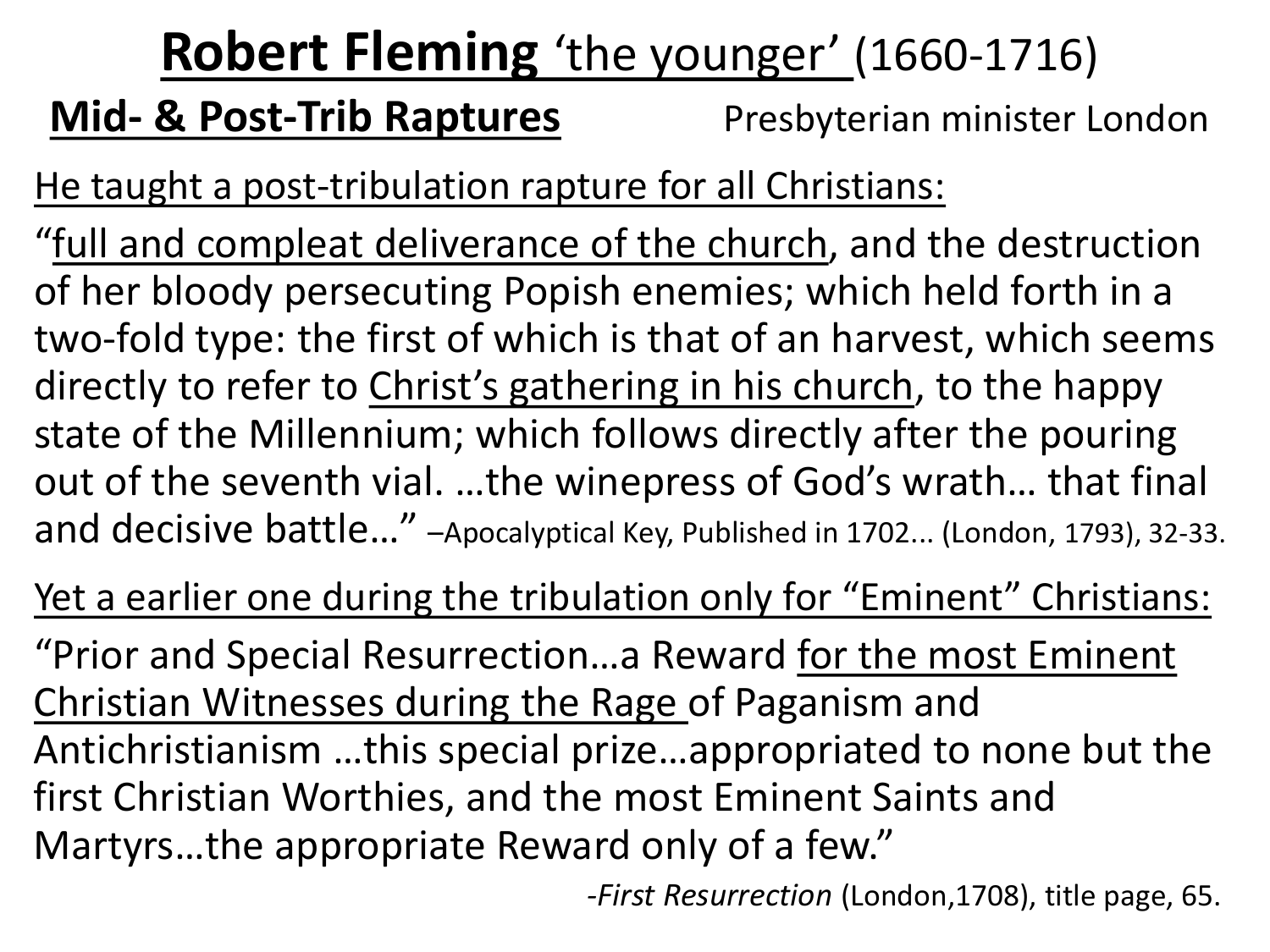### **Robert Fleming** 'the younger' (1660-1716)

#### **Mid- & Post-Trib Raptures** Presbyterian minister London

He taught a post-tribulation rapture for all Christians:

"full and compleat deliverance of the church, and the destruction of her bloody persecuting Popish enemies; which held forth in a two-fold type: the first of which is that of an harvest, which seems directly to refer to Christ's gathering in his church, to the happy state of the Millennium; which follows directly after the pouring out of the seventh vial. …the winepress of God's wrath… that final and decisive battle…" –Apocalyptical Key, Published in 1702... (London, 1793), 32-33.

Yet a earlier one during the tribulation only for "Eminent" Christians:

"Prior and Special Resurrection…a Reward for the most Eminent Christian Witnesses during the Rage of Paganism and Antichristianism …this special prize…appropriated to none but the first Christian Worthies, and the most Eminent Saints and Martyrs…the appropriate Reward only of a few."

*-First Resurrection* (London,1708), title page, 65.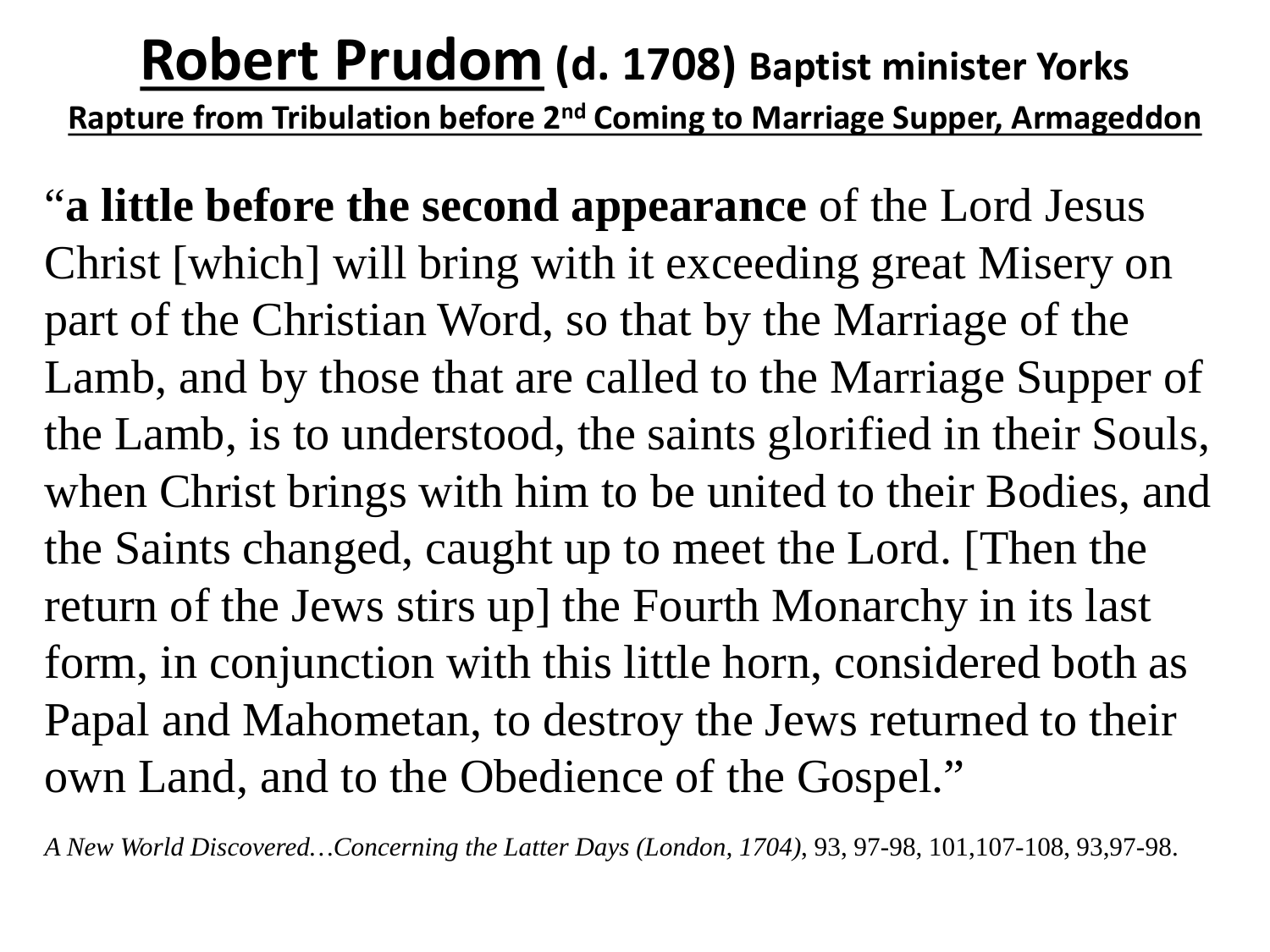#### **Robert Prudom (d. 1708) Baptist minister Yorks Rapture from Tribulation before 2nd Coming to Marriage Supper, Armageddon**

"**a little before the second appearance** of the Lord Jesus Christ [which] will bring with it exceeding great Misery on part of the Christian Word, so that by the Marriage of the Lamb, and by those that are called to the Marriage Supper of the Lamb, is to understood, the saints glorified in their Souls, when Christ brings with him to be united to their Bodies, and the Saints changed, caught up to meet the Lord. [Then the return of the Jews stirs up] the Fourth Monarchy in its last form, in conjunction with this little horn, considered both as Papal and Mahometan, to destroy the Jews returned to their own Land, and to the Obedience of the Gospel."

*A New World Discovered…Concerning the Latter Days (London, 1704)*, 93, 97-98, 101,107-108, 93,97-98.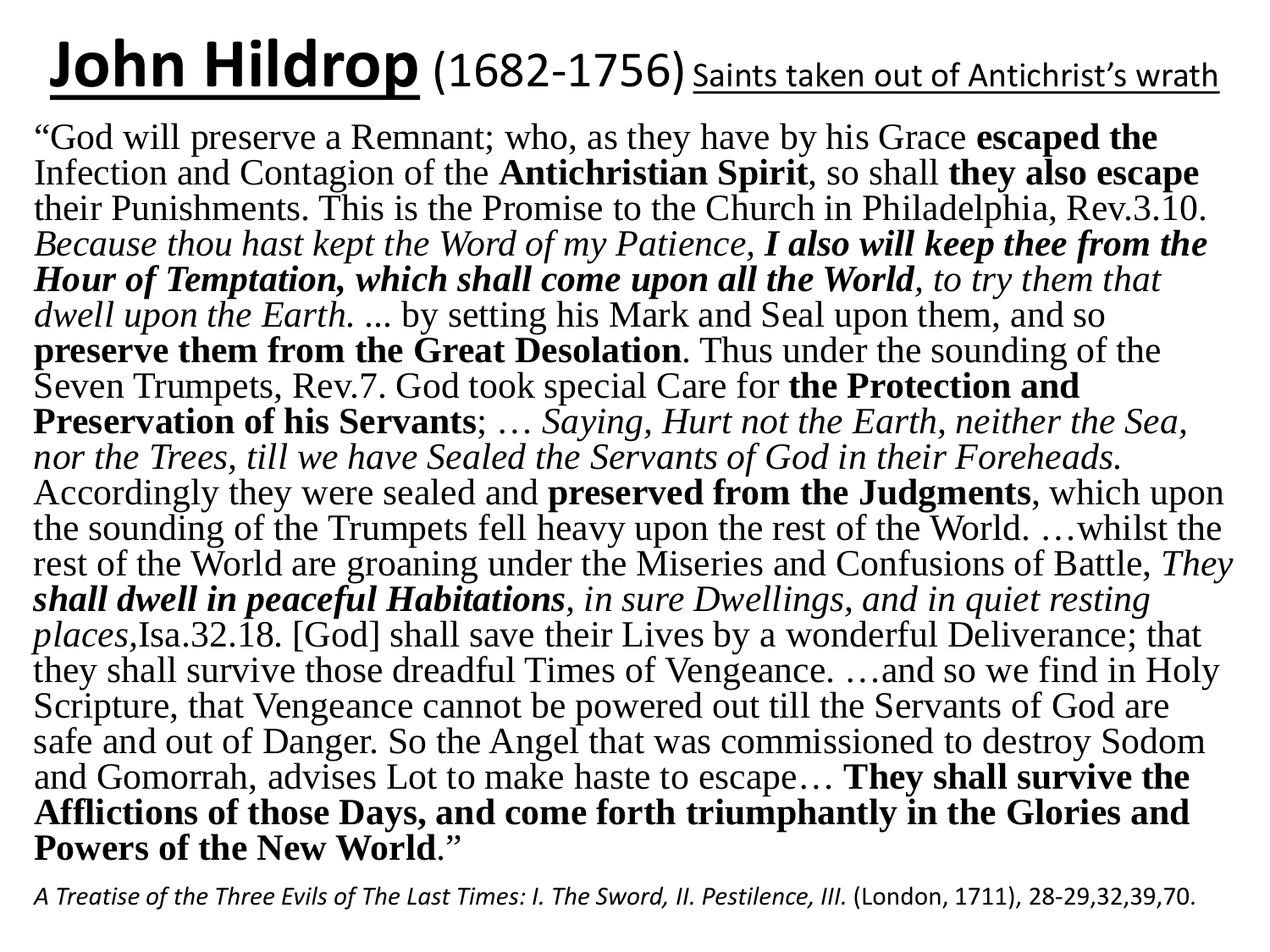# **John Hildrop** (1682-1756) Saints taken out of Antichrist's wrath

"God will preserve a Remnant; who, as they have by his Grace **escaped the**  Infection and Contagion of the **Antichristian Spirit**, so shall **they also escape**  their Punishments. This is the Promise to the Church in Philadelphia, Rev.3.10. *Because thou hast kept the Word of my Patience, I also will keep thee from the Hour of Temptation, which shall come upon all the World, to try them that dwell upon the Earth.* ... by setting his Mark and Seal upon them, and so **preserve them from the Great Desolation.** Thus under the sounding of the Seven Trumpets, Rev.7. God took special Care for **the Protection and Preservation of his Servants**; … *Saying, Hurt not the Earth, neither the Sea, nor the Trees, till we have Sealed the Servants of God in their Foreheads.* Accordingly they were sealed and **preserved from the Judgments**, which upon the sounding of the Trumpets fell heavy upon the rest of the World. …whilst the rest of the World are groaning under the Miseries and Confusions of Battle, *They shall dwell in peaceful Habitations, in sure Dwellings, and in quiet resting places,*Isa.32.18. [God] shall save their Lives by a wonderful Deliverance; that they shall survive those dreadful Times of Vengeance. …and so we find in Holy Scripture, that Vengeance cannot be powered out till the Servants of God are safe and out of Danger. So the Angel that was commissioned to destroy Sodom and Gomorrah, advises Lot to make haste to escape… **They shall survive the Afflictions of those Days, and come forth triumphantly in the Glories and Powers of the New World**."

*A Treatise of the Three Evils of The Last Times: I. The Sword, II. Pestilence, III.* (London, 1711), 28-29,32,39,70.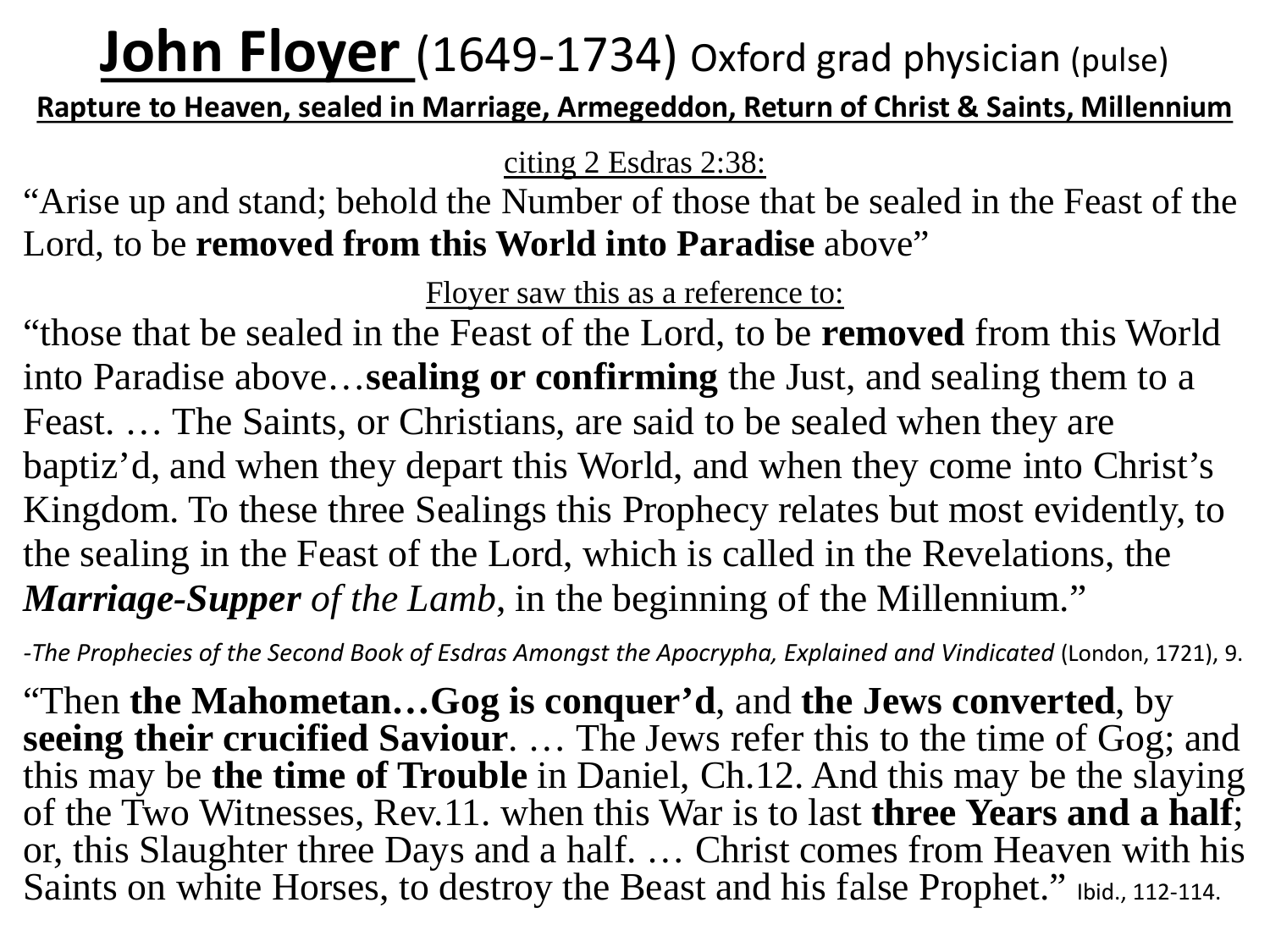### **John Floyer** (1649-1734) Oxford grad physician (pulse)

**Rapture to Heaven, sealed in Marriage, Armegeddon, Return of Christ & Saints, Millennium**

citing 2 Esdras 2:38:

"Arise up and stand; behold the Number of those that be sealed in the Feast of the Lord, to be **removed from this World into Paradise** above"

Floyer saw this as a reference to:

"those that be sealed in the Feast of the Lord, to be **removed** from this World into Paradise above…**sealing or confirming** the Just, and sealing them to a Feast. … The Saints, or Christians, are said to be sealed when they are baptiz'd, and when they depart this World, and when they come into Christ's Kingdom. To these three Sealings this Prophecy relates but most evidently, to the sealing in the Feast of the Lord, which is called in the Revelations, the *Marriage-Supper of the Lamb*, in the beginning of the Millennium."

*-The Prophecies of the Second Book of Esdras Amongst the Apocrypha, Explained and Vindicated* (London, 1721), 9.

"Then **the Mahometan…Gog is conquer'd**, and **the Jews converted**, by **seeing their crucified Saviour**. … The Jews refer this to the time of Gog; and this may be **the time of Trouble** in Daniel, Ch.12. And this may be the slaying of the Two Witnesses, Rev.11. when this War is to last **three Years and a half**; or, this Slaughter three Days and a half. … Christ comes from Heaven with his Saints on white Horses, to destroy the Beast and his false Prophet." Ibid., 112-114.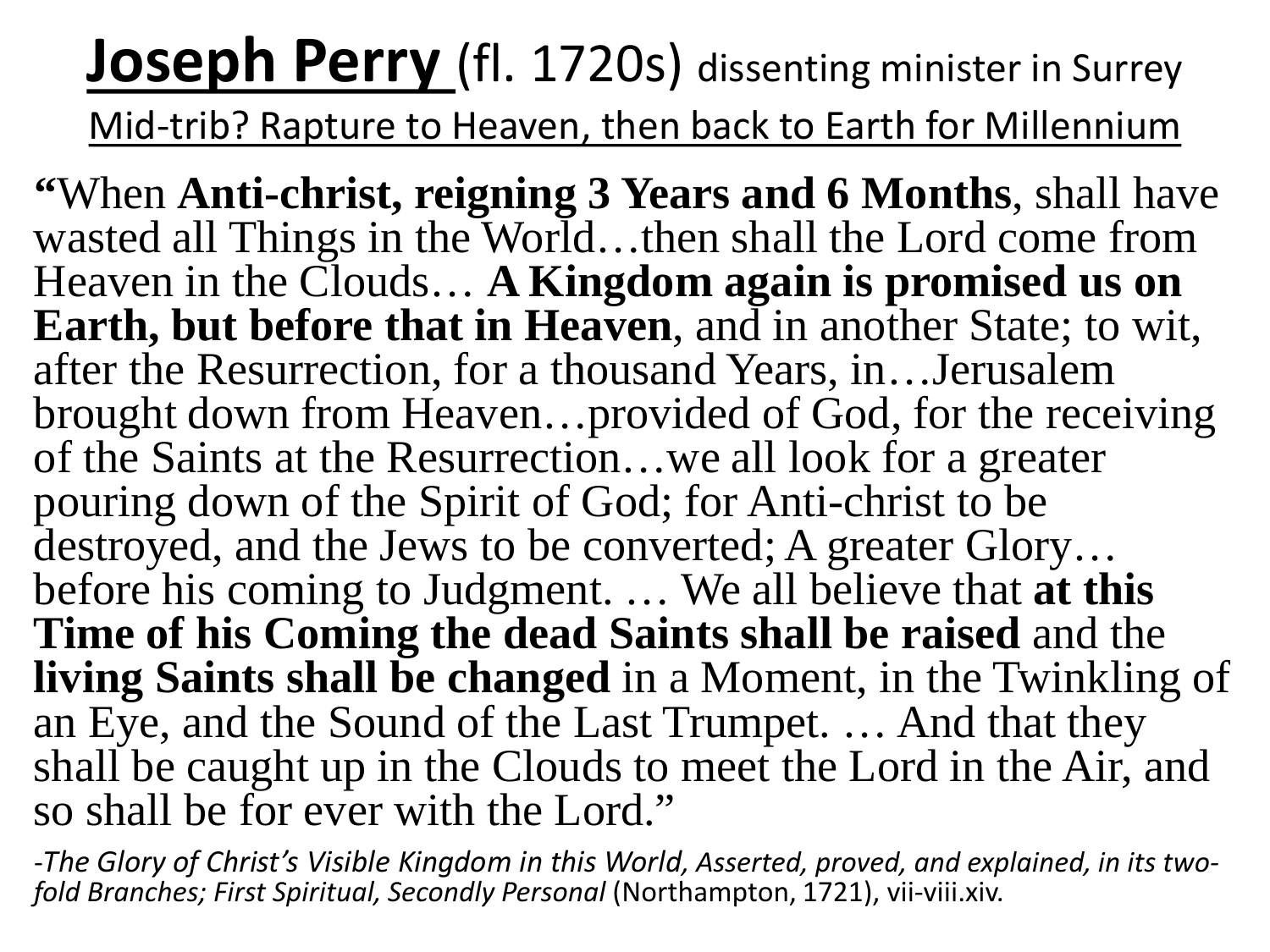#### **Joseph Perry** (fl. 1720s) dissenting minister in Surrey Mid-trib? Rapture to Heaven, then back to Earth for Millennium

**"**When **Anti-christ, reigning 3 Years and 6 Months**, shall have wasted all Things in the World...then shall the Lord come from Heaven in the Clouds… **A Kingdom again is promised us on Earth, but before that in Heaven**, and in another State; to wit, after the Resurrection, for a thousand Years, in…Jerusalem brought down from Heaven…provided of God, for the receiving of the Saints at the Resurrection…we all look for a greater pouring down of the Spirit of God; for Anti-christ to be destroyed, and the Jews to be converted; A greater Glory... before his coming to Judgment. … We all believe that **at this Time of his Coming the dead Saints shall be raised** and the **living Saints shall be changed** in a Moment, in the Twinkling of an Eye, and the Sound of the Last Trumpet. … And that they shall be caught up in the Clouds to meet the Lord in the Air, and so shall be for ever with the Lord."

-*The Glory of Christ's Visible Kingdom in this World, Asserted, proved, and explained, in its two- fold Branches; First Spiritual, Secondly Personal* (Northampton, 1721), vii-viii.xiv.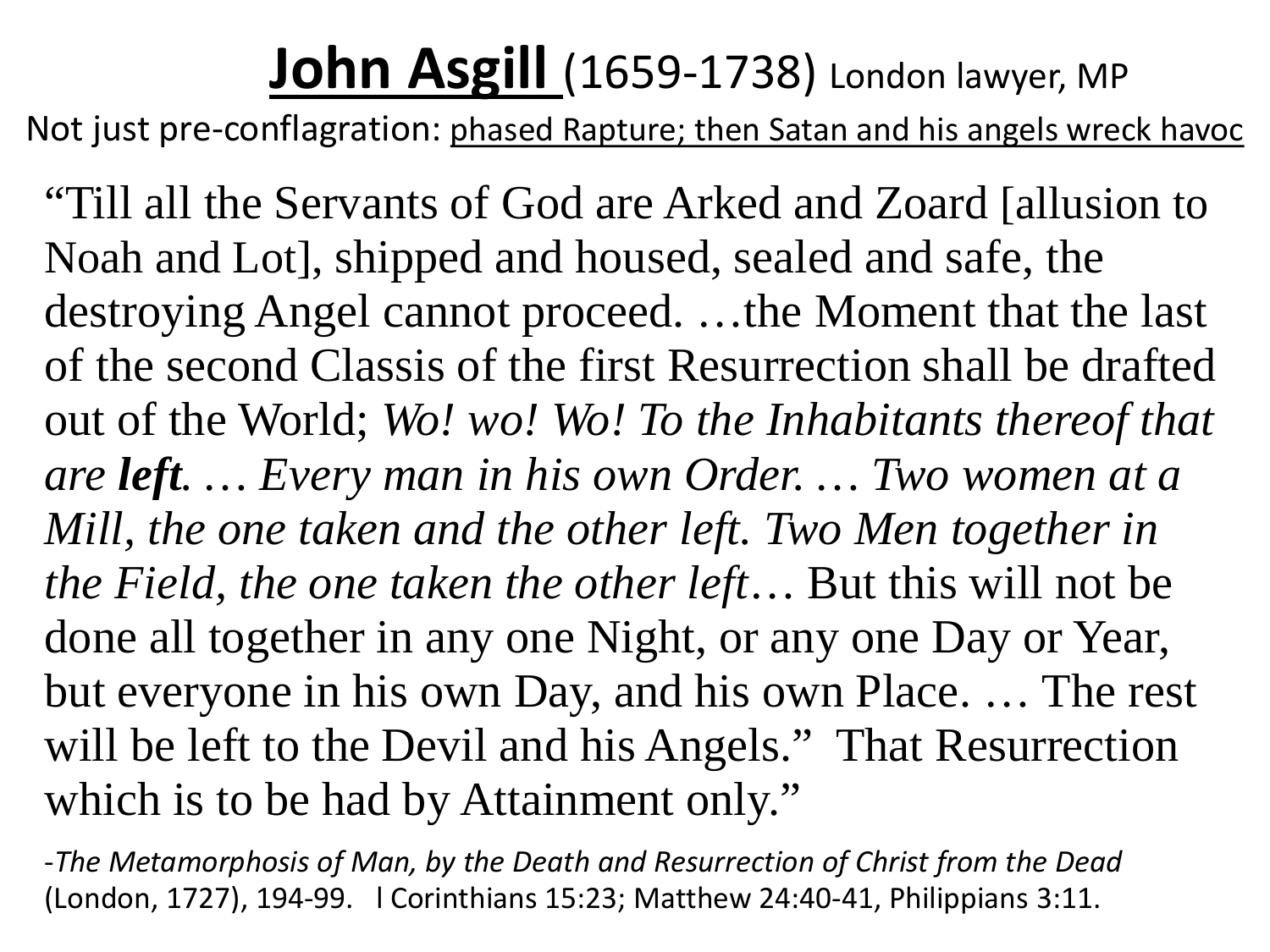### **John Asgill** (1659-1738) London lawyer, MP

Not just pre-conflagration: phased Rapture; then Satan and his angels wreck havoc

"Till all the Servants of God are Arked and Zoard [allusion to Noah and Lot], shipped and housed, sealed and safe, the destroying Angel cannot proceed. …the Moment that the last of the second Classis of the first Resurrection shall be drafted out of the World; *Wo! wo! Wo! To the Inhabitants thereof that are left. … Every man in his own Order. … Two women at a Mill, the one taken and the other left. Two Men together in the Field, the one taken the other left*… But this will not be done all together in any one Night, or any one Day or Year, but everyone in his own Day, and his own Place. … The rest will be left to the Devil and his Angels." That Resurrection which is to be had by Attainment only."

-*The Metamorphosis of Man, by the Death and Resurrection of Christ from the Dead* (London, 1727), 194-99. l Corinthians 15:23; Matthew 24:40-41, Philippians 3:11.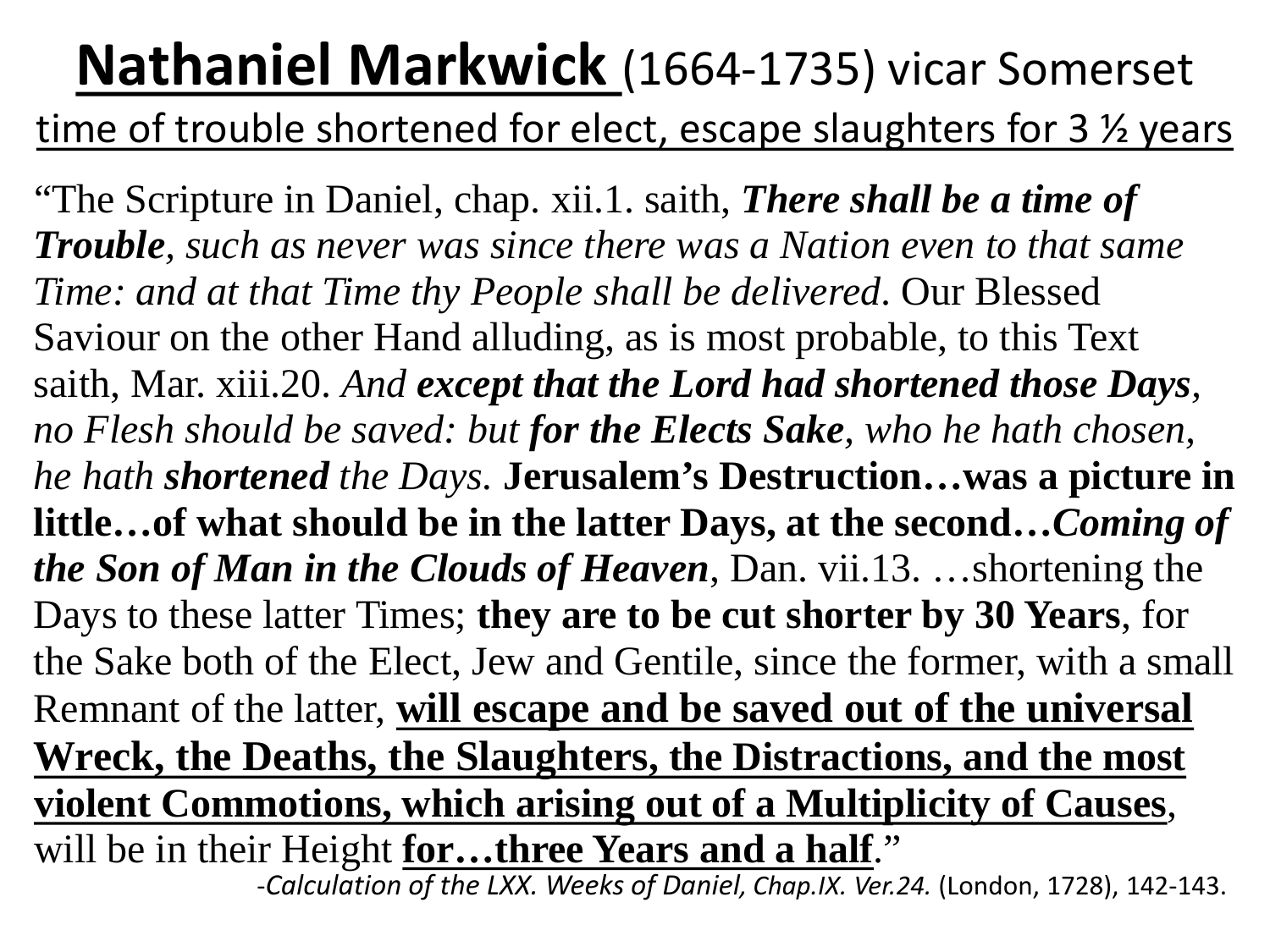#### **Nathaniel Markwick** (1664-1735) vicar Somerset time of trouble shortened for elect, escape slaughters for 3  $\frac{1}{2}$  years

"The Scripture in Daniel, chap. xii.1. saith, *There shall be a time of Trouble, such as never was since there was a Nation even to that same Time: and at that Time thy People shall be delivered*. Our Blessed Saviour on the other Hand alluding, as is most probable, to this Text saith, Mar. xiii.20. *And except that the Lord had shortened those Days, no Flesh should be saved: but for the Elects Sake, who he hath chosen, he hath shortened the Days.* **Jerusalem's Destruction…was a picture in little…of what should be in the latter Days, at the second…***Coming of the Son of Man in the Clouds of Heaven*, Dan. vii.13. …shortening the Days to these latter Times; **they are to be cut shorter by 30 Years**, for the Sake both of the Elect, Jew and Gentile, since the former, with a small Remnant of the latter, **will escape and be saved out of the universal Wreck, the Deaths, the Slaughters, the Distractions, and the most violent Commotions, which arising out of a Multiplicity of Causes**, will be in their Height **for…three Years and a half**."

-*Calculation of the LXX. Weeks of Daniel, Chap.IX. Ver.24.* (London, 1728), 142-143.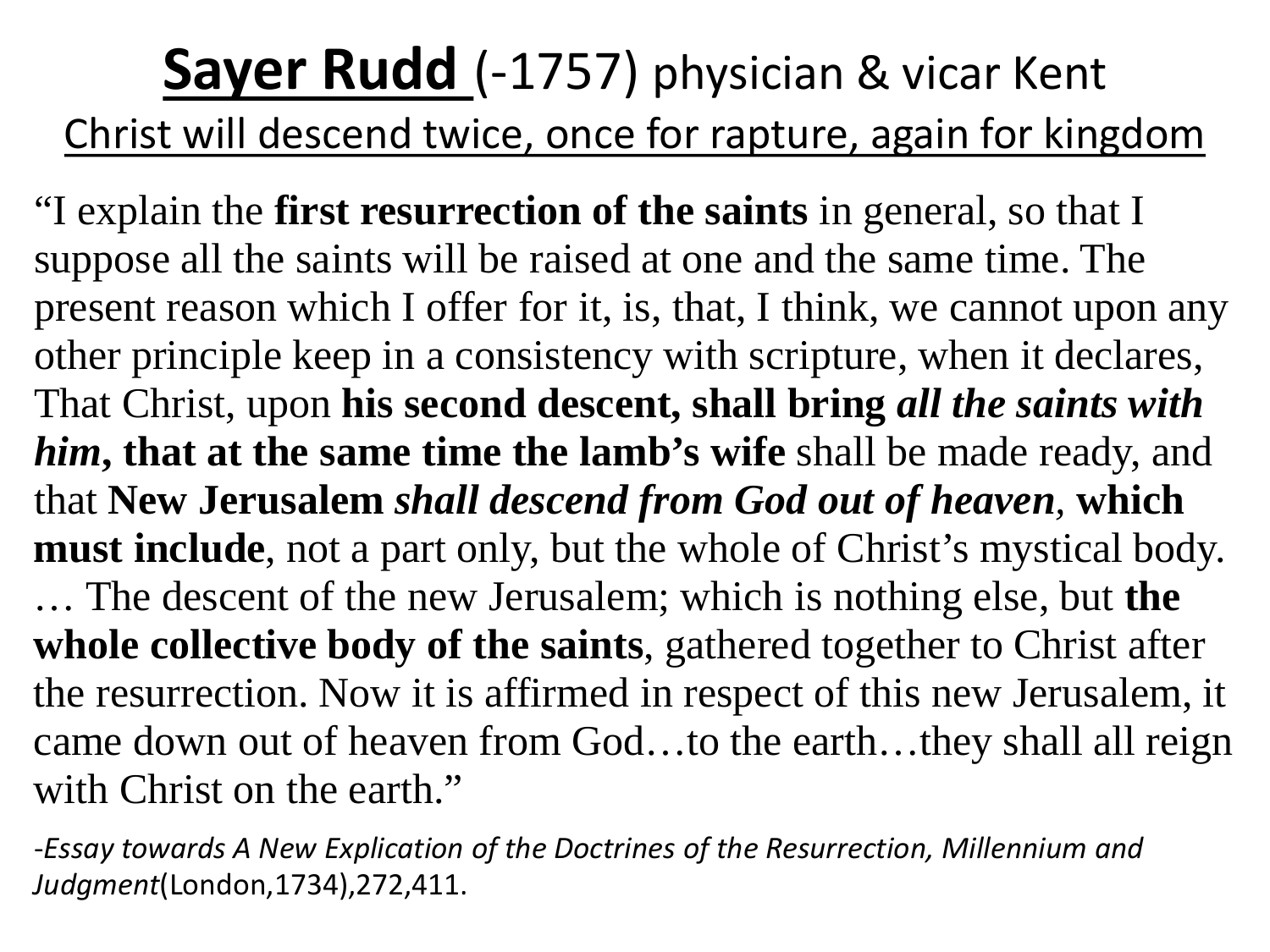#### **Sayer Rudd** (-1757) physician & vicar Kent Christ will descend twice, once for rapture, again for kingdom

"I explain the **first resurrection of the saints** in general, so that I suppose all the saints will be raised at one and the same time. The present reason which I offer for it, is, that, I think, we cannot upon any other principle keep in a consistency with scripture, when it declares, That Christ, upon **his second descent, shall bring** *all the saints with him***, that at the same time the lamb's wife** shall be made ready, and that **New Jerusalem** *shall descend from God out of heaven,* **which must include**, not a part only, but the whole of Christ's mystical body. … The descent of the new Jerusalem; which is nothing else, but **the whole collective body of the saints**, gathered together to Christ after the resurrection. Now it is affirmed in respect of this new Jerusalem, it came down out of heaven from God…to the earth…they shall all reign with Christ on the earth."

-*Essay towards A New Explication of the Doctrines of the Resurrection, Millennium and Judgment*(London,1734),272,411.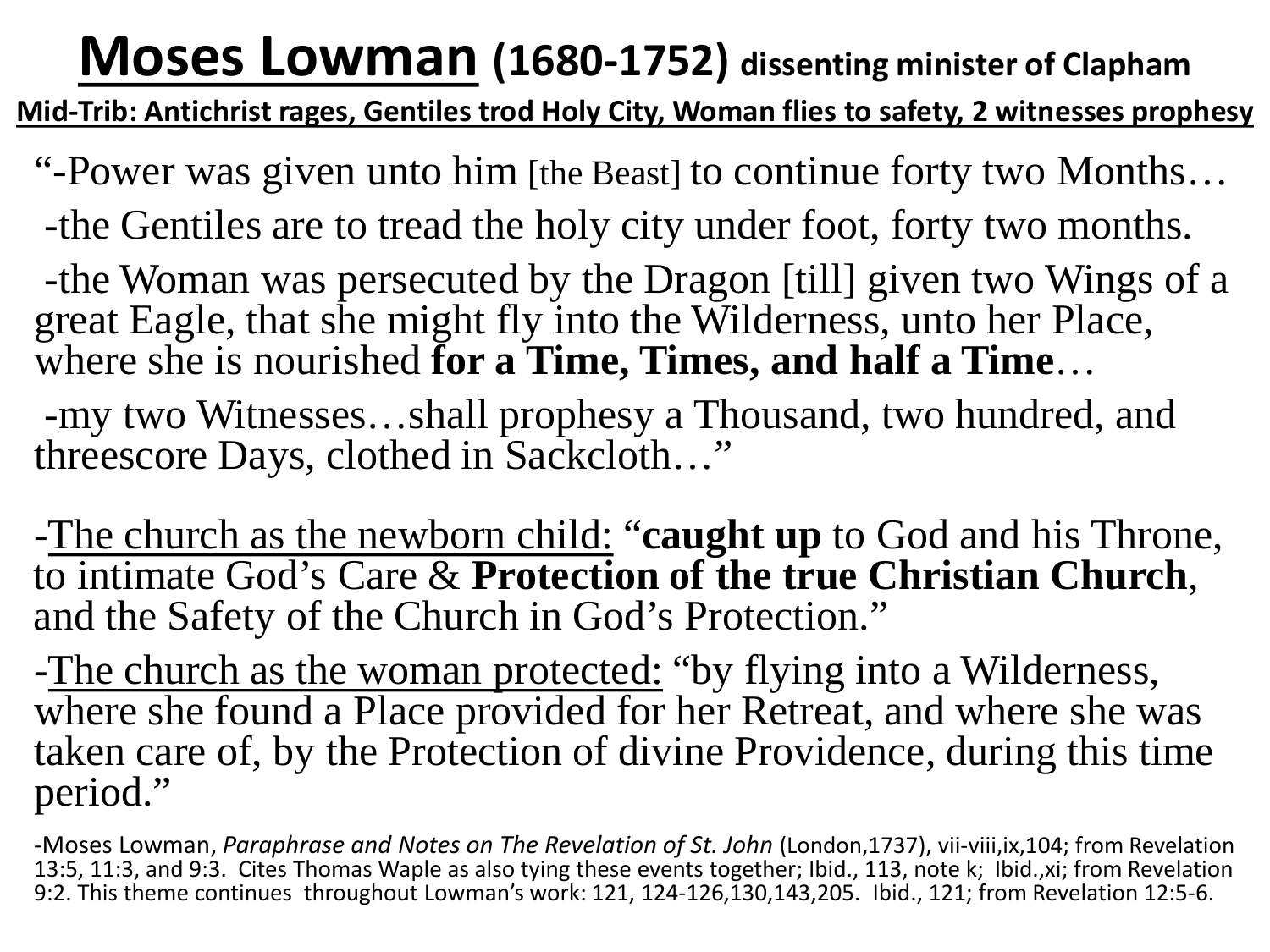#### **Moses Lowman (1680-1752) dissenting minister of Clapham**

**Mid-Trib: Antichrist rages, Gentiles trod Holy City, Woman flies to safety, 2 witnesses prophesy**

"-Power was given unto him [the Beast] to continue forty two Months…

-the Gentiles are to tread the holy city under foot, forty two months.

-the Woman was persecuted by the Dragon [till] given two Wings of a great Eagle, that she might fly into the Wilderness, unto her Place, where she is nourished **for a Time, Times, and half a Time**…

-my two Witnesses…shall prophesy a Thousand, two hundred, and threescore Days, clothed in Sackcloth…"

-The church as the newborn child: "**caught up** to God and his Throne, to intimate God's Care & **Protection of the true Christian Church**, and the Safety of the Church in God's Protection."

-The church as the woman protected: "by flying into a Wilderness, where she found a Place provided for her Retreat, and where she was taken care of, by the Protection of divine Providence, during this time period."

-Moses Lowman, *Paraphrase and Notes on The Revelation of St. John* (London,1737), vii-viii,ix,104; from Revelation 13:5, 11:3, and 9:3. Cites Thomas Waple as also tying these events together; Ibid., 113, note k; Ibid.,xi; from Revelation 9:2. This theme continues throughout Lowman's work: 121, 124-126,130,143,205. Ibid., 121; from Revelation 12:5-6.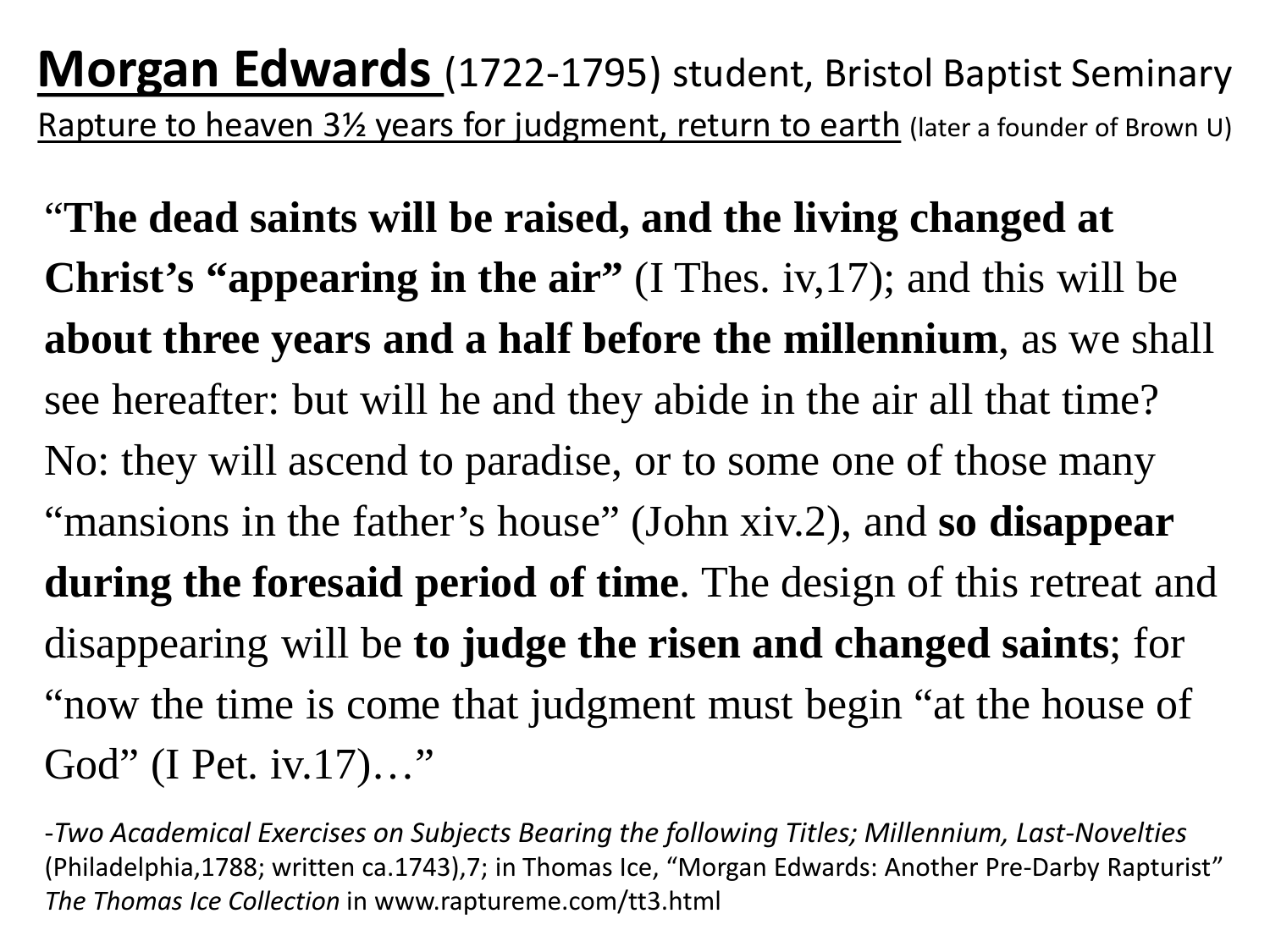**Morgan Edwards** (1722-1795) student, Bristol Baptist Seminary Rapture to heaven 31/2 years for judgment, return to earth (later a founder of Brown U)

"**The dead saints will be raised, and the living changed at Christ's "appearing in the air"** (I Thes. iv,17); and this will be **about three years and a half before the millennium**, as we shall see hereafter: but will he and they abide in the air all that time? No: they will ascend to paradise, or to some one of those many "mansions in the father's house" (John xiv.2), and **so disappear during the foresaid period of time**. The design of this retreat and disappearing will be **to judge the risen and changed saints**; for "now the time is come that judgment must begin "at the house of God" (I Pet. iv.17)…"

-*Two Academical Exercises on Subjects Bearing the following Titles; Millennium, Last-Novelties*  (Philadelphia,1788; written ca.1743),7; in Thomas Ice, "Morgan Edwards: Another Pre-Darby Rapturist" *The Thomas Ice Collection* in www.raptureme.com/tt3.html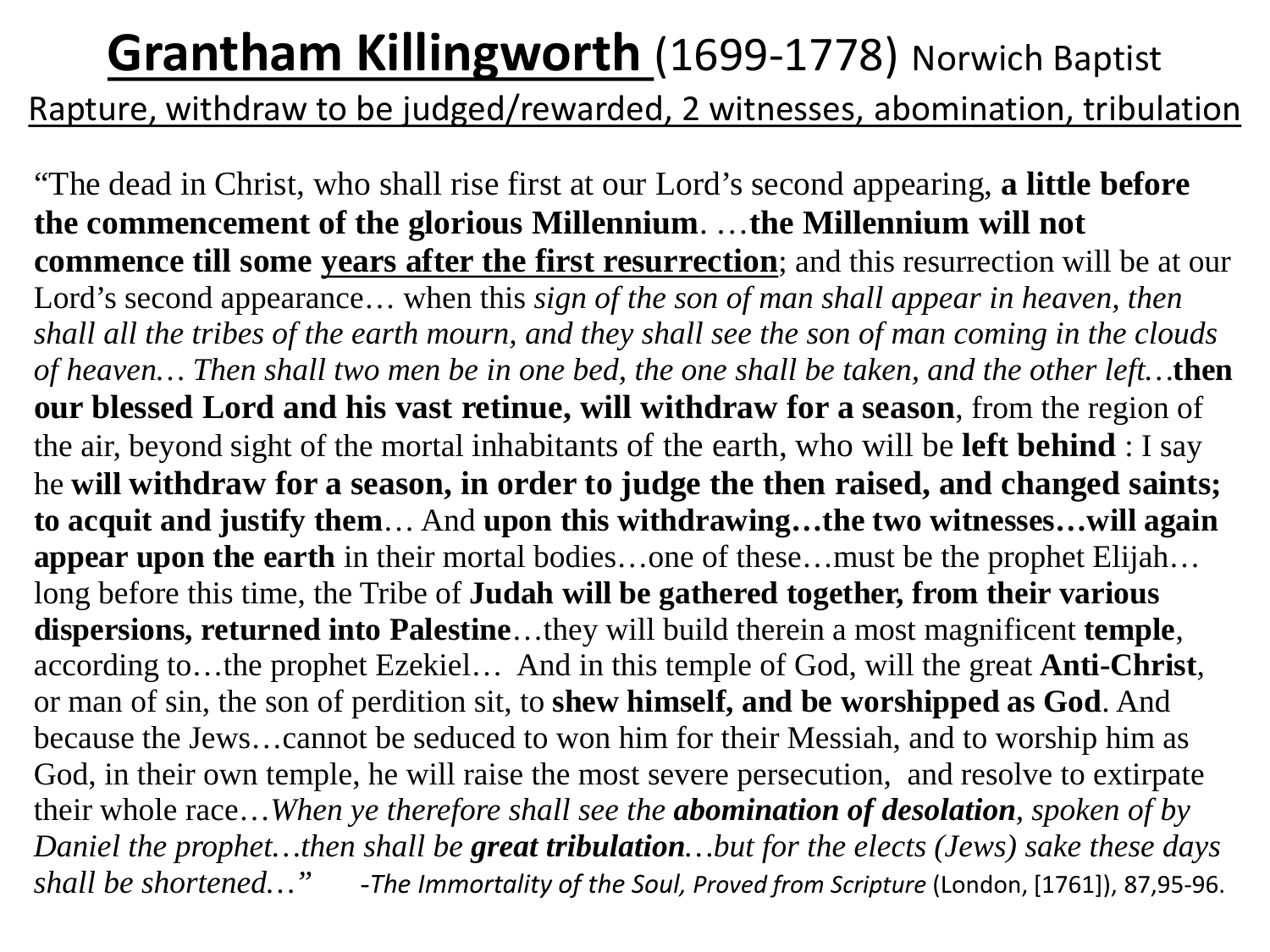### **Grantham Killingworth (1699-1778) Norwich Baptist**

Rapture, withdraw to be judged/rewarded, 2 witnesses, abomination, tribulation

"The dead in Christ, who shall rise first at our Lord's second appearing, **a little before the commencement of the glorious Millennium**. …**the Millennium will not commence till some years after the first resurrection**; and this resurrection will be at our Lord's second appearance… when this *sign of the son of man shall appear in heaven, then shall all the tribes of the earth mourn, and they shall see the son of man coming in the clouds of heaven… Then shall two men be in one bed, the one shall be taken, and the other left…***then our blessed Lord and his vast retinue, will withdraw for a season**, from the region of the air, beyond sight of the mortal inhabitants of the earth, who will be **left behind** : I say he **will withdraw for a season, in order to judge the then raised, and changed saints; to acquit and justify them**… And **upon this withdrawing…the two witnesses…will again appear upon the earth** in their mortal bodies…one of these…must be the prophet Elijah… long before this time, the Tribe of **Judah will be gathered together, from their various dispersions, returned into Palestine**…they will build therein a most magnificent **temple**, according to…the prophet Ezekiel… And in this temple of God, will the great **Anti-Christ**, or man of sin, the son of perdition sit, to **shew himself, and be worshipped as God**. And because the Jews…cannot be seduced to won him for their Messiah, and to worship him as God, in their own temple, he will raise the most severe persecution, and resolve to extirpate their whole race…*When ye therefore shall see the abomination of desolation, spoken of by Daniel the prophet…then shall be great tribulation…but for the elects (Jews) sake these days shall be shortened…"* -*The Immortality of the Soul, Proved from Scripture* (London, [1761]), 87,95-96.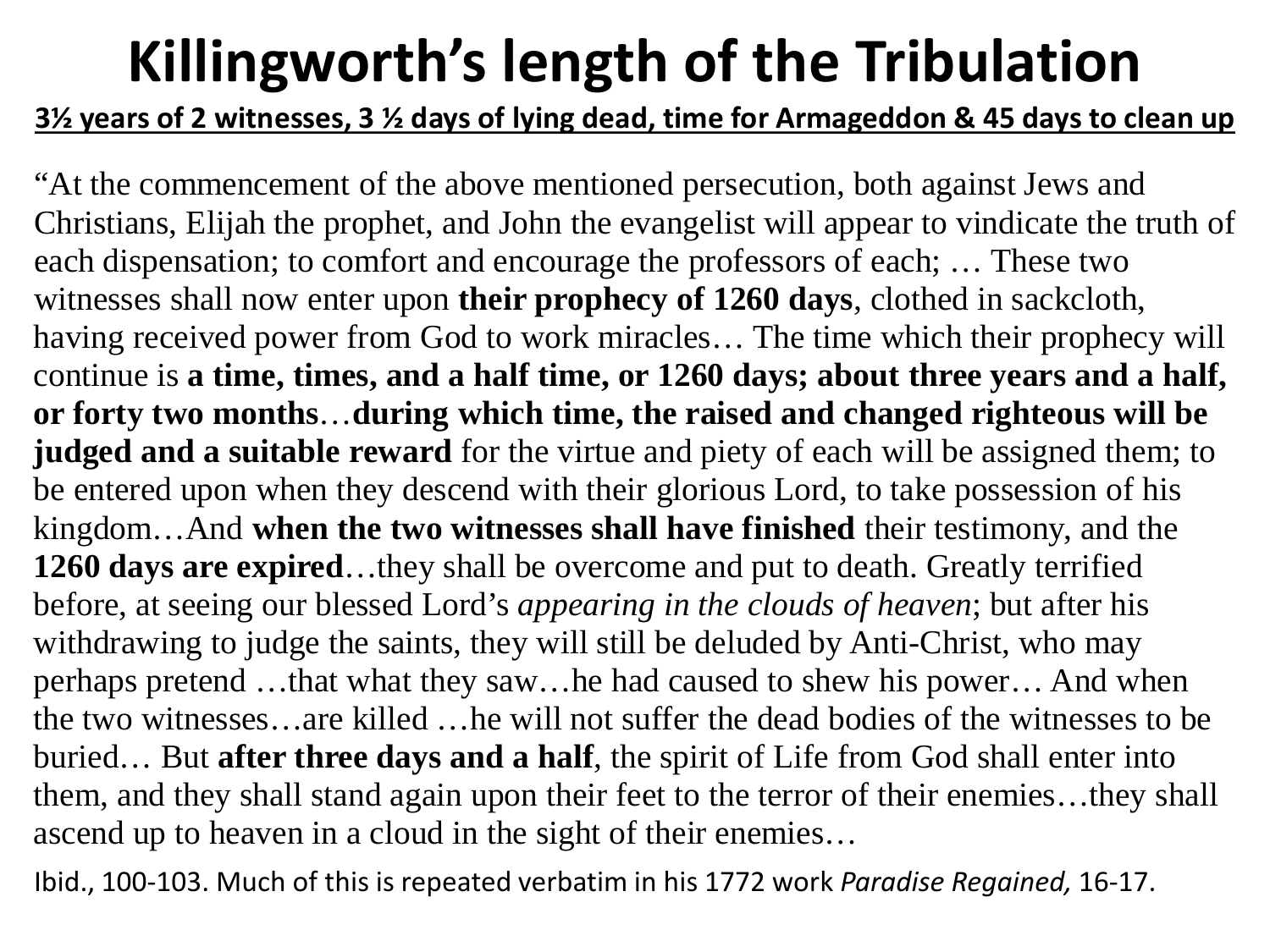### **Killingworth's length of the Tribulation**

#### **3½ years of 2 witnesses, 3 ½ days of lying dead, time for Armageddon & 45 days to clean up**

"At the commencement of the above mentioned persecution, both against Jews and Christians, Elijah the prophet, and John the evangelist will appear to vindicate the truth of each dispensation; to comfort and encourage the professors of each; … These two witnesses shall now enter upon **their prophecy of 1260 days**, clothed in sackcloth, having received power from God to work miracles… The time which their prophecy will continue is **a time, times, and a half time, or 1260 days; about three years and a half, or forty two months**…**during which time, the raised and changed righteous will be judged and a suitable reward** for the virtue and piety of each will be assigned them; to be entered upon when they descend with their glorious Lord, to take possession of his kingdom…And **when the two witnesses shall have finished** their testimony, and the **1260 days are expired**…they shall be overcome and put to death. Greatly terrified before, at seeing our blessed Lord's *appearing in the clouds of heaven*; but after his withdrawing to judge the saints, they will still be deluded by Anti-Christ, who may perhaps pretend …that what they saw…he had caused to shew his power… And when the two witnesses…are killed …he will not suffer the dead bodies of the witnesses to be buried… But **after three days and a half**, the spirit of Life from God shall enter into them, and they shall stand again upon their feet to the terror of their enemies…they shall ascend up to heaven in a cloud in the sight of their enemies…

Ibid., 100-103. Much of this is repeated verbatim in his 1772 work *Paradise Regained,* 16-17.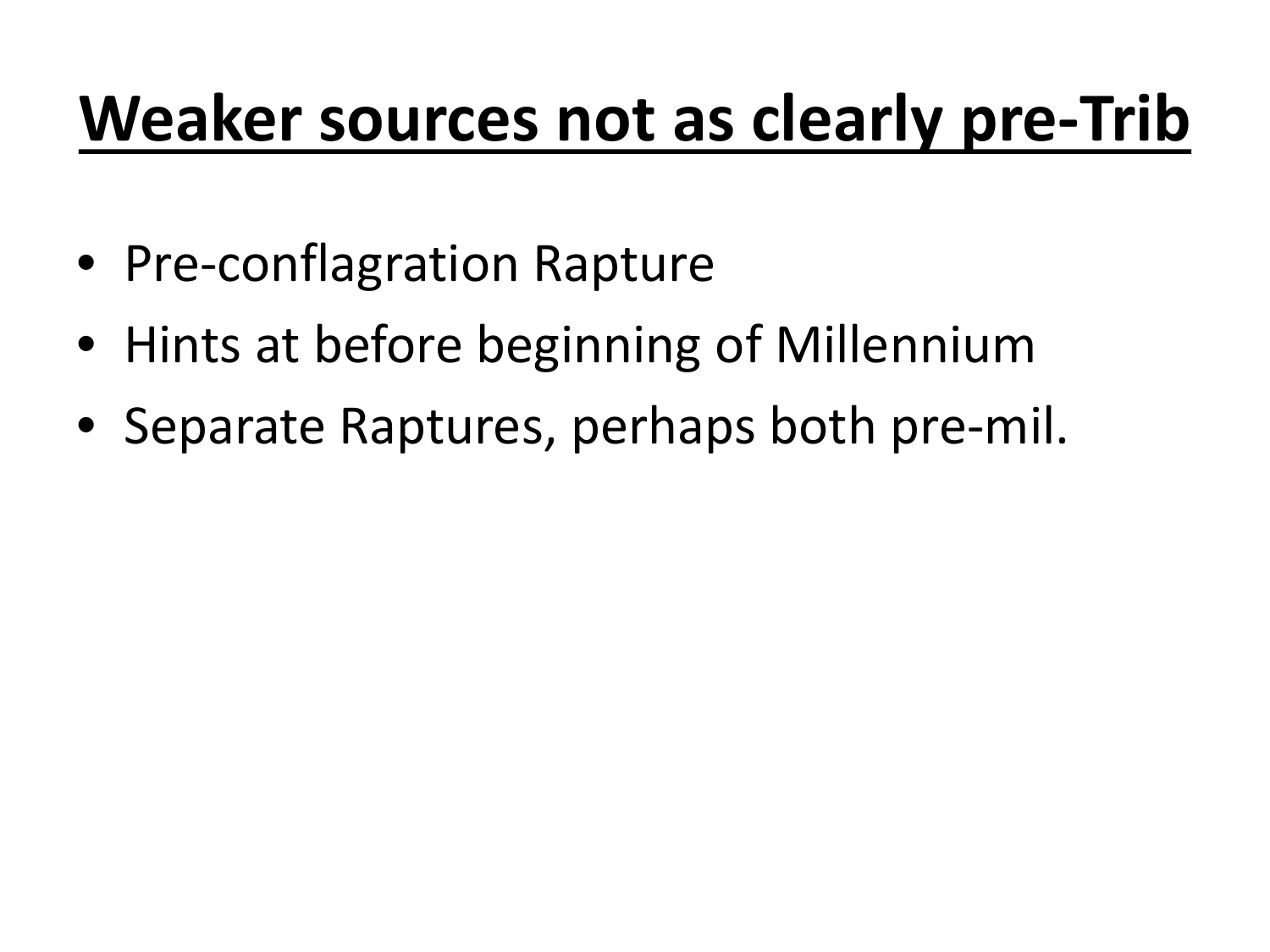# **Weaker sources not as clearly pre-Trib**

- Pre-conflagration Rapture
- Hints at before beginning of Millennium
- Separate Raptures, perhaps both pre-mil.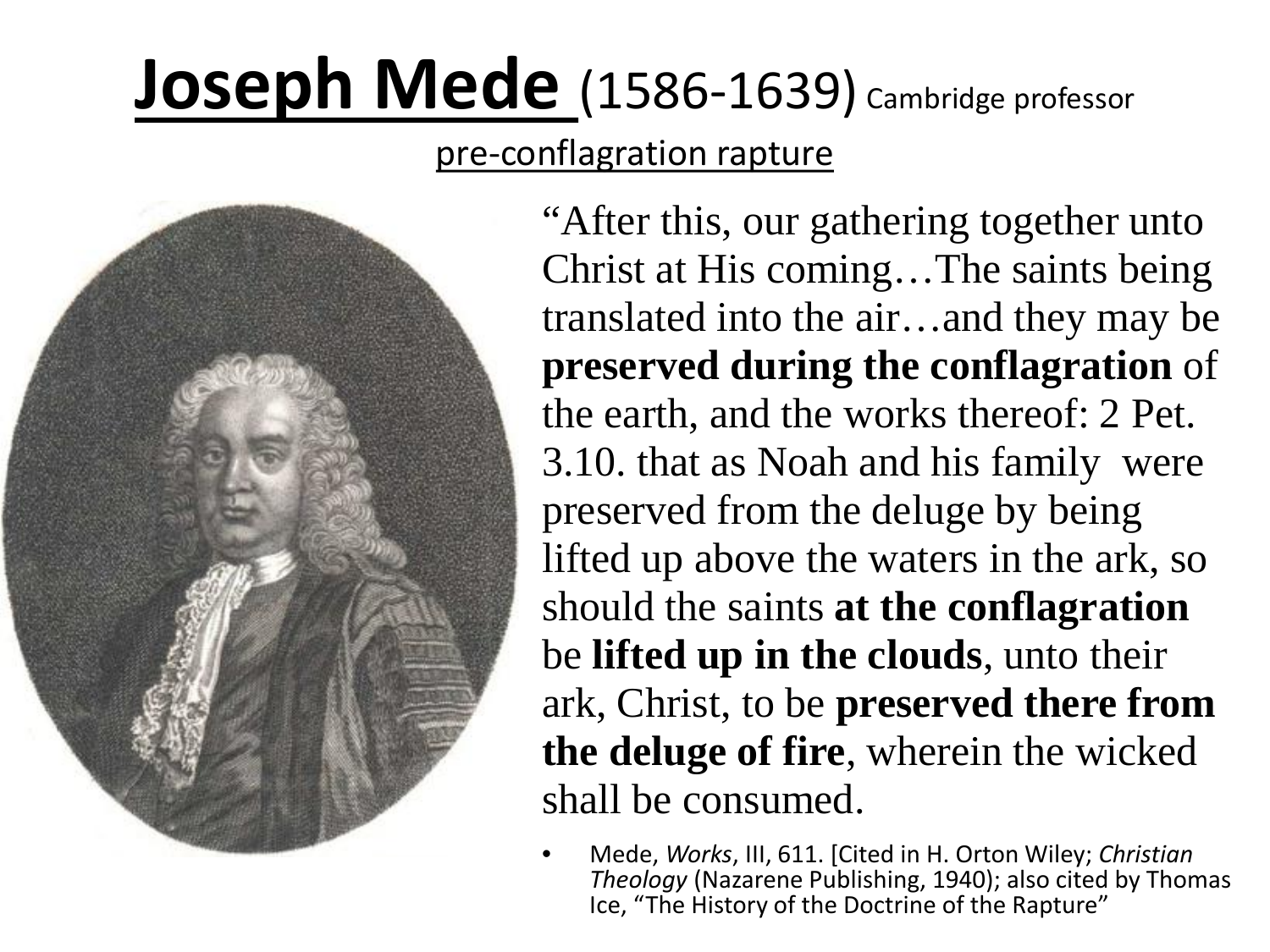# Joseph Mede (1586-1639) Cambridge professor

pre-conflagration rapture



"After this, our gathering together unto Christ at His coming…The saints being translated into the air…and they may be **preserved during the conflagration** of the earth, and the works thereof: 2 Pet. 3.10. that as Noah and his family were preserved from the deluge by being lifted up above the waters in the ark, so should the saints **at the conflagration**  be **lifted up in the clouds**, unto their ark, Christ, to be **preserved there from the deluge of fire**, wherein the wicked shall be consumed.

• Mede, *Works*, III, 611. [Cited in H. Orton Wiley; *Christian Theology* (Nazarene Publishing, 1940); also cited by Thomas Ice, "The History of the Doctrine of the Rapture"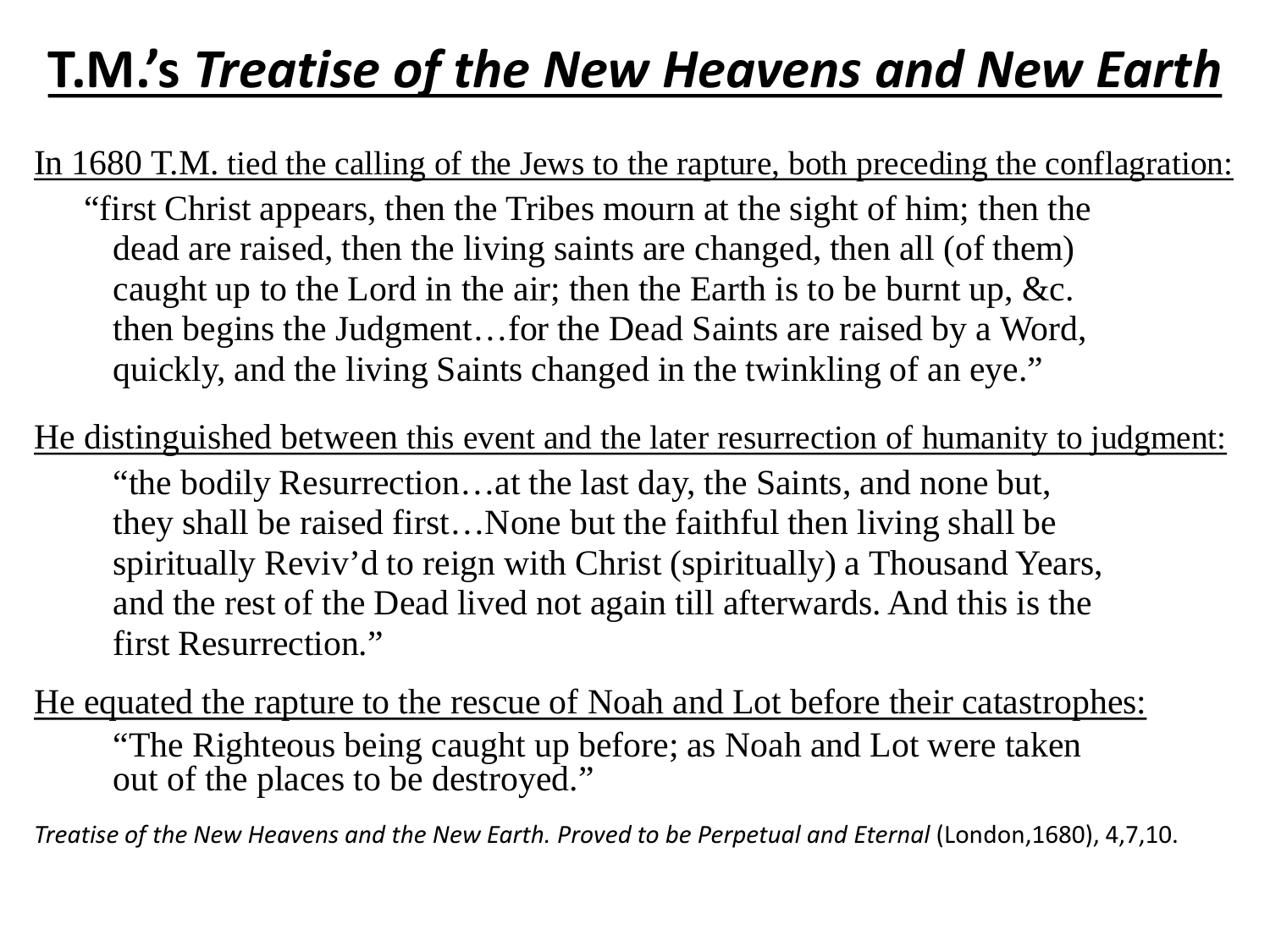### **T.M.'s** *Treatise of the New Heavens and New Earth*

In 1680 T.M. tied the calling of the Jews to the rapture, both preceding the conflagration:

"first Christ appears, then the Tribes mourn at the sight of him; then the dead are raised, then the living saints are changed, then all (of them) caught up to the Lord in the air; then the Earth is to be burnt up, &c. then begins the Judgment…for the Dead Saints are raised by a Word, quickly, and the living Saints changed in the twinkling of an eye."

He distinguished between this event and the later resurrection of humanity to judgment: "the bodily Resurrection…at the last day, the Saints, and none but, they shall be raised first…None but the faithful then living shall be spiritually Reviv'd to reign with Christ (spiritually) a Thousand Years, and the rest of the Dead lived not again till afterwards. And this is the first Resurrection."

He equated the rapture to the rescue of Noah and Lot before their catastrophes: "The Righteous being caught up before; as Noah and Lot were taken out of the places to be destroyed."

*Treatise of the New Heavens and the New Earth. Proved to be Perpetual and Eternal* (London,1680), 4,7,10.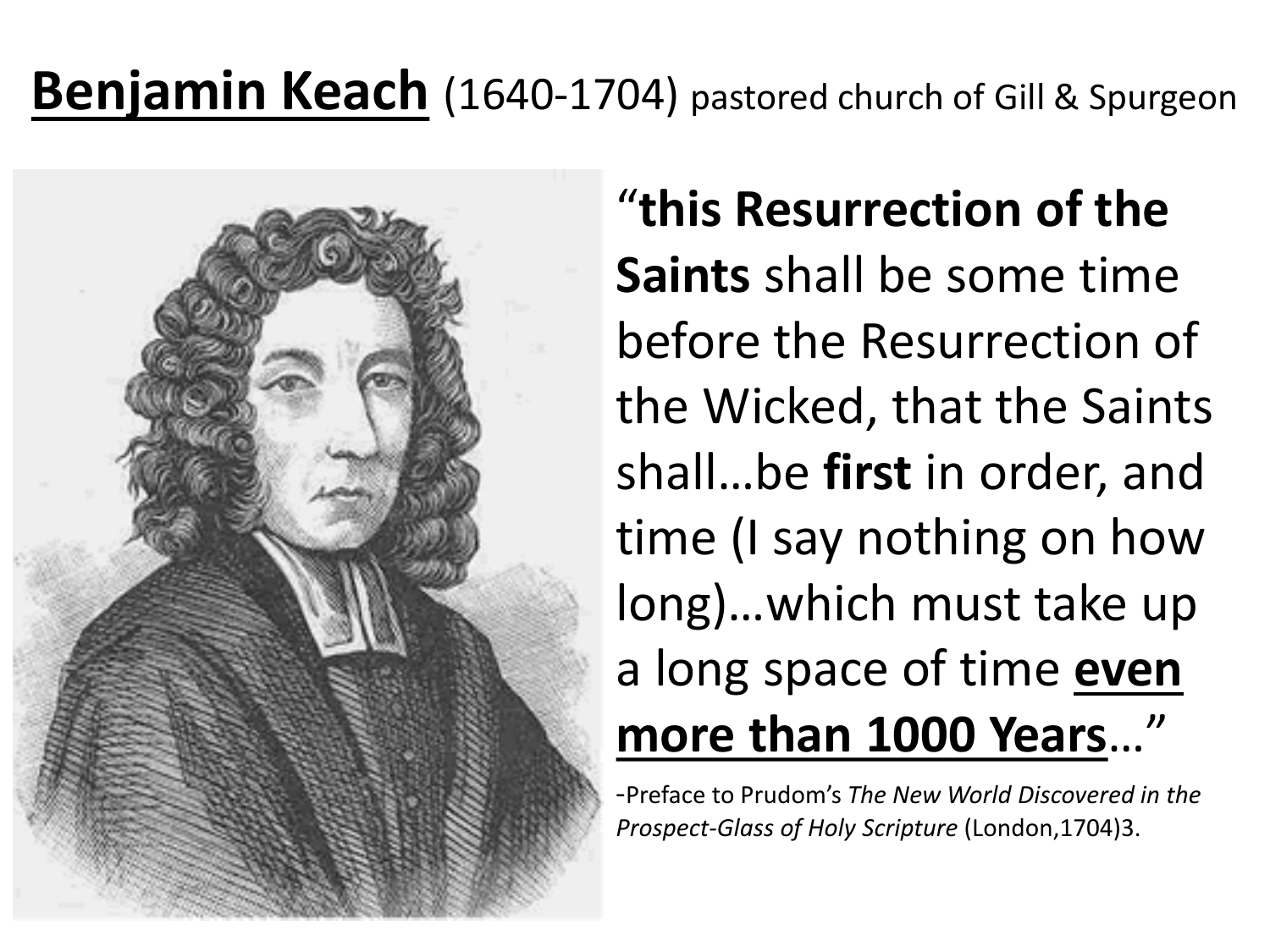#### **Benjamin Keach** (1640-1704) pastored church of Gill & Spurgeon



### "**this Resurrection of the Saints** shall be some time before the Resurrection of the Wicked, that the Saints shall…be **first** in order, and time (I say nothing on how long)…which must take up a long space of time **even more than 1000 Years..."**<br>-Preface to Prudom's *The New World Discovered in the*

*Prospect-Glass of Holy Scripture* (London,1704)3.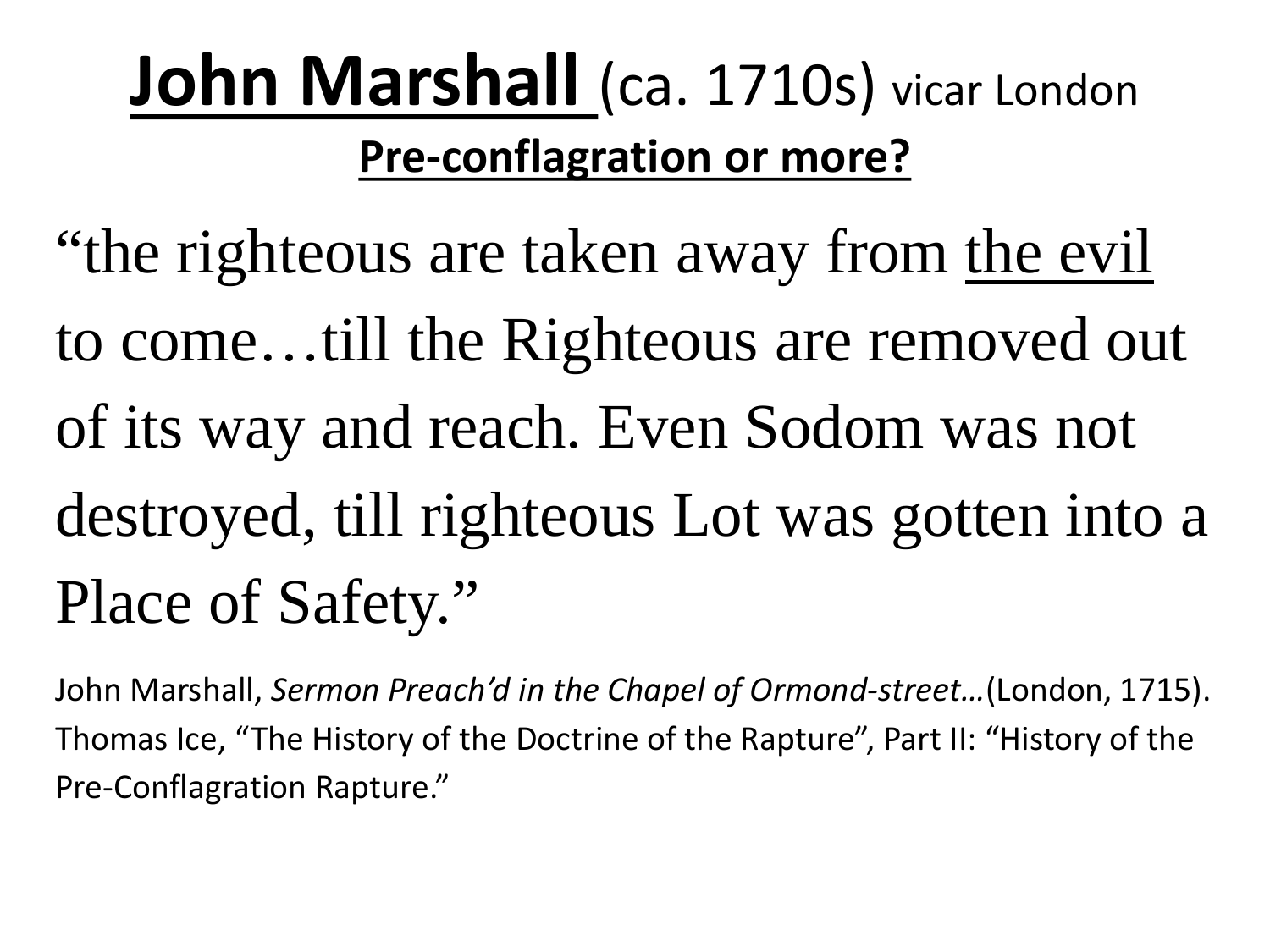### **John Marshall (ca. 1710s)** vicar London **Pre-conflagration or more?**

"the righteous are taken away from the evil to come…till the Righteous are removed out of its way and reach. Even Sodom was not destroyed, till righteous Lot was gotten into a Place of Safety."

John Marshall, *Sermon Preach'd in the Chapel of Ormond-street…*(London, 1715). Thomas Ice, "The History of the Doctrine of the Rapture", Part II: "History of the Pre-Conflagration Rapture."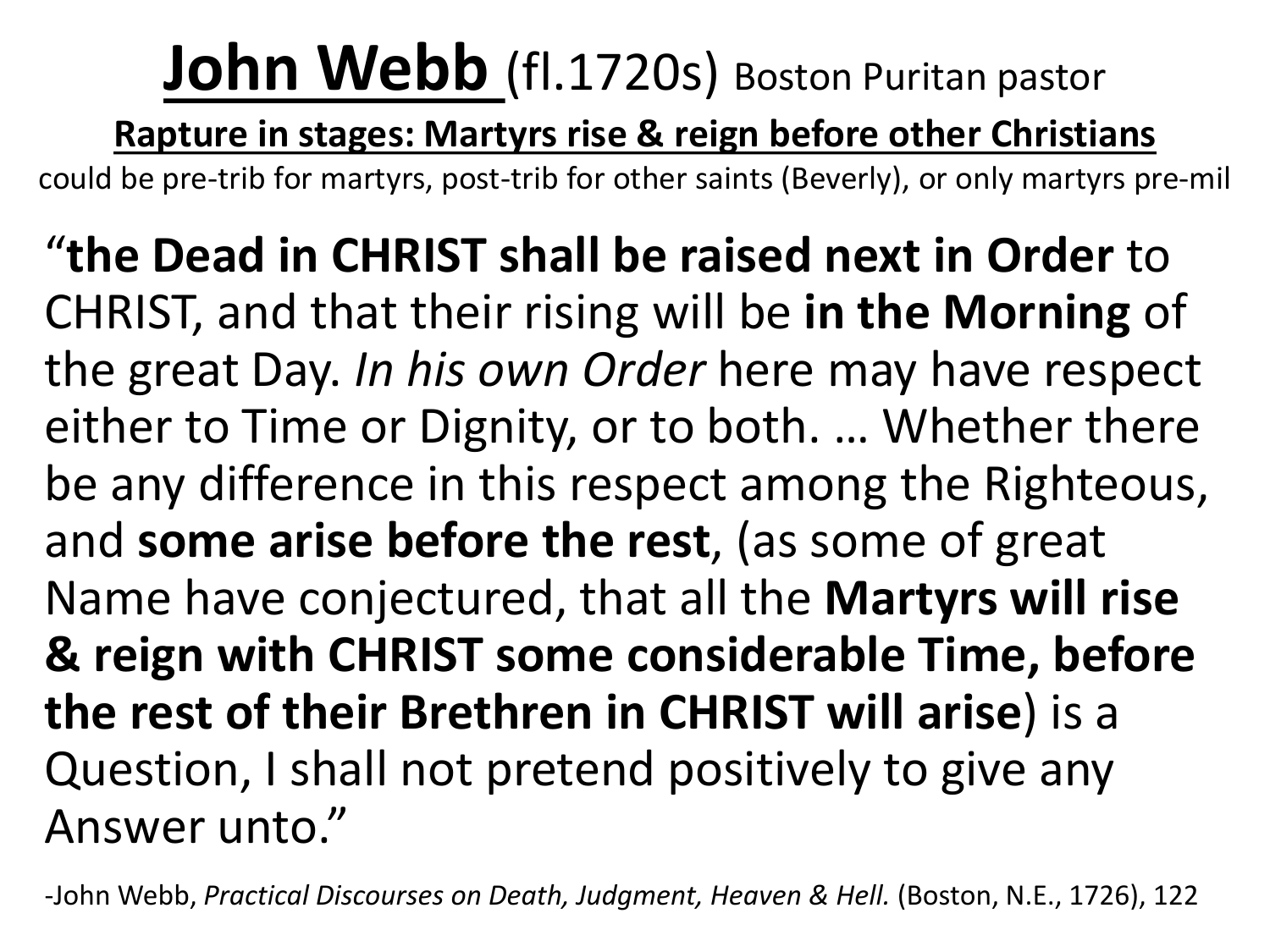## **John Webb** (fl.1720s) Boston Puritan pastor

**Rapture in stages: Martyrs rise & reign before other Christians** 

could be pre-trib for martyrs, post-trib for other saints (Beverly), or only martyrs pre-mil

"**the Dead in CHRIST shall be raised next in Order** to CHRIST, and that their rising will be **in the Morning** of the great Day. *In his own Order* here may have respect either to Time or Dignity, or to both. … Whether there be any difference in this respect among the Righteous, and **some arise before the rest**, (as some of great Name have conjectured, that all the **Martyrs will rise & reign with CHRIST some considerable Time, before the rest of their Brethren in CHRIST will arise**) is a Question, I shall not pretend positively to give any Answer unto."

-John Webb, *Practical Discourses on Death, Judgment, Heaven & Hell.* (Boston, N.E., 1726), 122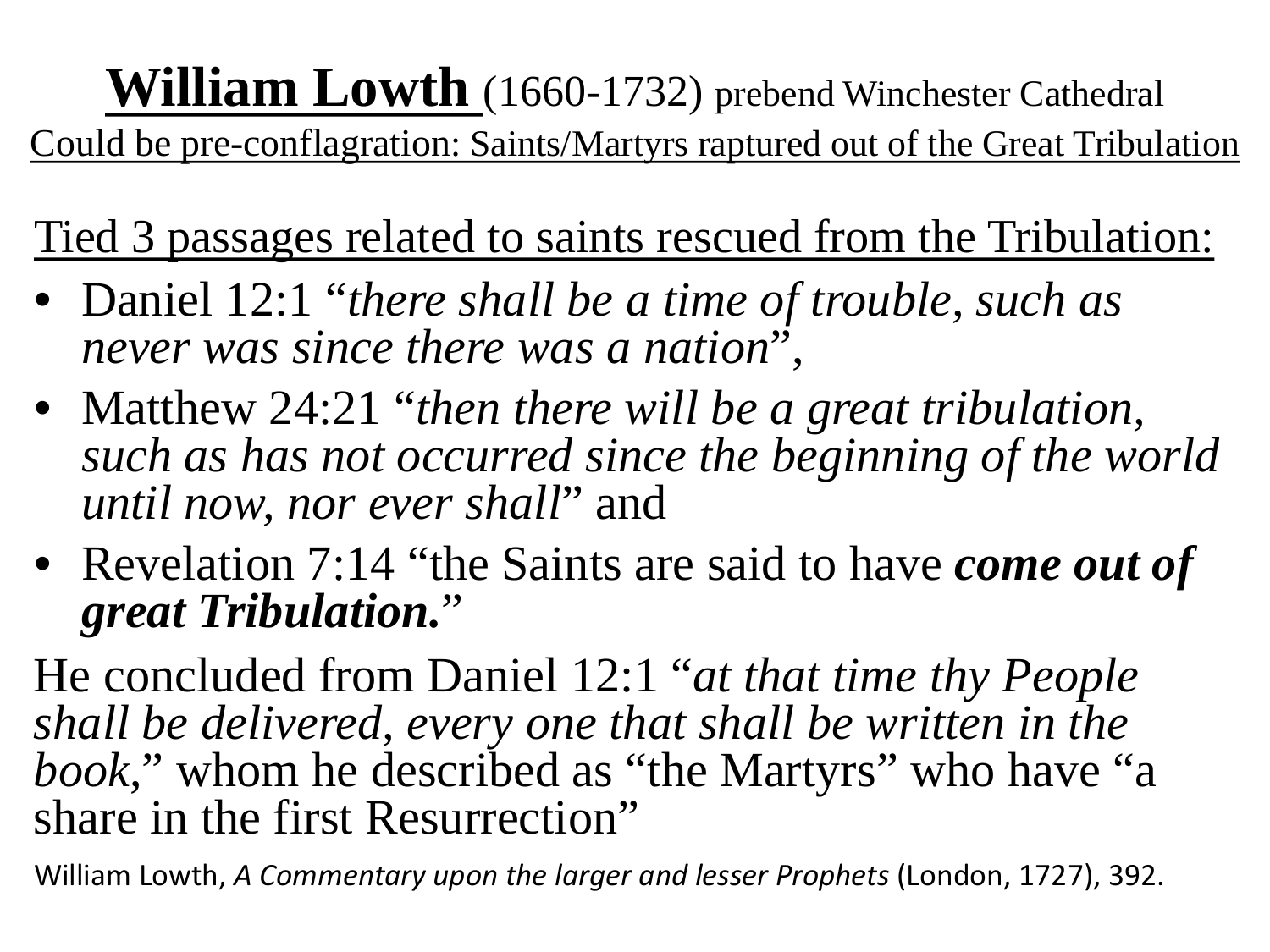## **William Lowth** (1660-1732) prebend Winchester Cathedral

Could be pre-conflagration: Saints/Martyrs raptured out of the Great Tribulation

Tied 3 passages related to saints rescued from the Tribulation:

- Daniel 12:1 "*there shall be a time of trouble, such as never was since there was a nation*",
- Matthew 24:21 "*then there will be a great tribulation, such as has not occurred since the beginning of the world until now, nor ever shall*" and
- Revelation 7:14 "the Saints are said to have *come out of great Tribulation.*"

He concluded from Daniel 12:1 "*at that time thy People shall be delivered, every one that shall be written in the book*," whom he described as "the Martyrs" who have "a share in the first Resurrection"

William Lowth, *A Commentary upon the larger and lesser Prophets* (London, 1727), 392.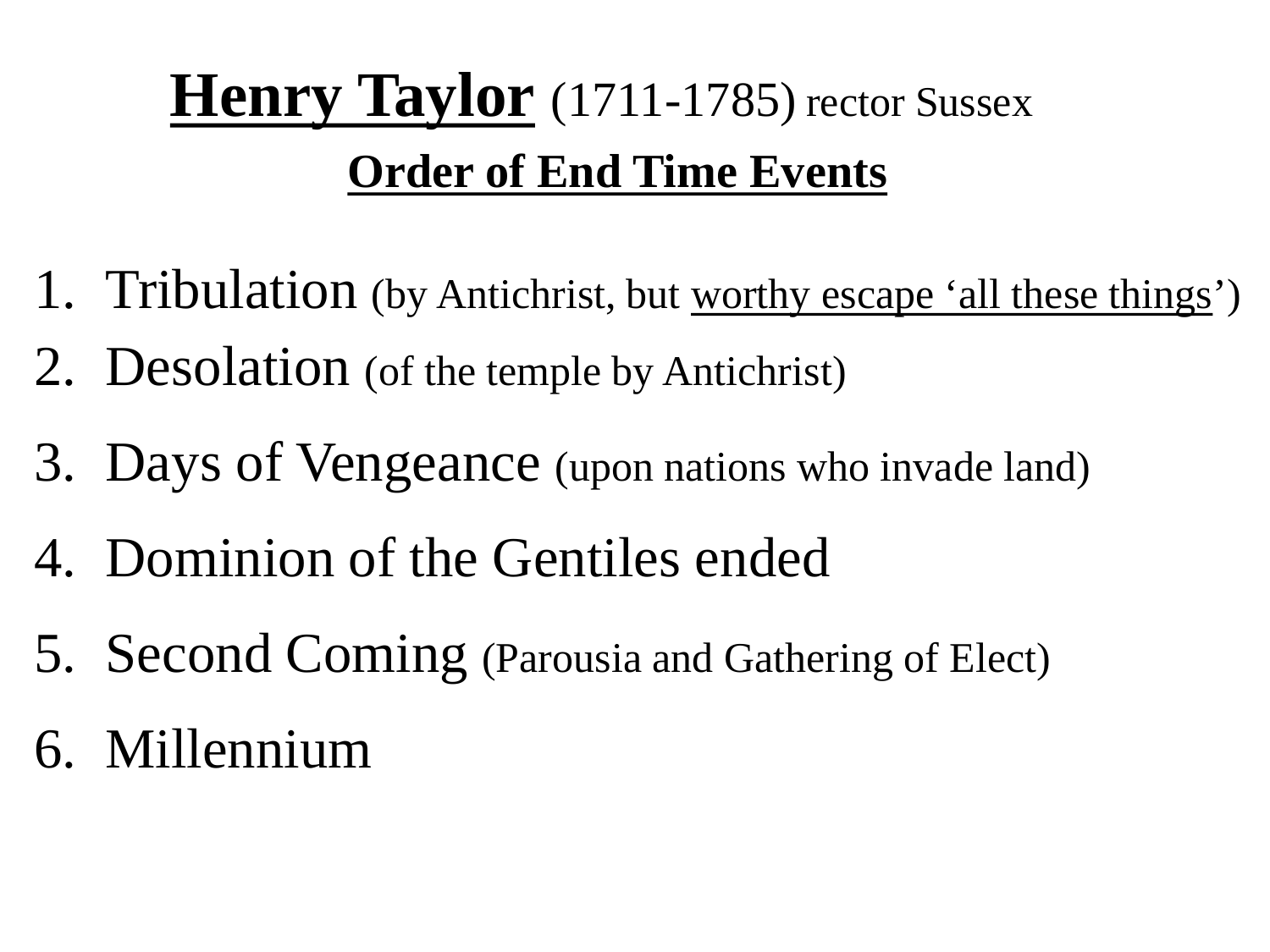### **Henry Taylor** (1711-1785) rector Sussex **Order of End Time Events**

- 1. Tribulation (by Antichrist, but worthy escape 'all these things')
- 2. Desolation (of the temple by Antichrist)
- 3. Days of Vengeance (upon nations who invade land)
- 4. Dominion of the Gentiles ended
- 5. Second Coming (Parousia and Gathering of Elect)
- 6. Millennium